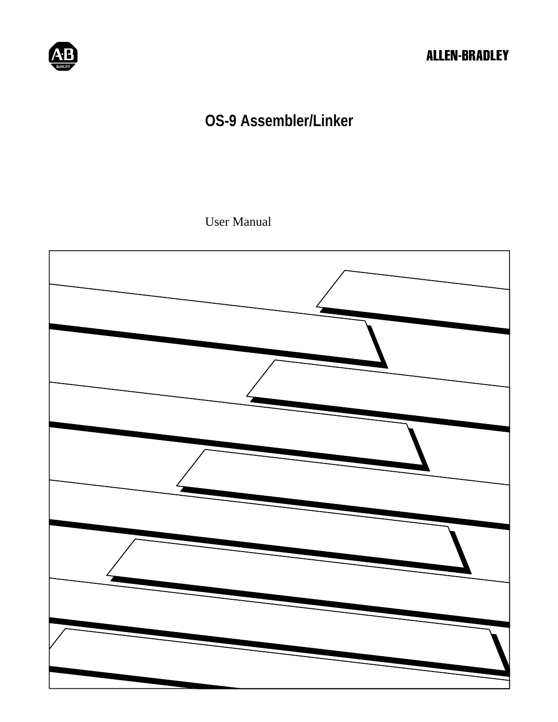

# **OS-9 Assembler/Linker**

User Manual

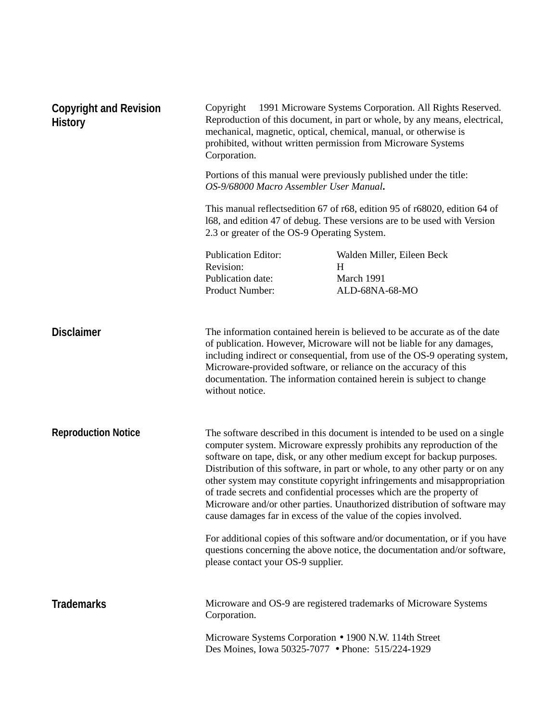| <b>Copyright and Revision</b><br><b>History</b> | Copyright © 1991 Microware Systems Corporation. All Rights Reserved.<br>Reproduction of this document, in part or whole, by any means, electrical,<br>mechanical, magnetic, optical, chemical, manual, or otherwise is<br>prohibited, without written permission from Microware Systems<br>Corporation. |                                                                                                                                                                                                                                                                                                                                                                                                                                                                                                                                                                                                                                                                                                                                                                                    |  |
|-------------------------------------------------|---------------------------------------------------------------------------------------------------------------------------------------------------------------------------------------------------------------------------------------------------------------------------------------------------------|------------------------------------------------------------------------------------------------------------------------------------------------------------------------------------------------------------------------------------------------------------------------------------------------------------------------------------------------------------------------------------------------------------------------------------------------------------------------------------------------------------------------------------------------------------------------------------------------------------------------------------------------------------------------------------------------------------------------------------------------------------------------------------|--|
|                                                 | Portions of this manual were previously published under the title:<br>OS-9/68000 Macro Assembler User Manual.                                                                                                                                                                                           |                                                                                                                                                                                                                                                                                                                                                                                                                                                                                                                                                                                                                                                                                                                                                                                    |  |
|                                                 | 2.3 or greater of the OS-9 Operating System.                                                                                                                                                                                                                                                            | This manual reflects edition 67 of r68, edition 95 of r68020, edition 64 of<br>168, and edition 47 of debug. These versions are to be used with Version                                                                                                                                                                                                                                                                                                                                                                                                                                                                                                                                                                                                                            |  |
|                                                 | <b>Publication Editor:</b><br>Revision:<br>Publication date:<br>Product Number:                                                                                                                                                                                                                         | Walden Miller, Eileen Beck<br>H<br>March 1991<br>ALD-68NA-68-MO                                                                                                                                                                                                                                                                                                                                                                                                                                                                                                                                                                                                                                                                                                                    |  |
| <b>Disclaimer</b>                               | without notice.                                                                                                                                                                                                                                                                                         | The information contained herein is believed to be accurate as of the date<br>of publication. However, Microware will not be liable for any damages,<br>including indirect or consequential, from use of the OS-9 operating system,<br>Microware-provided software, or reliance on the accuracy of this<br>documentation. The information contained herein is subject to change                                                                                                                                                                                                                                                                                                                                                                                                    |  |
| <b>Reproduction Notice</b>                      | please contact your OS-9 supplier.                                                                                                                                                                                                                                                                      | The software described in this document is intended to be used on a single<br>computer system. Microware expressly prohibits any reproduction of the<br>software on tape, disk, or any other medium except for backup purposes.<br>Distribution of this software, in part or whole, to any other party or on any<br>other system may constitute copyright infringements and misappropriation<br>of trade secrets and confidential processes which are the property of<br>Microware and/or other parties. Unauthorized distribution of software may<br>cause damages far in excess of the value of the copies involved.<br>For additional copies of this software and/or documentation, or if you have<br>questions concerning the above notice, the documentation and/or software, |  |
|                                                 |                                                                                                                                                                                                                                                                                                         |                                                                                                                                                                                                                                                                                                                                                                                                                                                                                                                                                                                                                                                                                                                                                                                    |  |
| <b>Trademarks</b>                               | Corporation.                                                                                                                                                                                                                                                                                            | Microware and OS-9 are registered trademarks of Microware Systems                                                                                                                                                                                                                                                                                                                                                                                                                                                                                                                                                                                                                                                                                                                  |  |
|                                                 | Microware Systems Corporation • 1900 N.W. 114th Street<br>Des Moines, Iowa 50325-7077 • Phone: 515/224-1929                                                                                                                                                                                             |                                                                                                                                                                                                                                                                                                                                                                                                                                                                                                                                                                                                                                                                                                                                                                                    |  |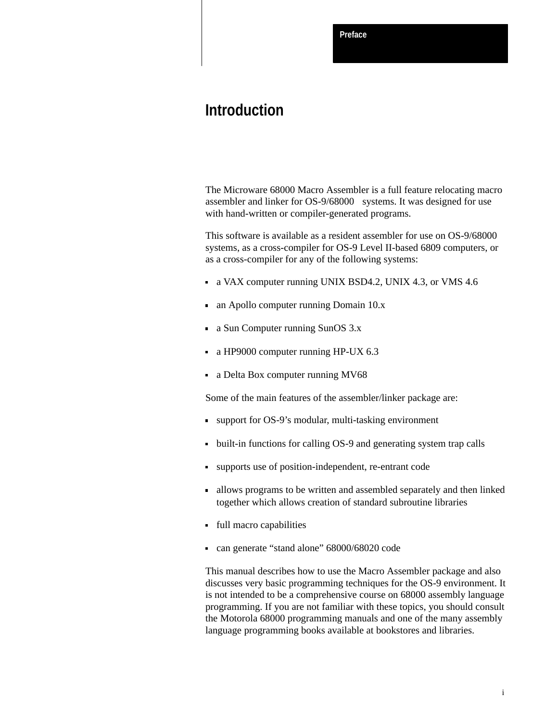**Preface**

# **Introduction**

The Microware 68000 Macro Assembler is a full feature relocating macro assembler and linker for OS-9/68000 $^{\circledR}$  systems. It was designed for use with hand-written or compiler-generated programs.

This software is available as a resident assembler for use on OS-9/68000 systems, as a cross-compiler for OS-9 Level II-based 6809 computers, or as a cross-compiler for any of the following systems:

- a VAX computer running UNIX BSD4.2, UNIX 4.3, or VMS 4.6
- an Apollo computer running Domain 10.x
- a Sun Computer running SunOS 3.x
- a HP9000 computer running HP-UX 6.3
- a Delta Box computer running MV68

Some of the main features of the assembler/linker package are:

- support for OS-9's modular, multi-tasking environment
- built-in functions for calling OS-9 and generating system trap calls
- supports use of position-independent, re-entrant code
- allows programs to be written and assembled separately and then linked together which allows creation of standard subroutine libraries
- full macro capabilities
- can generate "stand alone" 68000/68020 code

This manual describes how to use the Macro Assembler package and also discusses very basic programming techniques for the OS-9 environment. It is not intended to be a comprehensive course on 68000 assembly language programming. If you are not familiar with these topics, you should consult the Motorola 68000 programming manuals and one of the many assembly language programming books available at bookstores and libraries.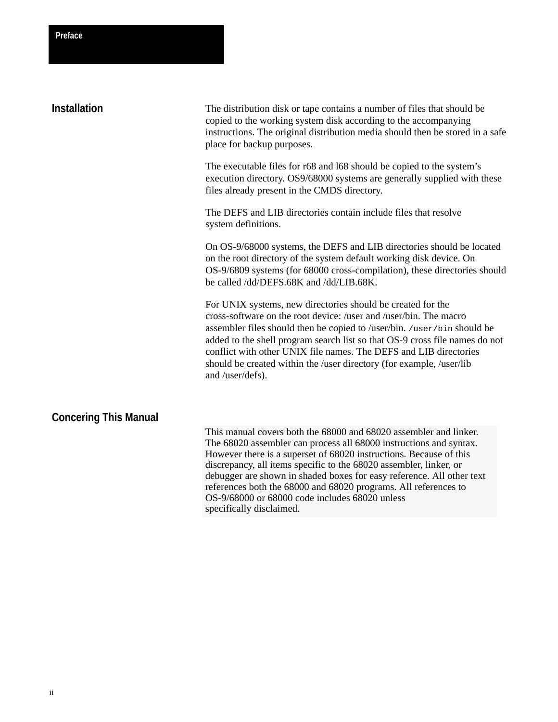| Preface             |                                                                                                                                                                                                                                                           |
|---------------------|-----------------------------------------------------------------------------------------------------------------------------------------------------------------------------------------------------------------------------------------------------------|
| <b>Installation</b> | The distribution disk or tape contains a number of files that should be<br>copied to the working system disk according to the accompanying<br>instructions. The original distribution media should then be stored in a safe<br>place for backup purposes. |
|                     | The executable files for r68 and 168 should be copied to the system's<br>execution directory. OS9/68000 systems are generally supplied with these<br>files already present in the CMDS directory.                                                         |
|                     | The DEFS and LIB directories contain include files that resolve<br>system definitions.                                                                                                                                                                    |
|                     | On OS-9/68000 systems, the DEFS and LIB directories should be located<br>on the root directory of the system default working disk device. On                                                                                                              |

On OS-9/68000 systems, the DEFS and LIB directories should be located m default working disk device. On OS-9/6809 systems (for 68000 cross-compilation), these directories should be called /dd/DEFS.68K and /dd/LIB.68K.

For UNIX systems, new directories should be created for the cross-software on the root device: /user and /user/bin. The macro assembler files should then be copied to /user/bin. /user/bin should be added to the shell program search list so that OS-9 cross file names do not conflict with other UNIX file names. The DEFS and LIB directories should be created within the /user directory (for example, /user/lib and /user/defs).

# **Concering This Manual**

This manual covers both the 68000 and 68020 assembler and linker. The 68020 assembler can process all 68000 instructions and syntax. However there is a superset of 68020 instructions. Because of this discrepancy, all items specific to the 68020 assembler, linker, or debugger are shown in shaded boxes for easy reference. All other text references both the 68000 and 68020 programs. All references to OS-9/68000 or 68000 code includes 68020 unless specifically disclaimed.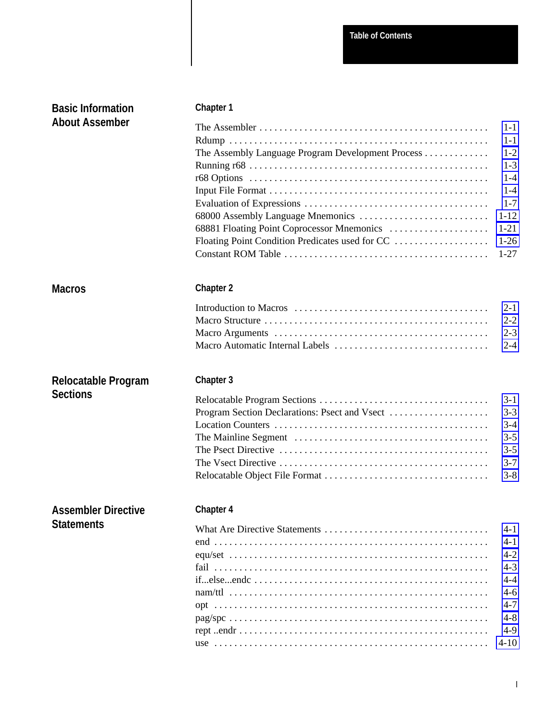| <b>Basic Information</b>   | <b>Chapter 1</b>                                                                                                       |          |  |
|----------------------------|------------------------------------------------------------------------------------------------------------------------|----------|--|
| <b>About Assember</b>      |                                                                                                                        | $1 - 1$  |  |
|                            |                                                                                                                        | $1 - 1$  |  |
|                            | The Assembly Language Program Development Process                                                                      | $1 - 2$  |  |
|                            |                                                                                                                        | $1 - 3$  |  |
|                            |                                                                                                                        | $1 - 4$  |  |
|                            |                                                                                                                        | $1 - 4$  |  |
|                            |                                                                                                                        | $1 - 7$  |  |
|                            |                                                                                                                        | $1 - 12$ |  |
|                            |                                                                                                                        | $1 - 21$ |  |
|                            | Floating Point Condition Predicates used for CC                                                                        | $1-26$   |  |
|                            |                                                                                                                        | $1-27$   |  |
| <b>Macros</b>              | <b>Chapter 2</b>                                                                                                       |          |  |
|                            |                                                                                                                        | $2 - 1$  |  |
|                            |                                                                                                                        | $2 - 2$  |  |
|                            |                                                                                                                        | $2 - 3$  |  |
|                            | Macro Automatic Internal Labels                                                                                        | $2 - 4$  |  |
| Relocatable Program        | <b>Chapter 3</b>                                                                                                       |          |  |
| <b>Sections</b>            |                                                                                                                        | $3-1$    |  |
|                            | Program Section Declarations: Psect and Vsect                                                                          | $3 - 3$  |  |
|                            |                                                                                                                        | $3 - 4$  |  |
|                            |                                                                                                                        | $3 - 5$  |  |
|                            |                                                                                                                        | $3 - 5$  |  |
|                            |                                                                                                                        | $3 - 7$  |  |
|                            |                                                                                                                        | $3 - 8$  |  |
| <b>Assembler Directive</b> | Chapter 4                                                                                                              |          |  |
| <b>Statements</b>          |                                                                                                                        | $4 - 1$  |  |
|                            |                                                                                                                        | $4 - 1$  |  |
|                            |                                                                                                                        | $4 - 2$  |  |
|                            |                                                                                                                        | $4 - 3$  |  |
|                            | ifelseende                                                                                                             | $4 - 4$  |  |
|                            |                                                                                                                        | $4-6$    |  |
|                            |                                                                                                                        | $4 - 7$  |  |
|                            | $pag/spec \dots \dots \dots \dots \dots \dots \dots \dots \dots \dots \dots \dots \dots \dots \dots \dots \dots \dots$ | $4 - 8$  |  |
|                            |                                                                                                                        | $4-9$    |  |
|                            |                                                                                                                        | $4-10$   |  |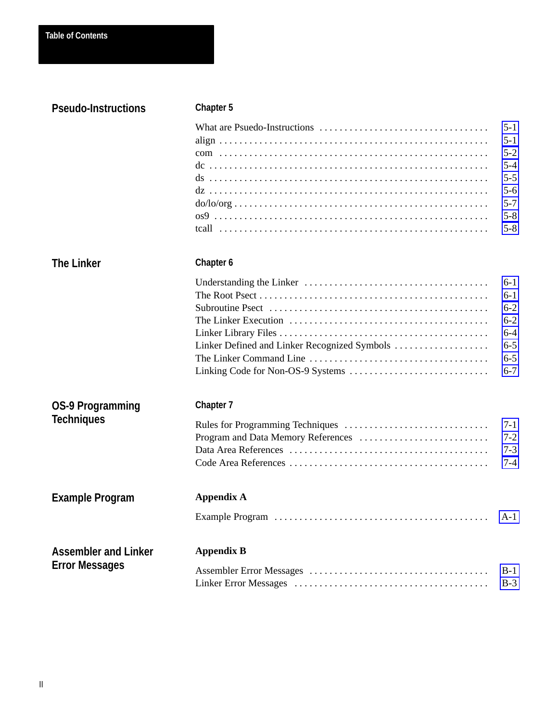| <b>Pseudo-Instructions</b>                   | <b>Chapter 5</b>                             |                                                                                               |
|----------------------------------------------|----------------------------------------------|-----------------------------------------------------------------------------------------------|
|                                              |                                              | $5-1$<br>$5 - 1$<br>$5 - 2$<br>$5 - 4$<br>$5 - 5$<br>$5 - 6$<br>$5 - 7$<br>$5 - 8$<br>$5 - 8$ |
| <b>The Linker</b>                            | Chapter 6                                    |                                                                                               |
|                                              | Linker Defined and Linker Recognized Symbols | $6-1$<br>$6-1$<br>$6 - 2$<br>$6 - 2$<br>$6 - 4$<br>$6 - 5$<br>$6 - 5$<br>$6 - 7$              |
| <b>OS-9 Programming</b><br><b>Techniques</b> | <b>Chapter 7</b>                             | $7-1$                                                                                         |
|                                              |                                              | $7 - 2$<br>$7 - 3$<br>$7 - 4$                                                                 |
| <b>Example Program</b>                       | <b>Appendix A</b>                            |                                                                                               |
|                                              |                                              | $A-1$                                                                                         |
| <b>Assembler and Linker</b>                  | <b>Appendix B</b>                            |                                                                                               |
| <b>Error Messages</b>                        |                                              | $B-1$<br>$B-3$                                                                                |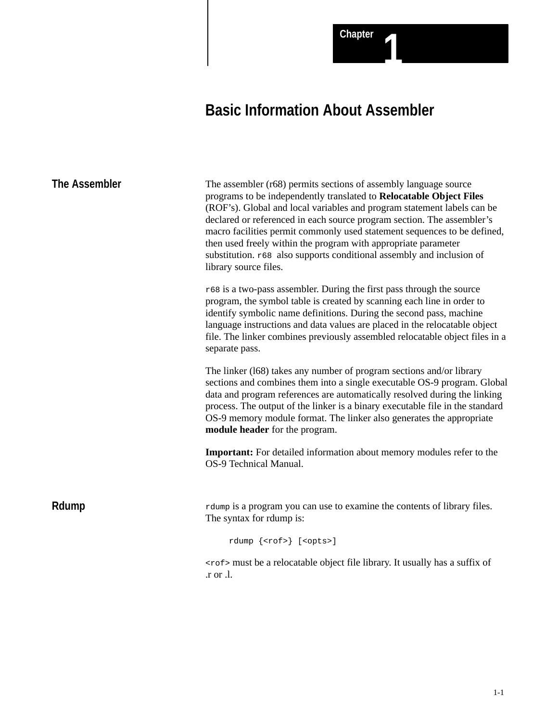# **Basic Information About Assembler**

<span id="page-6-0"></span>

| <b>The Assembler</b> | The assembler (r68) permits sections of assembly language source<br>programs to be independently translated to Relocatable Object Files<br>(ROF's). Global and local variables and program statement labels can be<br>declared or referenced in each source program section. The assembler's<br>macro facilities permit commonly used statement sequences to be defined,<br>then used freely within the program with appropriate parameter<br>substitution. r68 also supports conditional assembly and inclusion of<br>library source files.<br>$r68$ is a two-pass assembler. During the first pass through the source<br>program, the symbol table is created by scanning each line in order to<br>identify symbolic name definitions. During the second pass, machine<br>language instructions and data values are placed in the relocatable object<br>file. The linker combines previously assembled relocatable object files in a<br>separate pass. |
|----------------------|----------------------------------------------------------------------------------------------------------------------------------------------------------------------------------------------------------------------------------------------------------------------------------------------------------------------------------------------------------------------------------------------------------------------------------------------------------------------------------------------------------------------------------------------------------------------------------------------------------------------------------------------------------------------------------------------------------------------------------------------------------------------------------------------------------------------------------------------------------------------------------------------------------------------------------------------------------|
|                      | The linker (168) takes any number of program sections and/or library<br>sections and combines them into a single executable OS-9 program. Global<br>data and program references are automatically resolved during the linking<br>process. The output of the linker is a binary executable file in the standard<br>OS-9 memory module format. The linker also generates the appropriate<br>module header for the program.                                                                                                                                                                                                                                                                                                                                                                                                                                                                                                                                 |
|                      | <b>Important:</b> For detailed information about memory modules refer to the<br>OS-9 Technical Manual.                                                                                                                                                                                                                                                                                                                                                                                                                                                                                                                                                                                                                                                                                                                                                                                                                                                   |
| Rdump                | rdump is a program you can use to examine the contents of library files.<br>The syntax for rdump is:<br>rdump { <rof>} [<opts>]</opts></rof>                                                                                                                                                                                                                                                                                                                                                                                                                                                                                                                                                                                                                                                                                                                                                                                                             |
|                      | <rof> must be a relocatable object file library. It usually has a suffix of<br/>r or .l.</rof>                                                                                                                                                                                                                                                                                                                                                                                                                                                                                                                                                                                                                                                                                                                                                                                                                                                           |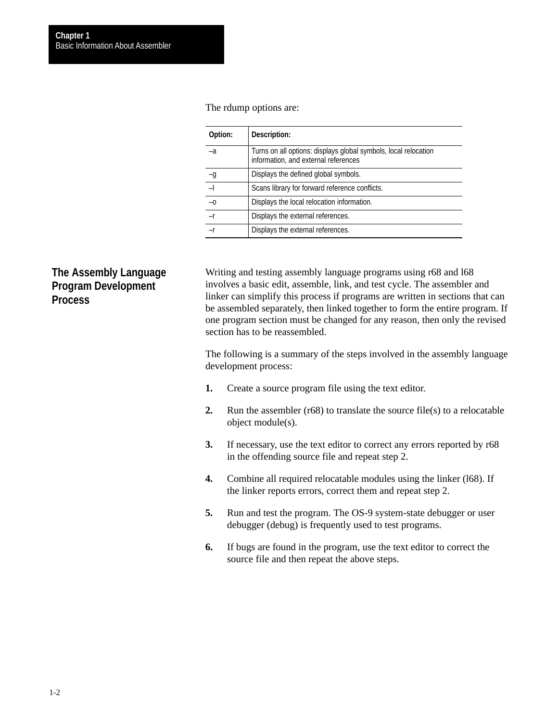<span id="page-7-0"></span>The rdump options are:

| Option:         | Description:                                                                                            |
|-----------------|---------------------------------------------------------------------------------------------------------|
| $-a$            | Turns on all options: displays global symbols, local relocation<br>information, and external references |
| $\frac{-g}{-1}$ | Displays the defined global symbols.                                                                    |
|                 | Scans library for forward reference conflicts.                                                          |
| $-0$            | Displays the local relocation information.                                                              |
| $-r$            | Displays the external references.                                                                       |
|                 | Displays the external references.                                                                       |

# **The Assembly Language Program Development Process**

Writing and testing assembly language programs using r68 and l68 involves a basic edit, assemble, link, and test cycle. The assembler and linker can simplify this process if programs are written in sections that can be assembled separately, then linked together to form the entire program. If one program section must be changed for any reason, then only the revised section has to be reassembled.

The following is a summary of the steps involved in the assembly language development process:

- **1.** Create a source program file using the text editor.
- **2.** Run the assembler (r68) to translate the source file(s) to a relocatable object module(s).
- **3.** If necessary, use the text editor to correct any errors reported by r68 in the offending source file and repeat step 2.
- **4.** Combine all required relocatable modules using the linker (l68). If the linker reports errors, correct them and repeat step 2.
- **5.** Run and test the program. The OS-9 system-state debugger or user debugger (debug) is frequently used to test programs.
- **6.** If bugs are found in the program, use the text editor to correct the source file and then repeat the above steps.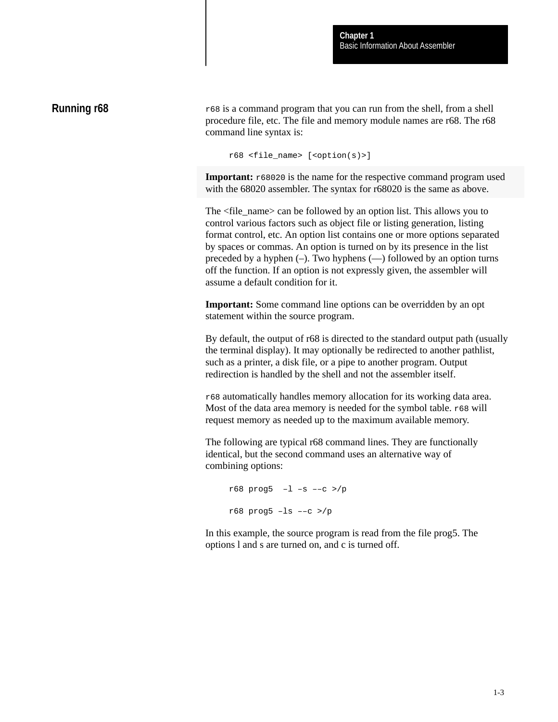# <span id="page-8-0"></span>**Running r68**

r68 is a command program that you can run from the shell, from a shell procedure file, etc. The file and memory module names are r68. The r68 command line syntax is:

```
r68 <file_name> [<option(s)>]
```
**Important:**  $r68020$  is the name for the respective command program used with the 68020 assembler. The syntax for r68020 is the same as above.

The <file\_name> can be followed by an option list. This allows you to control various factors such as object file or listing generation, listing format control, etc. An option list contains one or more options separated by spaces or commas. An option is turned on by its presence in the list preceded by a hyphen  $(-)$ . Two hyphens  $(-)$  followed by an option turns off the function. If an option is not expressly given, the assembler will assume a default condition for it.

**Important:** Some command line options can be overridden by an opt statement within the source program.

By default, the output of r68 is directed to the standard output path (usually the terminal display). It may optionally be redirected to another pathlist, such as a printer, a disk file, or a pipe to another program. Output redirection is handled by the shell and not the assembler itself.

r68 automatically handles memory allocation for its working data area. Most of the data area memory is needed for the symbol table.  $r68$  will request memory as needed up to the maximum available memory.

The following are typical r68 command lines. They are functionally identical, but the second command uses an alternative way of combining options:

```
r68 prog5 –l –s ––c >/p
r68 prog5 –ls ––c >/p
```
In this example, the source program is read from the file prog5. The options l and s are turned on, and c is turned off.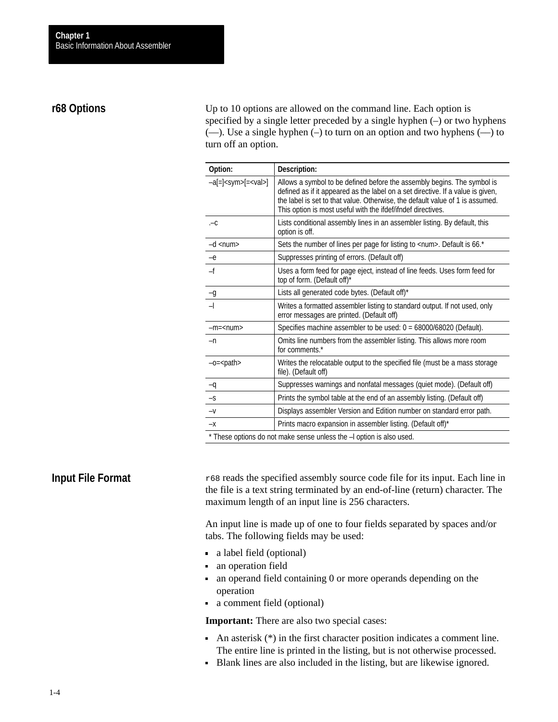# <span id="page-9-0"></span>**r68 Options**

Up to 10 options are allowed on the command line. Each option is specified by a single letter preceded by a single hyphen (–) or two hyphens (––). Use a single hyphen (–) to turn on an option and two hyphens (––) to turn off an option.

| Option:                            | Description:                                                                                                                                                                                                                                                                                                |
|------------------------------------|-------------------------------------------------------------------------------------------------------------------------------------------------------------------------------------------------------------------------------------------------------------------------------------------------------------|
| $-a$ [=] <sym>[=<val>]</val></sym> | Allows a symbol to be defined before the assembly begins. The symbol is<br>defined as if it appeared as the label on a set directive. If a value is given,<br>the label is set to that value. Otherwise, the default value of 1 is assumed.<br>This option is most useful with the ifdef/ifndef directives. |
| $-c$                               | Lists conditional assembly lines in an assembler listing. By default, this<br>option is off.                                                                                                                                                                                                                |
| $-d$ <num></num>                   | Sets the number of lines per page for listing to <num>. Default is 66.*</num>                                                                                                                                                                                                                               |
| $-e$                               | Suppresses printing of errors. (Default off)                                                                                                                                                                                                                                                                |
| $-f$                               | Uses a form feed for page eject, instead of line feeds. Uses form feed for<br>top of form. (Default off)*                                                                                                                                                                                                   |
| $-g$                               | Lists all generated code bytes. (Default off)*                                                                                                                                                                                                                                                              |
| $\overline{a}$                     | Writes a formatted assembler listing to standard output. If not used, only<br>error messages are printed. (Default off)                                                                                                                                                                                     |
| $-m =$ <num></num>                 | Specifies machine assembler to be used: 0 = 68000/68020 (Default).                                                                                                                                                                                                                                          |
| $-n$                               | Omits line numbers from the assembler listing. This allows more room<br>for comments.*                                                                                                                                                                                                                      |
| $-c =$ $-path$                     | Writes the relocatable output to the specified file (must be a mass storage<br>file). (Default off)                                                                                                                                                                                                         |
| $-q$                               | Suppresses warnings and nonfatal messages (quiet mode). (Default off)                                                                                                                                                                                                                                       |
| $-S$                               | Prints the symbol table at the end of an assembly listing. (Default off)                                                                                                                                                                                                                                    |
| $-V$                               | Displays assembler Version and Edition number on standard error path.                                                                                                                                                                                                                                       |
| $-\mathsf{X}$                      | Prints macro expansion in assembler listing. (Default off)*                                                                                                                                                                                                                                                 |
|                                    | * These options do not make sense unless the -l option is also used                                                                                                                                                                                                                                         |

e options do not make sense unless the –l option is also u

# **Input File Format**

r68 reads the specified assembly source code file for its input. Each line in the file is a text string terminated by an end-of-line (return) character. The maximum length of an input line is 256 characters.

An input line is made up of one to four fields separated by spaces and/or tabs. The following fields may be used:

- a label field (optional)
- an operation field
- an operand field containing 0 or more operands depending on the operation
- a comment field (optional)

**Important:** There are also two special cases:

- An asterisk  $(*)$  in the first character position indicates a comment line. The entire line is printed in the listing, but is not otherwise processed.
- Blank lines are also included in the listing, but are likewise ignored.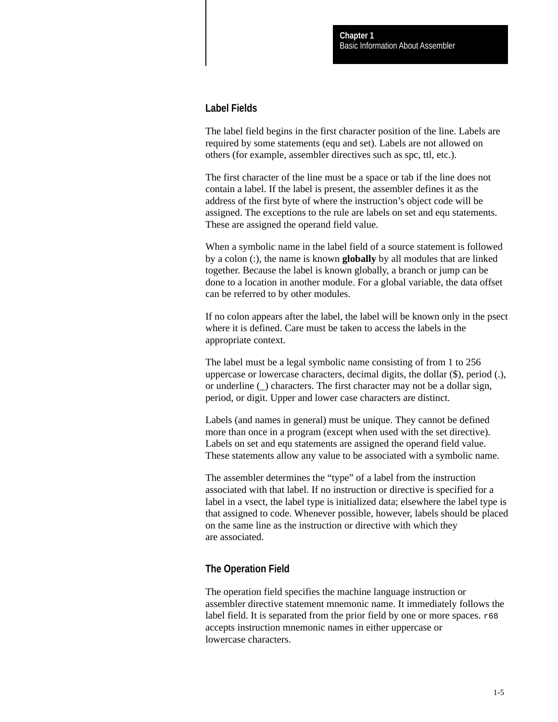### **Label Fields**

The label field begins in the first character position of the line. Labels are required by some statements (equ and set). Labels are not allowed on others (for example, assembler directives such as spc, ttl, etc.).

The first character of the line must be a space or tab if the line does not contain a label. If the label is present, the assembler defines it as the address of the first byte of where the instruction's object code will be assigned. The exceptions to the rule are labels on set and equ statements. These are assigned the operand field value.

When a symbolic name in the label field of a source statement is followed by a colon (:), the name is known **globally** by all modules that are linked together. Because the label is known globally, a branch or jump can be done to a location in another module. For a global variable, the data offset can be referred to by other modules.

If no colon appears after the label, the label will be known only in the psect where it is defined. Care must be taken to access the labels in the appropriate context.

The label must be a legal symbolic name consisting of from 1 to 256 uppercase or lowercase characters, decimal digits, the dollar (\$), period (.), or underline (\_) characters. The first character may not be a dollar sign, period, or digit. Upper and lower case characters are distinct.

Labels (and names in general) must be unique. They cannot be defined more than once in a program (except when used with the set directive). Labels on set and equ statements are assigned the operand field value. These statements allow any value to be associated with a symbolic name.

The assembler determines the "type" of a label from the instruction associated with that label. If no instruction or directive is specified for a label in a vsect, the label type is initialized data; elsewhere the label type is that assigned to code. Whenever possible, however, labels should be placed on the same line as the instruction or directive with which they are associated.

# **The Operation Field**

The operation field specifies the machine language instruction or assembler directive statement mnemonic name. It immediately follows the label field. It is separated from the prior field by one or more spaces.  $r68$ accepts instruction mnemonic names in either uppercase or lowercase characters.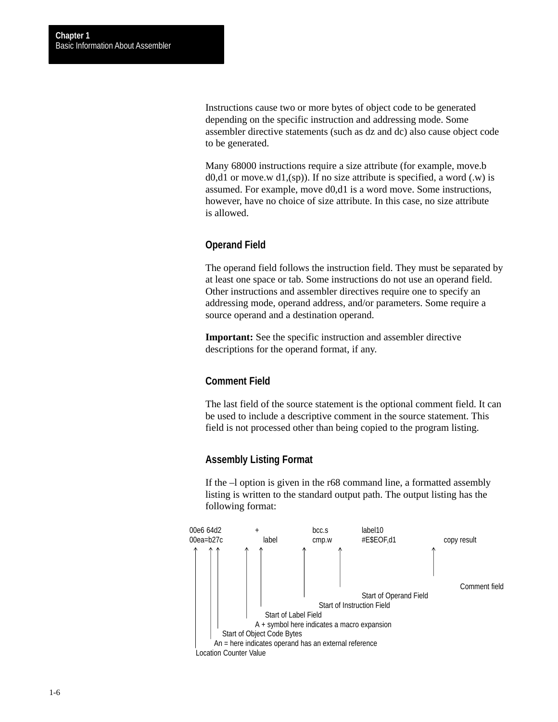Instructions cause two or more bytes of object code to be generated depending on the specific instruction and addressing mode. Some assembler directive statements (such as dz and dc) also cause object code to be generated.

Many 68000 instructions require a size attribute (for example, move.b  $d0, d1$  or move.w  $d1, (sp)$ ). If no size attribute is specified, a word (.w) is assumed. For example, move d0,d1 is a word move. Some instructions, however, have no choice of size attribute. In this case, no size attribute is allowed.

# **Operand Field**

The operand field follows the instruction field. They must be separated by at least one space or tab. Some instructions do not use an operand field. Other instructions and assembler directives require one to specify an addressing mode, operand address, and/or parameters. Some require a source operand and a destination operand.

**Important:** See the specific instruction and assembler directive descriptions for the operand format, if any.

# **Comment Field**

The last field of the source statement is the optional comment field. It can be used to include a descriptive comment in the source statement. This field is not processed other than being copied to the program listing.

### **Assembly Listing Format**

If the –l option is given in the r68 command line, a formatted assembly listing is written to the standard output path. The output listing has the following format:

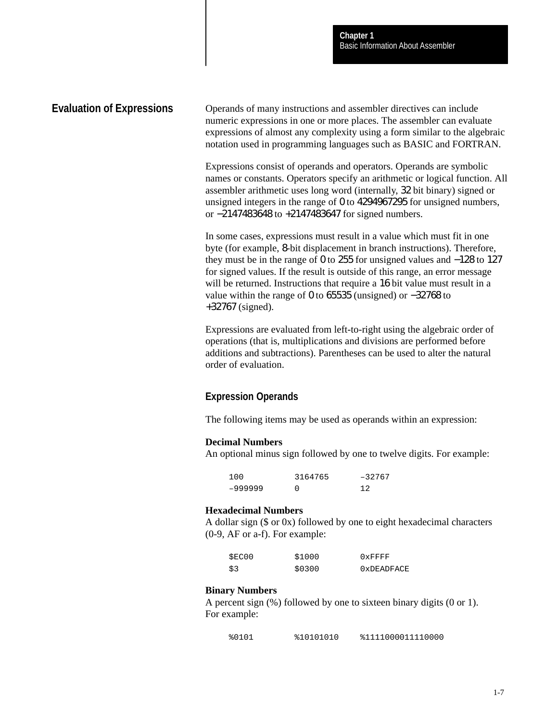### <span id="page-12-0"></span>**Evaluation of Expressions**

Operands of many instructions and assembler directives can include numeric expressions in one or more places. The assembler can evaluate expressions of almost any complexity using a form similar to the algebraic notation used in programming languages such as BASIC and FORTRAN.

Expressions consist of operands and operators. Operands are symbolic names or constants. Operators specify an arithmetic or logical function. All assembler arithmetic uses long word (internally, 32 bit binary) signed or unsigned integers in the range of 0 to 4294967295 for unsigned numbers, or −2147483648 to +2147483647 for signed numbers.

In some cases, expressions must result in a value which must fit in one byte (for example, 8-bit displacement in branch instructions). Therefore, they must be in the range of 0 to 255 for unsigned values and −128 to 127 for signed values. If the result is outside of this range, an error message will be returned. Instructions that require a 16 bit value must result in a value within the range of 0 to 65535 (unsigned) or −32768 to +32767 (signed).

Expressions are evaluated from left-to-right using the algebraic order of operations (that is, multiplications and divisions are performed before additions and subtractions). Parentheses can be used to alter the natural order of evaluation.

# **Expression Operands**

The following items may be used as operands within an expression:

#### **Decimal Numbers**

An optional minus sign followed by one to twelve digits. For example:

| 100     | 3164765 | $-32767$ |
|---------|---------|----------|
| -999999 |         | 12       |

#### **Hexadecimal Numbers**

A dollar sign (\$ or 0x) followed by one to eight hexadecimal characters (0-9, AF or a-f). For example:

| SEC00 | \$1000 | $0x$ FFFF  |
|-------|--------|------------|
| \$3   | \$0300 | 0xDEADFACE |

#### **Binary Numbers**

A percent sign (%) followed by one to sixteen binary digits (0 or 1). For example:

%0101 %10101010 %1111000011110000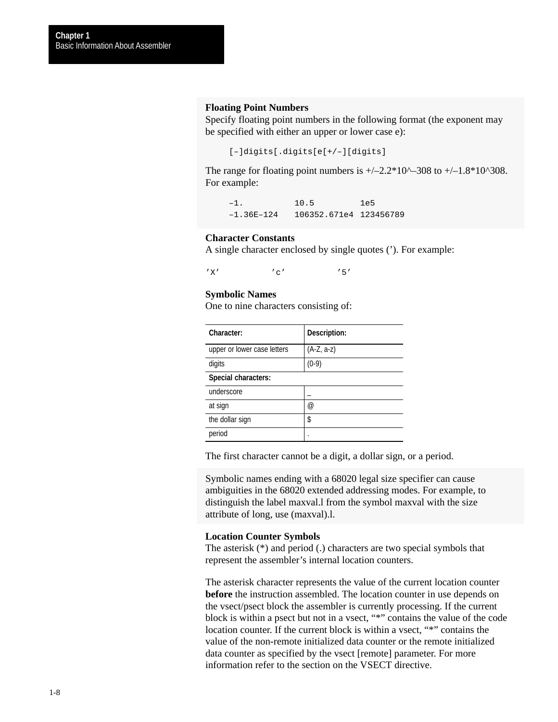#### **Floating Point Numbers**

Specify floating point numbers in the following format (the exponent may be specified with either an upper or lower case e):

```
[–]digits[.digits[e[+/–][digits]
```
The range for floating point numbers is  $+/-2.2*10^{\scriptstyle\wedge}308$  to  $+/-1.8*10^{\scriptstyle\wedge}308$ . For example:

–1. 10.5 1e5 –1.36E–124 106352.671e4 123456789

#### **Character Constants**

A single character enclosed by single quotes ('). For example:

 $'X'$  'c' '5'

#### **Symbolic Names**

One to nine characters consisting of:

| Character:                  | Description: |
|-----------------------------|--------------|
| upper or lower case letters | $(A-Z, a-z)$ |
| digits                      | $(0-9)$      |
| Special characters:         |              |
| underscore                  |              |
| at sign                     | @)           |
| the dollar sign             | \$           |
| period                      |              |

The first character cannot be a digit, a dollar sign, or a period.

Symbolic names ending with a 68020 legal size specifier can cause ambiguities in the 68020 extended addressing modes. For example, to distinguish the label maxval.l from the symbol maxval with the size attribute of long, use (maxval).l.

#### **Location Counter Symbols**

The asterisk (\*) and period (.) characters are two special symbols that represent the assembler's internal location counters.

The asterisk character represents the value of the current location counter **before** the instruction assembled. The location counter in use depends on the vsect/psect block the assembler is currently processing. If the current block is within a psect but not in a vsect, "\*" contains the value of the code location counter. If the current block is within a vsect, "\*" contains the value of the non-remote initialized data counter or the remote initialized data counter as specified by the vsect [remote] parameter. For more information refer to the section on the VSECT directive.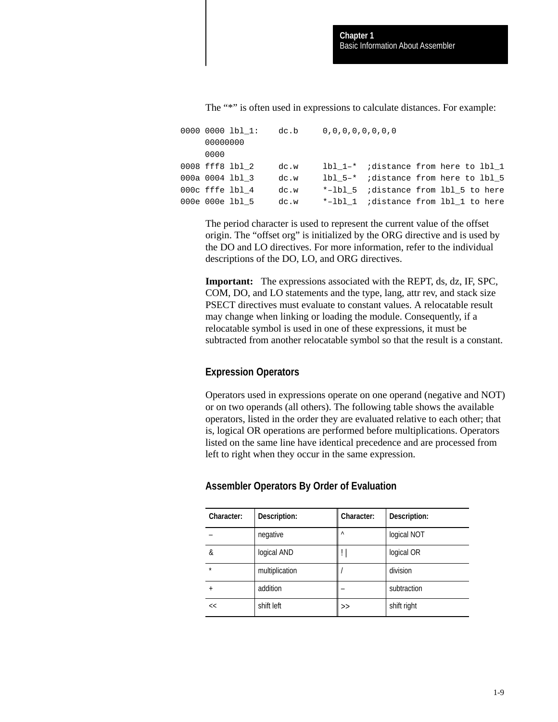The "\*" is often used in expressions to calculate distances. For example:

0000 0000 lbl\_1: dc.b 0,0,0,0,0,0,0,0,0 00000000 0000 0008 fff8 lbl\_2 dc.w lbl\_1–\* ;distance from here to lbl\_1 000a 0004 lbl  $3$  dc.w lbl  $5-*$  ;distance from here to lbl  $5$ 000c fffe lbl\_4 dc.w \*-lbl\_5 ;distance from lbl\_5 to here 000e 000e lbl\_5 dc.w \*-lbl\_1 ;distance from lbl\_1 to here

The period character is used to represent the current value of the offset origin. The "offset org" is initialized by the ORG directive and is used by the DO and LO directives. For more information, refer to the individual descriptions of the DO, LO, and ORG directives.

**Important:** The expressions associated with the REPT, ds, dz, IF, SPC, COM, DO, and LO statements and the type, lang, attr rev, and stack size PSECT directives must evaluate to constant values. A relocatable result may change when linking or loading the module. Consequently, if a relocatable symbol is used in one of these expressions, it must be subtracted from another relocatable symbol so that the result is a constant.

# **Expression Operators**

Operators used in expressions operate on one operand (negative and NOT) or on two operands (all others). The following table shows the available operators, listed in the order they are evaluated relative to each other; that is, logical OR operations are performed before multiplications. Operators listed on the same line have identical precedence and are processed from left to right when they occur in the same expression.

| Character: | Description:   | Character: | Description: |
|------------|----------------|------------|--------------|
|            | negative       | $\wedge$   | logical NOT  |
| &          | logical AND    | Ħ          | logical OR   |
| $\star$    | multiplication |            | division     |
| $\ddot{}$  | addition       |            | subtraction  |
| <<         | shift left     | >          | shift right  |

# **Assembler Operators By Order of Evaluation**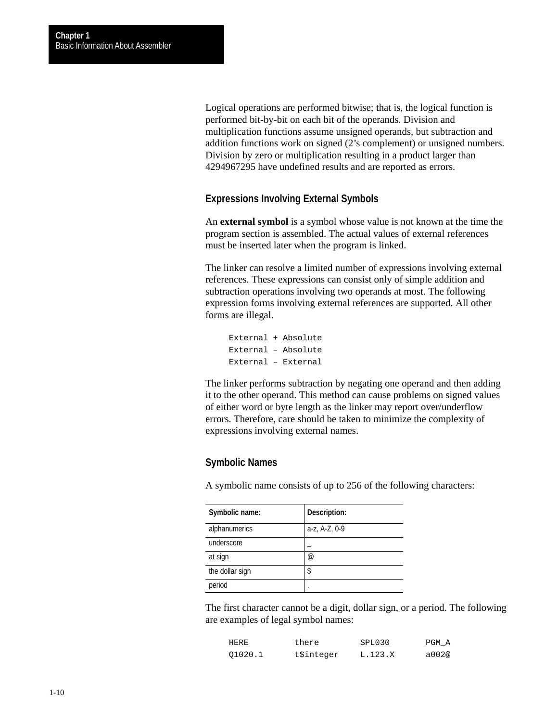Logical operations are performed bitwise; that is, the logical function is performed bit-by-bit on each bit of the operands. Division and multiplication functions assume unsigned operands, but subtraction and addition functions work on signed (2's complement) or unsigned numbers. Division by zero or multiplication resulting in a product larger than 4294967295 have undefined results and are reported as errors.

### **Expressions Involving External Symbols**

An **external symbol** is a symbol whose value is not known at the time the program section is assembled. The actual values of external references must be inserted later when the program is linked.

The linker can resolve a limited number of expressions involving external references. These expressions can consist only of simple addition and subtraction operations involving two operands at most. The following expression forms involving external references are supported. All other forms are illegal.

```
External + Absolute
External – Absolute
External – External
```
The linker performs subtraction by negating one operand and then adding it to the other operand. This method can cause problems on signed values of either word or byte length as the linker may report over/underflow errors. Therefore, care should be taken to minimize the complexity of expressions involving external names.

### **Symbolic Names**

A symbolic name consists of up to 256 of the following characters:

| Symbolic name:  | Description:         |
|-----------------|----------------------|
| alphanumerics   | a-z, A-Z, 0-9        |
| underscore      |                      |
| at sign         | $^{\textregistered}$ |
| the dollar sign | \$                   |
| period          |                      |

The first character cannot be a digit, dollar sign, or a period. The following are examples of legal symbol names:

| HERE    | there      | SPL030  | PGM A |
|---------|------------|---------|-------|
| 01020.1 | t\$integer | L.123.X | a002@ |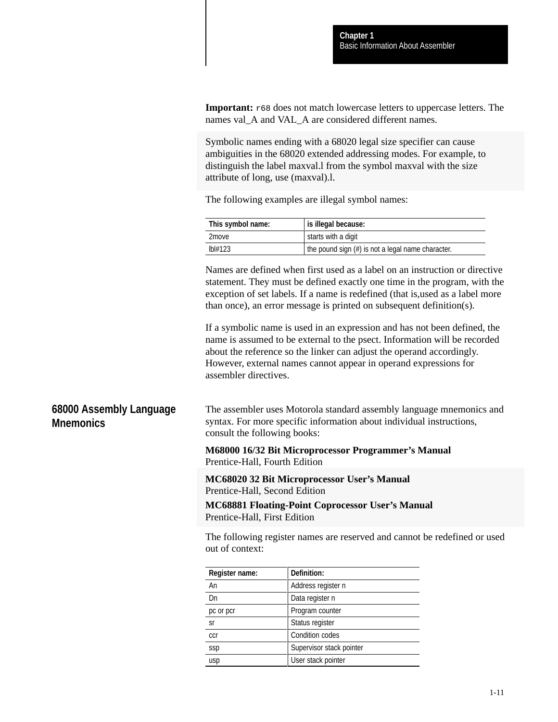**Important:**  $r68$  does not match lowercase letters to uppercase letters. The names val A and VAL A are considered different names.

Symbolic names ending with a 68020 legal size specifier can cause ambiguities in the 68020 extended addressing modes. For example, to distinguish the label maxval.l from the symbol maxval with the size attribute of long, use (maxval).l.

The following examples are illegal symbol names:

| This symbol name: | is illegal because:                                  |
|-------------------|------------------------------------------------------|
| 2 <sub>move</sub> | starts with a digit                                  |
| Ibl#123           | the pound sign $(\#)$ is not a legal name character. |

Names are defined when first used as a label on an instruction or directive statement. They must be defined exactly one time in the program, with the exception of set labels. If a name is redefined (that is,used as a label more than once), an error message is printed on subsequent definition(s).

If a symbolic name is used in an expression and has not been defined, the name is assumed to be external to the psect. Information will be recorded about the reference so the linker can adjust the operand accordingly. However, external names cannot appear in operand expressions for assembler directives.

# **68000 Assembly Language Mnemonics**

The assembler uses Motorola standard assembly language mnemonics and syntax. For more specific information about individual instructions, consult the following books:

**M68000 16/32 Bit Microprocessor Programmer's Manual** Prentice-Hall, Fourth Edition

**MC68020 32 Bit Microprocessor User's Manual** Prentice-Hall, Second Edition

**MC68881 Floating-Point Coprocessor User's Manual** Prentice-Hall, First Edition

The following register names are reserved and cannot be redefined or used out of context:

| Register name: | Definition:              |
|----------------|--------------------------|
| An             | Address register n       |
| Dn             | Data register n          |
| pc or pcr      | Program counter          |
| <b>Sr</b>      | Status register          |
| ccr            | Condition codes          |
| ssp            | Supervisor stack pointer |
| usp            | User stack pointer       |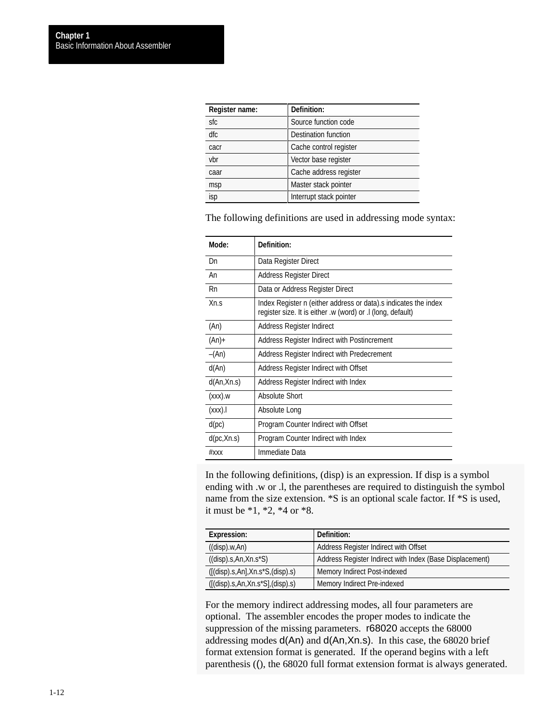<span id="page-17-0"></span>

| Register name: | Definition:                 |
|----------------|-----------------------------|
| sfc            | Source function code        |
| dfc            | <b>Destination function</b> |
| cacr           | Cache control register      |
| vbr            | Vector base register        |
| caar           | Cache address register      |
| msp            | Master stack pointer        |
| isp            | Interrupt stack pointer     |

The following definitions are used in addressing mode syntax:

| Mode:       | Definition:                                                                                                                    |
|-------------|--------------------------------------------------------------------------------------------------------------------------------|
| Dn          | Data Register Direct                                                                                                           |
| An          | Address Register Direct                                                                                                        |
| Rn          | Data or Address Register Direct                                                                                                |
| Xn.S        | Index Register n (either address or data).s indicates the index<br>register size. It is either .w (word) or .l (long, default) |
| (An)        | Address Register Indirect                                                                                                      |
| $(An)+$     | Address Register Indirect with Postincrement                                                                                   |
| $-(An)$     | Address Register Indirect with Predecrement                                                                                    |
| d(An)       | Address Register Indirect with Offset                                                                                          |
| d(An,Xn.s)  | Address Register Indirect with Index                                                                                           |
| $(xxx)$ .w  | Absolute Short                                                                                                                 |
| (xxx).      | Absolute Long                                                                                                                  |
| d(pc)       | Program Counter Indirect with Offset                                                                                           |
| d(pc, Xn.s) | Program Counter Indirect with Index                                                                                            |
| $#$ xxx     | Immediate Data                                                                                                                 |

In the following definitions, (disp) is an expression. If disp is a symbol ending with .w or .l, the parentheses are required to distinguish the symbol name from the size extension. \*S is an optional scale factor. If \*S is used, it must be \*1, \*2, \*4 or \*8.

| <b>Expression:</b>                 | Definition:                                              |
|------------------------------------|----------------------------------------------------------|
| ((disp).w, An)                     | Address Register Indirect with Offset                    |
| $((disp).s,An,Xn.s^*S)$            | Address Register Indirect with Index (Base Displacement) |
| $([$ (disp).s,An],Xn.s*S,(disp).s) | Memory Indirect Post-indexed                             |
| $([$ (disp).s,An,Xn.s*S],(disp).s) | Memory Indirect Pre-indexed                              |

For the memory indirect addressing modes, all four parameters are optional. The assembler encodes the proper modes to indicate the suppression of the missing parameters. r68020 accepts the 68000 addressing modes d(An) and d(An,Xn.s). In this case, the 68020 brief format extension format is generated. If the operand begins with a left parenthesis ((), the 68020 full format extension format is always generated.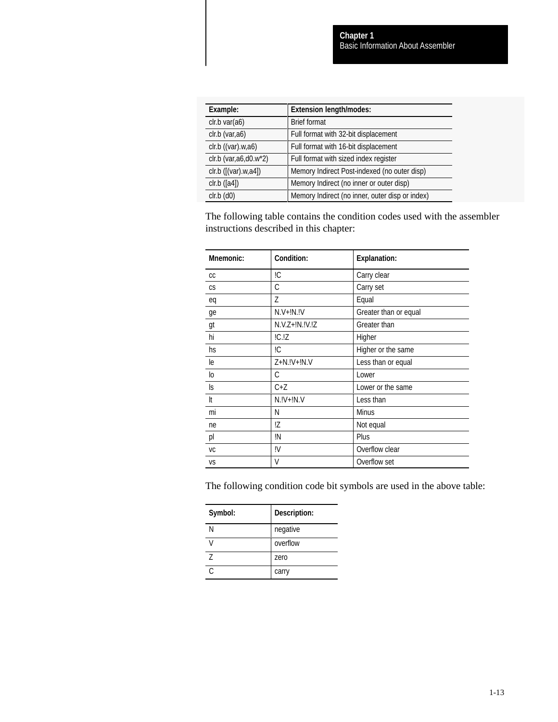| Example:                | <b>Extension length/modes:</b>                  |
|-------------------------|-------------------------------------------------|
| clr.b var(a6)           | <b>Brief format</b>                             |
| clr.b (var,a6)          | Full format with 32-bit displacement            |
| $clr.b$ ((var).w,a6)    | Full format with 16-bit displacement            |
| clr.b (var, a6, d0.w*2) | Full format with sized index register           |
| clr.b ([(var).w, a4])   | Memory Indirect Post-indexed (no outer disp)    |
| $clr.b$ ([a4])          | Memory Indirect (no inner or outer disp)        |
| $clr.b$ $(d0)$          | Memory Indirect (no inner, outer disp or index) |

The following table contains the condition codes used with the assembler instructions described in this chapter:

| <b>Mnemonic:</b> | Condition:       |                       |
|------------------|------------------|-----------------------|
|                  |                  | <b>Explanation:</b>   |
| CC               | ļС               | Carry clear           |
| CS               | C                | Carry set             |
| eq               | 7                | Equal                 |
| ge               | $N.V+IN.IV$      | Greater than or equal |
| gt               | $N.V.Z+IN.IV.IZ$ | Greater than          |
| hi               | IC.IZ            | Higher                |
| hs               | ļС               | Higher or the same    |
| le               | $Z + N$ .!V+!N.V | Less than or equal    |
| lо               | С                | Lower                 |
| ls.              | $C+Z$            | Lower or the same     |
| It               | $N.IV+IN.V$      | Less than             |
| mi               | N                | <b>Minus</b>          |
| ne               | !Z               | Not equal             |
| pl               | ļΝ               | Plus                  |
| VC               | ļΜ               | Overflow clear        |
| VS               | V                | Overflow set          |

The following condition code bit symbols are used in the above table:

| Symbol: | Description: |
|---------|--------------|
| N       | negative     |
| V       | overflow     |
| 7       | zero         |
| ◠       | carry        |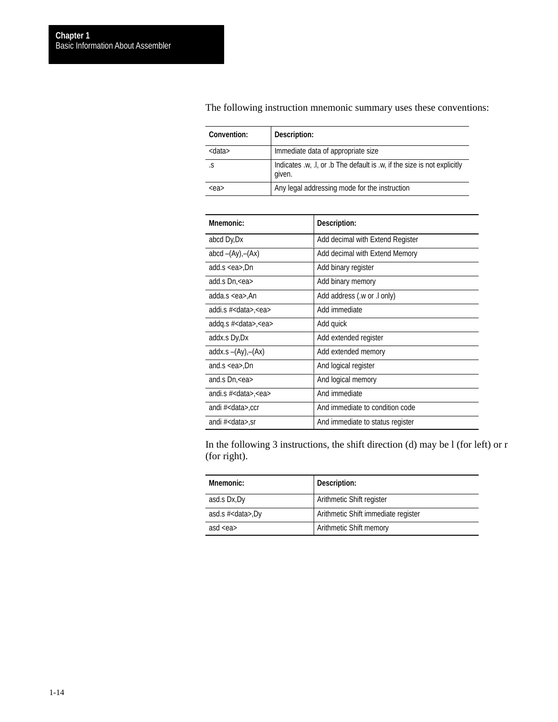| Convention:   | Description:                                                                       |
|---------------|------------------------------------------------------------------------------------|
| <data></data> | Immediate data of appropriate size                                                 |
| .S            | Indicates .w, .l, or .b The default is .w, if the size is not explicitly<br>given. |
| $<$ ea>       | Any legal addressing mode for the instruction                                      |

The following instruction mnemonic summary uses these conventions:

| Mnemonic:                        | Description:                     |
|----------------------------------|----------------------------------|
| abcd Dy, Dx                      | Add decimal with Extend Register |
| abcd $-(Ay)$ , $-(Ax)$           | Add decimal with Extend Memory   |
| add.s <ea>,Dn</ea>               | Add binary register              |
| add.s Dn, <ea></ea>              | Add binary memory                |
| adda.s <ea>,An</ea>              | Add address (.w or .l only)      |
| addi.s # <data>,<ea></ea></data> | Add immediate                    |
| addg.s $#<$ data>, $<$ ea>       | Add quick                        |
| addx.s Dy,Dx                     | Add extended register            |
| addx.s $-(Ay)$ , $-(Ax)$         | Add extended memory              |
| and.s $\leq$ ea $>$ ,Dn          | And logical register             |
| and.s Dn, <ea></ea>              | And logical memory               |
| andi.s # <data>,<ea></ea></data> | And immediate                    |
| andi # <data>,ccr</data>         | And immediate to condition code  |
| andi # <data>,sr</data>          | And immediate to status register |

In the following 3 instructions, the shift direction (d) may be l (for left) or r (for right).

| Mnemonic:                | Description:                        |
|--------------------------|-------------------------------------|
| asd.s Dx, Dy             | Arithmetic Shift register           |
| asd.s # <data>,Dy</data> | Arithmetic Shift immediate register |
| asd $\langle$ ea $>$     | Arithmetic Shift memory             |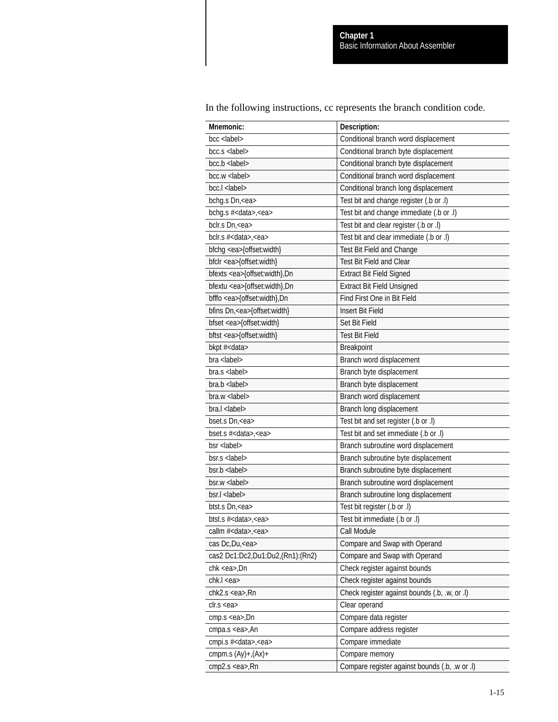In the following instructions, cc represents the branch condition code.

| Mnemonic:                          | Description:                                   |
|------------------------------------|------------------------------------------------|
| bcc <label></label>                | Conditional branch word displacement           |
| $bcc.s$ $<$ $ abel$ >              | Conditional branch byte displacement           |
| $bcc.b$ < label >                  | Conditional branch byte displacement           |
| $bcc.w$ <label></label>            | Conditional branch word displacement           |
| bcc.l <label></label>              | Conditional branch long displacement           |
| bchg.s Dn, <ea></ea>               | Test bit and change register (.b or .l)        |
| bchg.s # <data>,<ea></ea></data>   | Test bit and change immediate (.b or .l)       |
| bclr.s Dn, <ea></ea>               | Test bit and clear register (.b or .l)         |
| bclr.s # <data>,<ea></ea></data>   | Test bit and clear immediate (.b or .l)        |
| bfchg <ea>{offset:width}</ea>      | Test Bit Field and Change                      |
| bfclr <ea>{offset:width}</ea>      | <b>Test Bit Field and Clear</b>                |
| bfexts <ea>{offset:width}, Dn</ea> | <b>Extract Bit Field Signed</b>                |
| bfextu <ea>{offset:width}, Dn</ea> | <b>Extract Bit Field Unsigned</b>              |
| bfffo <ea>{offset:width},Dn</ea>   | Find First One in Bit Field                    |
| bfins Dn, <ea>{offset:width}</ea>  | <b>Insert Bit Field</b>                        |
| bfset <ea>{offset:width}</ea>      | Set Bit Field                                  |
| bftst <ea>{offset:width}</ea>      | <b>Test Bit Field</b>                          |
| bkpt # <data></data>               | Breakpoint                                     |
| $bra$ <label></label>              | Branch word displacement                       |
| $bra.s$ <label></label>            | Branch byte displacement                       |
| $bra.b$ <label></label>            | Branch byte displacement                       |
| $bra.w$ <label></label>            | Branch word displacement                       |
| bra.l <label></label>              | Branch long displacement                       |
| bset.s Dn, <ea></ea>               | Test bit and set register (.b or .l)           |
| bset.s # <data>,<ea></ea></data>   | Test bit and set immediate (.b or .l)          |
| bsr <label></label>                | Branch subroutine word displacement            |
| $b$ sr.s <label></label>           | Branch subroutine byte displacement            |
| $bsr.b$ <label></label>            | Branch subroutine byte displacement            |
| $bsr.w$ <label></label>            | Branch subroutine word displacement            |
| bsr.l <label></label>              | Branch subroutine long displacement            |
| btst.s Dn, <ea></ea>               | Test bit register (.b or .l)                   |
| btst.s # <data>,<ea></ea></data>   | Test bit immediate (.b or .l)                  |
| callm # <data>,<ea></ea></data>    | Call Module                                    |
| cas Dc, Du, <ea></ea>              | Compare and Swap with Operand                  |
| cas2 Dc1:Dc2,Du1:Du2,(Rn1):(Rn2)   | Compare and Swap with Operand                  |
| chk <ea>,Dn</ea>                   | Check register against bounds                  |
| chk.l <ea></ea>                    | Check register against bounds                  |
| chk2.s <ea>,Rn</ea>                | Check register against bounds (.b, .w, or .l)  |
| clr.s < <i>ea</i>                  | Clear operand                                  |
| cmp.s <ea>,Dn</ea>                 | Compare data register                          |
| cmpa.s <ea>,An</ea>                | Compare address register                       |
| cmpi.s # <data>,<ea></ea></data>   | Compare immediate                              |
| cmpm.s $(Ay)$ +, $(Ax)$ +          | Compare memory                                 |
| cmp2.s <ea>,Rn</ea>                | Compare register against bounds (.b, .w or .l) |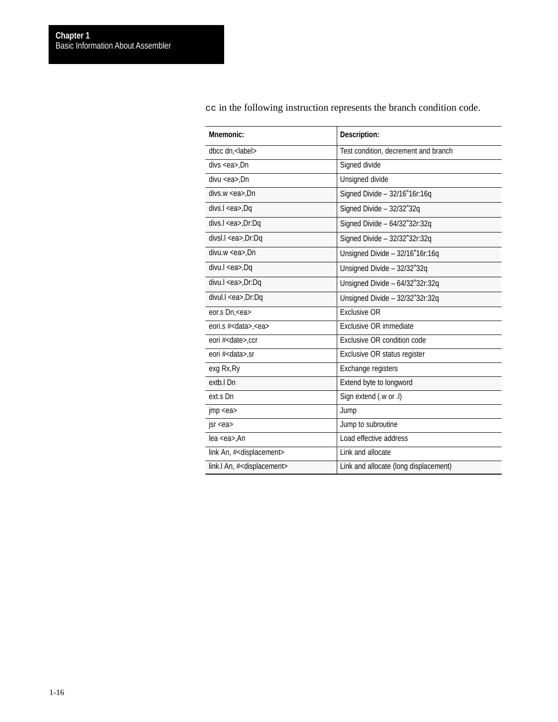| Mnemonic:                                  | Description:                          |
|--------------------------------------------|---------------------------------------|
| dbcc dn, <label></label>                   | Test condition, decrement and branch  |
| divs <ea>,Dn</ea>                          | Signed divide                         |
| $divu < e$ a>.Dn                           | Unsigned divide                       |
| $divs.w < ea$ , Dn                         | Signed Divide - 32/16"16r:16q         |
| divs.l <ea>,Dq</ea>                        | Signed Divide - 32/32"32q             |
| divs.l <ea>,Dr:Dq</ea>                     | Signed Divide $-64/32"32r:32q$        |
| divsl.l <ea>,Dr:Dq</ea>                    | Signed Divide - 32/32"32r:32q         |
| $divu.w < e$ a>.Dn                         | Unsigned Divide - 32/16"16r:16q       |
| divu.l <ea>,Dq</ea>                        | Unsigned Divide - 32/32"32q           |
| divu.l <ea>,Dr:Dq</ea>                     | Unsigned Divide - 64/32"32r:32q       |
| divul.l <ea>,Dr:Dq</ea>                    | Unsigned Divide - 32/32"32r:32q       |
| eor.s Dn, <ea></ea>                        | <b>Exclusive OR</b>                   |
| eori.s # <data>,<ea></ea></data>           | Exclusive OR immediate                |
| eori # <date>,ccr</date>                   | Exclusive OR condition code           |
| eori # <data>,sr</data>                    | Exclusive OR status register          |
| exg Rx, Ry                                 | Exchange registers                    |
| extb.I Dn                                  | Extend byte to longword               |
| ext.s Dn                                   | Sign extend (.w or .l)                |
| $\mathsf{imp}\ll 2$                        | Jump                                  |
| sr < ea                                    | Jump to subroutine                    |
| lea <ea>,An</ea>                           | Load effective address                |
| link An, # <displacement></displacement>   | Link and allocate                     |
| link.I An, # <displacement></displacement> | Link and allocate (long displacement) |

cc in the following instruction represents the branch condition code.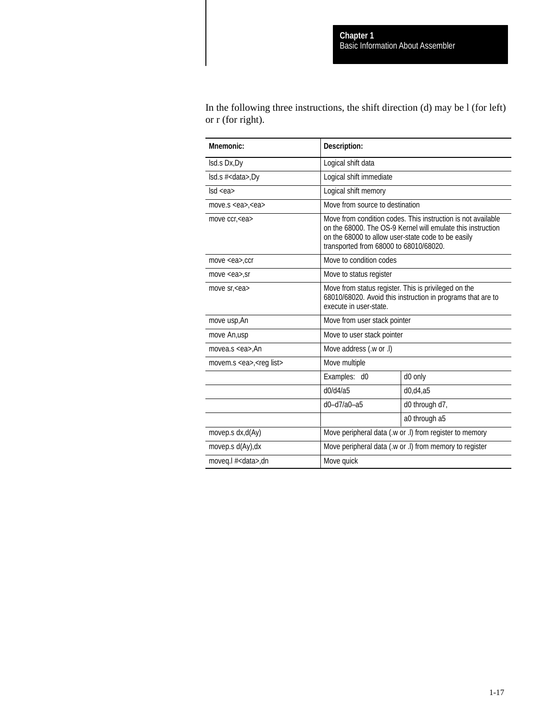In the following three instructions, the shift direction (d) may be l (for left) or r (for right).

| Mnemonic:                             | Description:                                                                                 |                                                                                                                             |
|---------------------------------------|----------------------------------------------------------------------------------------------|-----------------------------------------------------------------------------------------------------------------------------|
| Isd.s Dx, Dy                          | Logical shift data                                                                           |                                                                                                                             |
| $Isd.s$ # <data>,Dy</data>            | Logical shift immediate                                                                      |                                                                                                                             |
| $\textsf{lsd}$ <ea></ea>              | Logical shift memory                                                                         |                                                                                                                             |
| move.s $<$ ea>, $<$ ea>               | Move from source to destination                                                              |                                                                                                                             |
| move ccr, <ea></ea>                   | on the 68000 to allow user-state code to be easily<br>transported from 68000 to 68010/68020. | Move from condition codes. This instruction is not available<br>on the 68000. The OS-9 Kernel will emulate this instruction |
| move <ea>,ccr</ea>                    | Move to condition codes                                                                      |                                                                                                                             |
| move $<$ ea $>$ , sr                  | Move to status register                                                                      |                                                                                                                             |
| move sr, <ea></ea>                    | Move from status register. This is privileged on the<br>execute in user-state.               | 68010/68020. Avoid this instruction in programs that are to                                                                 |
| move usp, An                          | Move from user stack pointer                                                                 |                                                                                                                             |
| move An,usp                           | Move to user stack pointer                                                                   |                                                                                                                             |
| movea.s $<$ ea>.An                    | Move address (.w or .l)                                                                      |                                                                                                                             |
| movem.s <ea>,<reg list=""></reg></ea> | Move multiple                                                                                |                                                                                                                             |
|                                       | Examples: d0                                                                                 | d0 only                                                                                                                     |
|                                       | d0/d4/a5                                                                                     | d0, d4, a5                                                                                                                  |
|                                       | $d0-d7/a0-a5$                                                                                | d0 through d7,                                                                                                              |
|                                       |                                                                                              | a0 through a5                                                                                                               |
| movep.s dx,d(Ay)                      |                                                                                              | Move peripheral data (.w or .l) from register to memory                                                                     |
| movep.s d(Ay), dx                     | Move peripheral data (.w or .l) from memory to register                                      |                                                                                                                             |
| moveg.l # <data>,dn</data>            | Move quick                                                                                   |                                                                                                                             |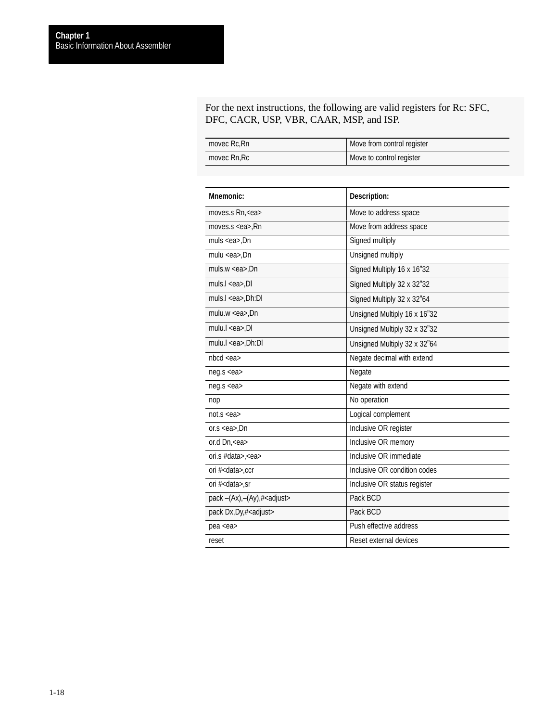For the next instructions, the following are valid registers for Rc: SFC, DFC, CACR, USP, VBR, CAAR, MSP, and ISP.

| movec Rc.Rn | Move from control register |
|-------------|----------------------------|
| movec Rn.Rc | Move to control register   |

| Mnemonic:                            | Description:                 |
|--------------------------------------|------------------------------|
| moves.s Rn, <ea></ea>                | Move to address space        |
| moves.s $<$ ea>, $Rn$                | Move from address space      |
| muls $<$ ea>,Dn                      | Signed multiply              |
| mulu $<$ ea>,Dn                      | Unsigned multiply            |
| muls.w $<$ ea>,Dn                    | Signed Multiply 16 x 16"32   |
| muls.l <ea>,Dl</ea>                  | Signed Multiply 32 x 32"32   |
| muls.l <ea>,Dh:Dl</ea>               | Signed Multiply 32 x 32"64   |
| mulu.w $<$ ea>,Dn                    | Unsigned Multiply 16 x 16"32 |
| mulu. $l <$ ea>,Dl                   | Unsigned Multiply 32 x 32"32 |
| mulu.l <ea>,Dh:Dl</ea>               | Unsigned Multiply 32 x 32"64 |
| nbcd < ea                            | Negate decimal with extend   |
| neg.s <ea></ea>                      | Negate                       |
| neg.s <ea></ea>                      | Negate with extend           |
| nop                                  | No operation                 |
| not.s < <i>ea</i>                    | Logical complement           |
| or.s $<$ ea>.Dn                      | Inclusive OR register        |
| or.d Dn, <ea></ea>                   | Inclusive OR memory          |
| ori.s #data>, <ea></ea>              | Inclusive OR immediate       |
| ori # <data>,ccr</data>              | Inclusive OR condition codes |
| ori # <data>,sr</data>               | Inclusive OR status register |
| pack -(Ax),-(Ay),# <adjust></adjust> | Pack BCD                     |
| pack Dx, Dy, # <adjust></adjust>     | Pack BCD                     |
| pea <ea></ea>                        | Push effective address       |
| reset                                | Reset external devices       |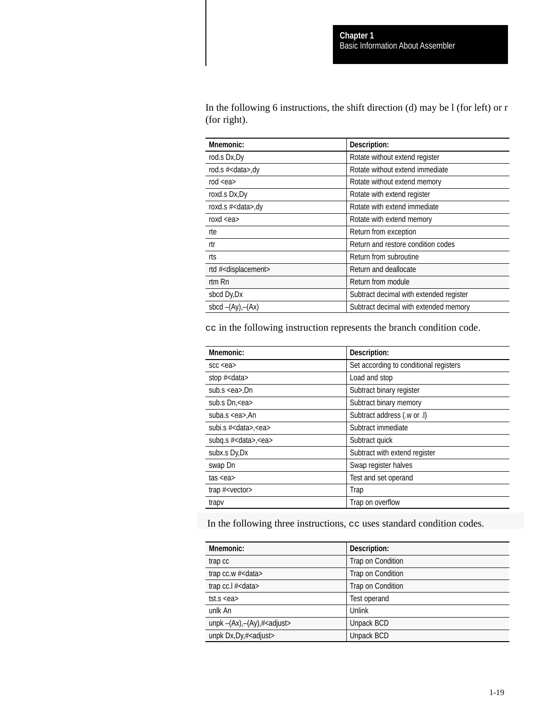In the following 6 instructions, the shift direction (d) may be l (for left) or r (for right).

| Mnemonic:                           | Description:                            |
|-------------------------------------|-----------------------------------------|
| rod.s Dx, Dy                        | Rotate without extend register          |
| rod.s # <data>,dy</data>            | Rotate without extend immediate         |
| rod $<$ ea $>$                      | Rotate without extend memory            |
| roxd.s Dx, Dy                       | Rotate with extend register             |
| roxd.s # <data>,dy</data>           | Rotate with extend immediate            |
| roxd $\leq$ ea $>$                  | Rotate with extend memory               |
| rte                                 | Return from exception                   |
| rtr                                 | Return and restore condition codes      |
| rts                                 | Return from subroutine                  |
| rtd # <displacement></displacement> | Return and deallocate                   |
| rtm Rn                              | Return from module                      |
| sbcd Dy, Dx                         | Subtract decimal with extended register |
| sbcd $-(Ay)$ , $-(Ax)$              | Subtract decimal with extended memory   |

cc in the following instruction represents the branch condition code.

| <b>Mnemonic:</b>           | Description:                           |
|----------------------------|----------------------------------------|
| SCC < ea                   | Set according to conditional registers |
| stop $#<$ data>            | Load and stop                          |
| sub.s $<$ ea>,Dn           | Subtract binary register               |
| sub.s Dn, <ea></ea>        | Subtract binary memory                 |
| suba.s <ea>,An</ea>        | Subtract address (.w or .l)            |
| subi.s $#<$ data>. $<$ ea> | Subtract immediate                     |
| subg.s $#<$ data>, $<$ ea> | Subtract quick                         |
| subx.s Dy, Dx              | Subtract with extend register          |
| swap Dn                    | Swap register halves                   |
| tas <e<sub>a</e<sub>       | Test and set operand                   |
| trap # <vector></vector>   | Trap                                   |
| trapy                      | Trap on overflow                       |

In the following three instructions, cc uses standard condition codes.

| Mnemonic:                                      | Description:      |
|------------------------------------------------|-------------------|
| trap cc                                        | Trap on Condition |
| trap cc.w # <data></data>                      | Trap on Condition |
| trap cc.l # <data></data>                      | Trap on Condition |
| tst.s $<$ ea $>$                               | Test operand      |
| unlk An                                        | <b>Unlink</b>     |
| unpk $-(Ax)$ , $-(Ay)$ , $#$ <adjust></adjust> | Unpack BCD        |
| unpk $Dx, Dy, \# <$ adjust>                    | Unpack BCD        |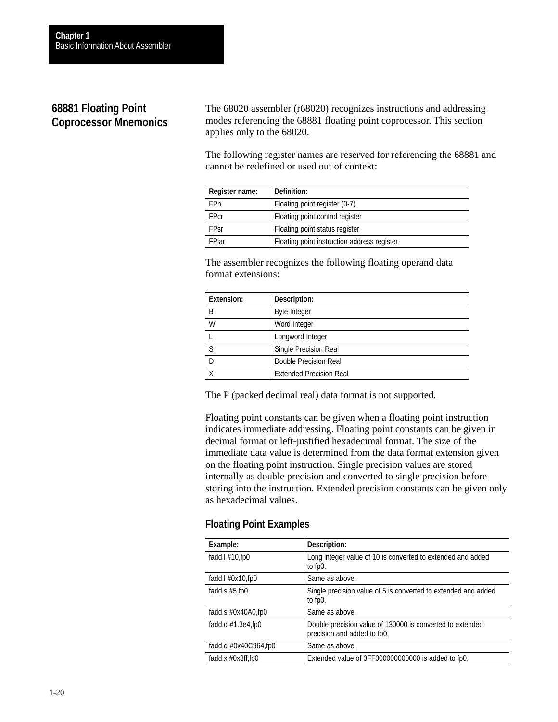# **68881 Floating Point Coprocessor Mnemonics**

The 68020 assembler (r68020) recognizes instructions and addressing modes referencing the 68881 floating point coprocessor. This section applies only to the 68020.

The following register names are reserved for referencing the 68881 and cannot be redefined or used out of context:

| Register name: | Definition:                                 |
|----------------|---------------------------------------------|
| <b>FPn</b>     | Floating point register (0-7)               |
| <b>FPcr</b>    | Floating point control register             |
| <b>FPsr</b>    | Floating point status register              |
| FPiar          | Floating point instruction address register |

The assembler recognizes the following floating operand data format extensions:

| <b>Extension:</b> | Description:                   |
|-------------------|--------------------------------|
| В                 | <b>Byte Integer</b>            |
| W                 | Word Integer                   |
|                   | Longword Integer               |
|                   | Single Precision Real          |
|                   | Double Precision Real          |
|                   | <b>Extended Precision Real</b> |

The P (packed decimal real) data format is not supported.

Floating point constants can be given when a floating point instruction indicates immediate addressing. Floating point constants can be given in decimal format or left-justified hexadecimal format. The size of the immediate data value is determined from the data format extension given on the floating point instruction. Single precision values are stored internally as double precision and converted to single precision before storing into the instruction. Extended precision constants can be given only as hexadecimal values.

# **Floating Point Examples**

| Example:                       | Description:                                                                             |
|--------------------------------|------------------------------------------------------------------------------------------|
| fadd. $\frac{1}{4}$ 10, fp0    | Long integer value of 10 is converted to extended and added<br>to fp0.                   |
| fadd. $\frac{1}{2}$ #0x10, fp0 | Same as above.                                                                           |
| fadd.s $#5$ , fp0              | Single precision value of 5 is converted to extended and added<br>to fp0.                |
| fadd.s $\#0x40A0$ ,fp0         | Same as above.                                                                           |
| fadd.d $#1.3e4$ , fp0          | Double precision value of 130000 is converted to extended<br>precision and added to fp0. |
| fadd.d $#0x40C964$ , fp0       | Same as above.                                                                           |
| fadd.x $#0x3ff,fp0$            | Extended value of 3FF000000000000 is added to fp0.                                       |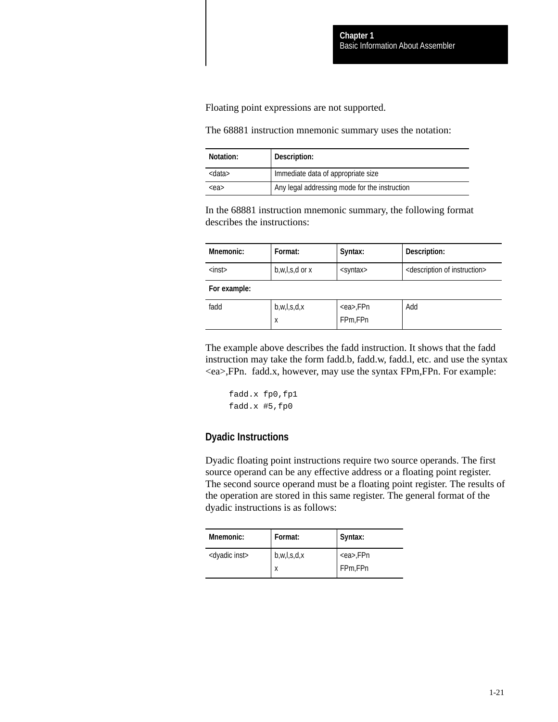<span id="page-26-0"></span>Floating point expressions are not supported.

The 68881 instruction mnemonic summary uses the notation:

| Notation:     | Description:                                  |
|---------------|-----------------------------------------------|
| <data></data> | Immediate data of appropriate size            |
| <ea></ea>     | Any legal addressing mode for the instruction |

In the 68881 instruction mnemonic summary, the following format describes the instructions:

| <b>Mnemonic:</b> | Format:            | Syntax:           | Description:                                     |
|------------------|--------------------|-------------------|--------------------------------------------------|
| $<$ inst $>$     | $b,w,l,s,d$ or $x$ | <syntax></syntax> | <description instruction="" of=""></description> |
| For example:     |                    |                   |                                                  |
| fadd             | b,w,l,s,d,x        | <ea>,FPn</ea>     | Add                                              |
|                  | X                  | FPm,FPn           |                                                  |

The example above describes the fadd instruction. It shows that the fadd instruction may take the form fadd.b, fadd.w, fadd.l, etc. and use the syntax <ea>,FPn. fadd.x, however, may use the syntax FPm,FPn. For example:

```
fadd.x fp0,fp1
fadd.x #5,fp0
```
### **Dyadic Instructions**

Dyadic floating point instructions require two source operands. The first source operand can be any effective address or a floating point register. The second source operand must be a floating point register. The results of the operation are stored in this same register. The general format of the dyadic instructions is as follows:

| Mnemonic:                 | Format:     | Syntax:       |
|---------------------------|-------------|---------------|
| <dyadic inst=""></dyadic> | b,w,l,s,d,x | <ea>,FPn</ea> |
|                           | x           | FPm,FPn       |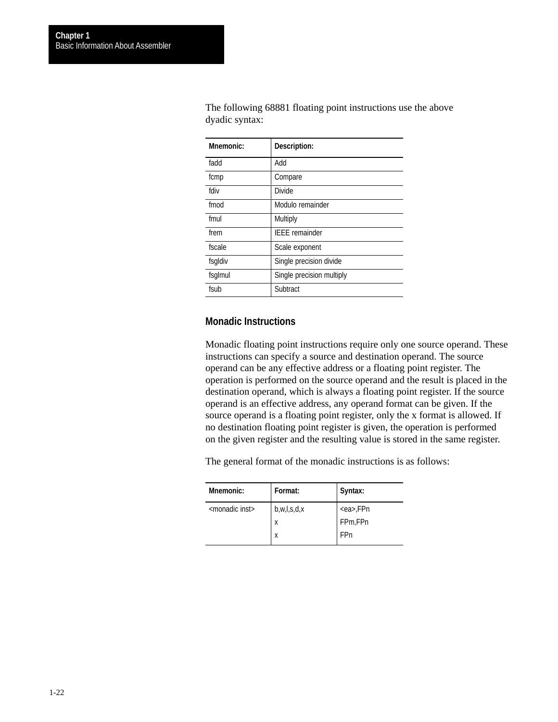| Mnemonic: | Description:              |
|-----------|---------------------------|
| fadd      | Add                       |
| fcmp      | Compare                   |
| fdiv      | <b>Divide</b>             |
| fmod      | Modulo remainder          |
| fmul      | Multiply                  |
| frem      | <b>IEEE</b> remainder     |
| fscale    | Scale exponent            |
| fsgldiv   | Single precision divide   |
| fsglmul   | Single precision multiply |
| fsub      | Subtract                  |

The following 68881 floating point instructions use the above dyadic syntax:

### **Monadic Instructions**

Monadic floating point instructions require only one source operand. These instructions can specify a source and destination operand. The source operand can be any effective address or a floating point register. The operation is performed on the source operand and the result is placed in the destination operand, which is always a floating point register. If the source operand is an effective address, any operand format can be given. If the source operand is a floating point register, only the x format is allowed. If no destination floating point register is given, the operation is performed on the given register and the resulting value is stored in the same register.

The general format of the monadic instructions is as follows:

| Mnemonic:                   | Format:     | Syntax:       |
|-----------------------------|-------------|---------------|
| <monadic inst=""></monadic> | b,w,l,s,d,x | <ea>,FPn</ea> |
|                             | X           | FPm,FPn       |
|                             | X           | FPn           |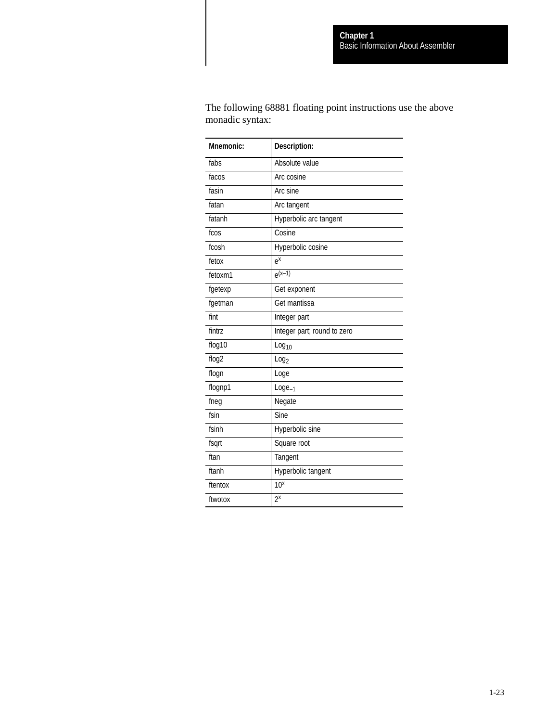The following 68881 floating point instructions use the above monadic syntax:

| <b>Mnemonic:</b>  | Description:                |
|-------------------|-----------------------------|
| fabs              | Absolute value              |
| facos             | Arc cosine                  |
| fasin             | Arc sine                    |
| fatan             | Arc tangent                 |
| fatanh            | Hyperbolic arc tangent      |
| fcos              | Cosine                      |
| fcosh             | Hyperbolic cosine           |
| fetox             | $e^{x}$                     |
| fetoxm1           | $e^{(x-1)}$                 |
| fgetexp           | Get exponent                |
| fgetman           | Get mantissa                |
| fint              | Integer part                |
| fintrz            | Integer part; round to zero |
| flog10            | Log <sub>10</sub>           |
| flog <sub>2</sub> | Log <sub>2</sub>            |
| flogn             | Loge                        |
| flognp1           | $Logic_{-1}$                |
| fneg              | Negate                      |
| fsin              | Sine                        |
| fsinh             | Hyperbolic sine             |
| fsqrt             | Square root                 |
| ftan              | Tangent                     |
| ftanh             | Hyperbolic tangent          |
| ftentox           | 10 <sup>x</sup>             |
| ftwotox           | $2^{x}$                     |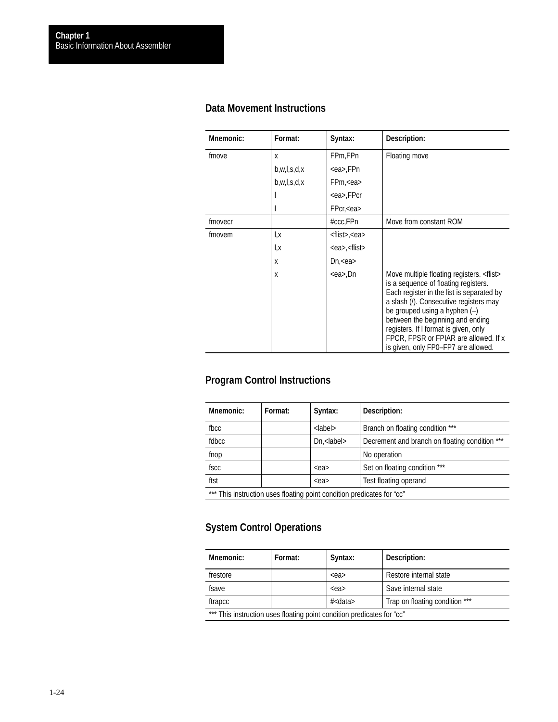# **Data Movement Instructions**

| Mnemonic: | Format:     | Syntax:                          | Description:                                                                                                                                                                                                                                                                                                                                                                                        |
|-----------|-------------|----------------------------------|-----------------------------------------------------------------------------------------------------------------------------------------------------------------------------------------------------------------------------------------------------------------------------------------------------------------------------------------------------------------------------------------------------|
| fmove     | X           | FPm,FPn                          | Floating move                                                                                                                                                                                                                                                                                                                                                                                       |
|           | b,w,l,s,d,x | <ea>,FPn</ea>                    |                                                                                                                                                                                                                                                                                                                                                                                                     |
|           | b,w,l,s,d,x | FPm, <ea< td=""><td></td></ea<>  |                                                                                                                                                                                                                                                                                                                                                                                                     |
|           |             | <ea>,FPcr</ea>                   |                                                                                                                                                                                                                                                                                                                                                                                                     |
|           |             | FPer, <ea< td=""><td></td></ea<> |                                                                                                                                                                                                                                                                                                                                                                                                     |
| fmovecr   |             | #ccc,FPn                         | Move from constant ROM                                                                                                                                                                                                                                                                                                                                                                              |
| fmovem    | l,χ         | <flist>,<ea></ea></flist>        |                                                                                                                                                                                                                                                                                                                                                                                                     |
|           | l,x         | <ea>,<flist></flist></ea>        |                                                                                                                                                                                                                                                                                                                                                                                                     |
|           | x           | $Dn$ , $<$ ea $>$                |                                                                                                                                                                                                                                                                                                                                                                                                     |
|           | x           | <ea>,Dn</ea>                     | Move multiple floating registers. <flist><br/>is a sequence of floating registers.<br/>Each register in the list is separated by<br/>a slash (/). Consecutive registers may<br/>be grouped using a hyphen <math>(-)</math><br/>between the beginning and ending<br/>registers. If I format is given, only<br/>FPCR, FPSR or FPIAR are allowed. If x<br/>is given, only FP0-FP7 are allowed.</flist> |

# **Program Control Instructions**

| <b>Mnemonic:</b>                                                       | Format: | Syntax:                    | Description:                                   |
|------------------------------------------------------------------------|---------|----------------------------|------------------------------------------------|
| fbcc                                                                   |         | <label></label>            | Branch on floating condition ***               |
| fdbcc.                                                                 |         | $Dn$ , $\langle$ label $>$ | Decrement and branch on floating condition *** |
| fnop                                                                   |         |                            | No operation                                   |
| fscc                                                                   |         | $<$ ea>                    | Set on floating condition ***                  |
| ftst                                                                   |         | $<$ ea>                    | Test floating operand                          |
| *** This instruction uses floating point condition predicates for "cc" |         |                            |                                                |

# **System Control Operations**

| Mnemonic:                                                              | Format: | Syntax: | Description:           |
|------------------------------------------------------------------------|---------|---------|------------------------|
| frestore                                                               |         | $<$ ea> | Restore internal state |
| fsave                                                                  |         | $<$ ea> | Save internal state    |
| Trap on floating condition ***<br># <data><br/>ftrapcc</data>          |         |         |                        |
| *** This instruction uses floating point condition predicates for "cc" |         |         |                        |

1-24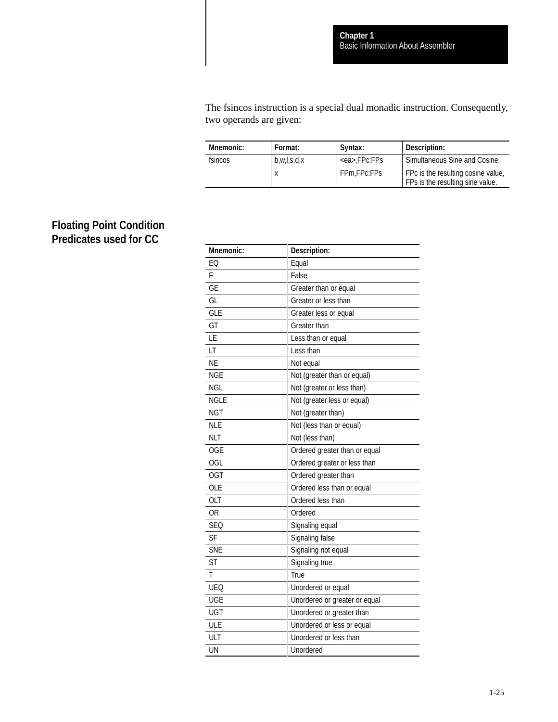The fsincos instruction is a special dual monadic instruction. Consequently, two operands are given:

| <b>Mnemonic:</b> | Format:     | Svntax:           | Description:                                                           |
|------------------|-------------|-------------------|------------------------------------------------------------------------|
| fsincos          | b,w,l,s,d,x | <ea>.FPc:FPs</ea> | Simultaneous Sine and Cosine.                                          |
|                  |             | FPm.FPc:FPs       | FPc is the resulting cosine value,<br>FPs is the resulting sine value. |

# **Floating Point Condition Predicates used for CC**

| Mnemonic:   | Description:                  |
|-------------|-------------------------------|
| FO          | Equal                         |
| F           | False                         |
| GE          | Greater than or equal         |
| GL          | Greater or less than          |
| <b>GLE</b>  | Greater less or equal         |
| GT          | Greater than                  |
| LE          | Less than or equal            |
| LT          | Less than                     |
| <b>NE</b>   | Not equal                     |
| <b>NGE</b>  | Not (greater than or equal)   |
| <b>NGL</b>  | Not (greater or less than)    |
| <b>NGLE</b> | Not (greater less or equal)   |
| <b>NGT</b>  | Not (greater than)            |
| <b>NLE</b>  | Not (less than or equal)      |
| <b>NLT</b>  | Not (less than)               |
| <b>OGE</b>  | Ordered greater than or equal |
| <b>OGL</b>  | Ordered greater or less than  |
| <b>OGT</b>  | Ordered greater than          |
| <b>OLE</b>  | Ordered less than or equal    |
| <b>OLT</b>  | Ordered less than             |
| <b>OR</b>   | Ordered                       |
| <b>SEQ</b>  | Signaling equal               |
| <b>SF</b>   | Signaling false               |
| <b>SNE</b>  | Signaling not equal           |
| <b>ST</b>   | Signaling true                |
| T           | True                          |
| <b>UEQ</b>  | Unordered or equal            |
| <b>UGE</b>  | Unordered or greater or equal |
| <b>UGT</b>  | Unordered or greater than     |
| ULE         | Unordered or less or equal    |
| ULT         | Unordered or less than        |
| UN          | Unordered                     |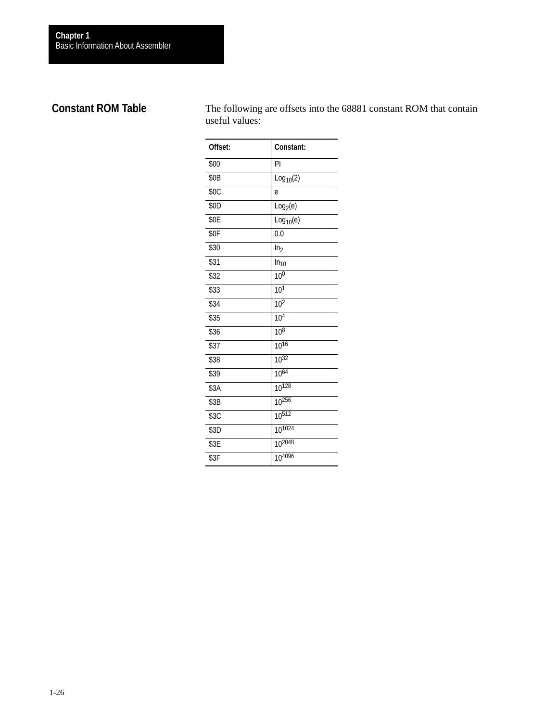# <span id="page-31-0"></span>**Constant ROM Table**

The following are offsets into the 68881 constant ROM that contain useful values:

| Offset: | Constant:             |
|---------|-----------------------|
| \$00    | PI                    |
| \$0B    | Log <sub>10</sub> (2) |
| \$0C    | e                     |
| \$0D    | Log <sub>2</sub> (e)  |
| \$0E    | Log <sub>10</sub> (e) |
| \$0F    | 0.0                   |
| \$30    | In <sub>2</sub>       |
| \$31    | In <sub>10</sub>      |
| \$32    | 10 <sup>0</sup>       |
| \$33    | 10 <sup>1</sup>       |
| \$34    | $\overline{10^2}$     |
| \$35    | 10 <sup>4</sup>       |
| \$36    | 10 <sup>8</sup>       |
| \$37    | $10^{16}$             |
| \$38    | $10^{32}$             |
| \$39    | 1064                  |
| \$3A    | 10128                 |
| \$3B    | 10256                 |
| \$3C    | 10512                 |
| \$3D    | $10^{1024}$           |
| \$3E    | 102048                |
| \$3F    | 104096                |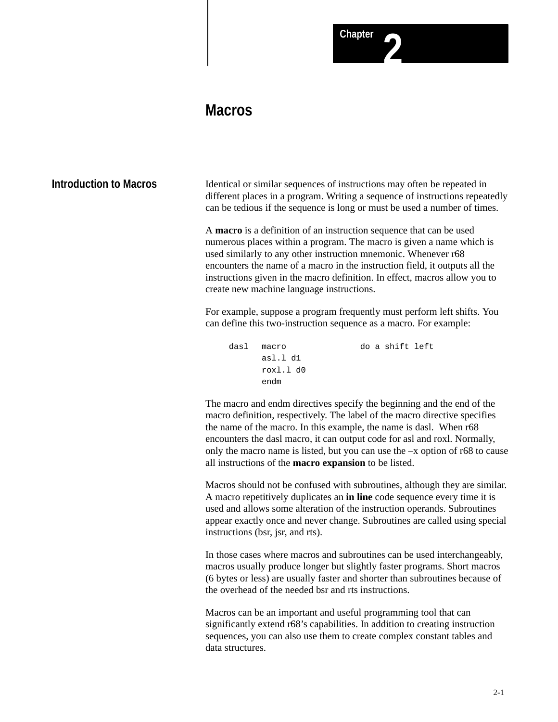# **Macros**

<span id="page-32-0"></span>**Introduction to Macros**

Identical or similar sequences of instructions may often be repeated in different places in a program. Writing a sequence of instructions repeatedly can be tedious if the sequence is long or must be used a number of times.

A **macro** is a definition of an instruction sequence that can be used numerous places within a program. The macro is given a name which is used similarly to any other instruction mnemonic. Whenever r68 encounters the name of a macro in the instruction field, it outputs all the instructions given in the macro definition. In effect, macros allow you to create new machine language instructions.

For example, suppose a program frequently must perform left shifts. You can define this two-instruction sequence as a macro. For example:

```
dasl macro do a shift left
     asl.l d1
     roxl.l d0
     endm
```
The macro and endm directives specify the beginning and the end of the macro definition, respectively. The label of the macro directive specifies the name of the macro. In this example, the name is dasl. When r68 encounters the dasl macro, it can output code for asl and roxl. Normally, only the macro name is listed, but you can use the –x option of r68 to cause all instructions of the **macro expansion** to be listed.

Macros should not be confused with subroutines, although they are similar. A macro repetitively duplicates an **in line** code sequence every time it is used and allows some alteration of the instruction operands. Subroutines appear exactly once and never change. Subroutines are called using special instructions (bsr, jsr, and rts).

In those cases where macros and subroutines can be used interchangeably, macros usually produce longer but slightly faster programs. Short macros (6 bytes or less) are usually faster and shorter than subroutines because of the overhead of the needed bsr and rts instructions.

Macros can be an important and useful programming tool that can significantly extend r68's capabilities. In addition to creating instruction sequences, you can also use them to create complex constant tables and data structures.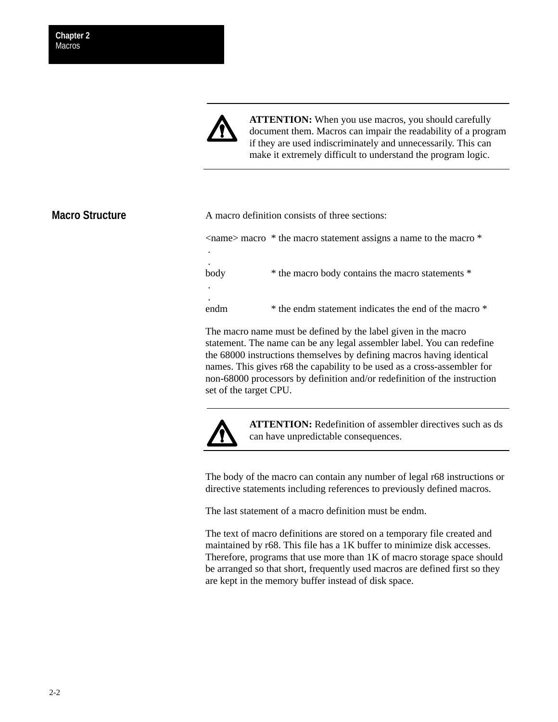

**ATTENTION:** When you use macros, you should carefully document them. Macros can impair the readability of a program if they are used indiscriminately and unnecessarily. This can make it extremely difficult to understand the program logic.

# <span id="page-33-0"></span>**Macro Structure**

A macro definition consists of three sections: <name> macro \* the macro statement assigns a name to the macro \* . . body  $*$  the macro body contains the macro statements  $*$  . . endm  $*$  the endm statement indicates the end of the macro  $*$ 

The macro name must be defined by the label given in the macro statement. The name can be any legal assembler label. You can redefine the 68000 instructions themselves by defining macros having identical names. This gives r68 the capability to be used as a cross-assembler for non-68000 processors by definition and/or redefinition of the instruction set of the target CPU.



**ATTENTION:** Redefinition of assembler directives such as ds can have unpredictable consequences.

The body of the macro can contain any number of legal r68 instructions or directive statements including references to previously defined macros.

The last statement of a macro definition must be endm.

The text of macro definitions are stored on a temporary file created and maintained by r68. This file has a 1K buffer to minimize disk accesses. Therefore, programs that use more than 1K of macro storage space should be arranged so that short, frequently used macros are defined first so they are kept in the memory buffer instead of disk space.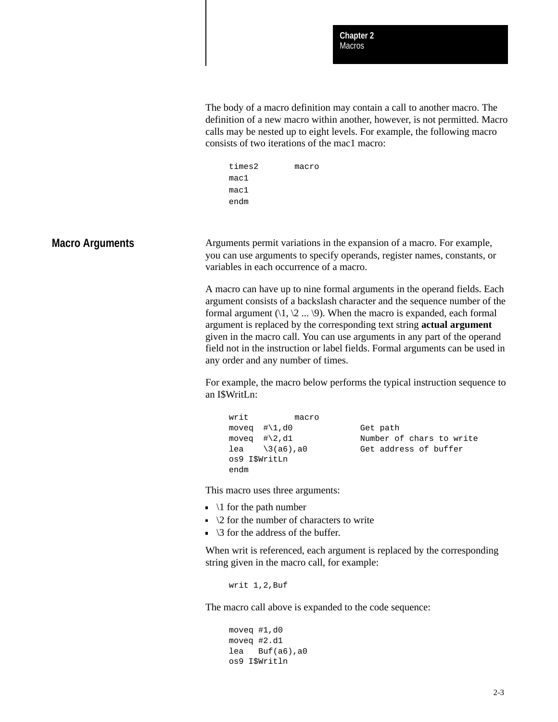<span id="page-34-0"></span>The body of a macro definition may contain a call to another macro. The definition of a new macro within another, however, is not permitted. Macro calls may be nested up to eight levels. For example, the following macro consists of two iterations of the mac1 macro:

| times2 | macro |
|--------|-------|
| mac1   |       |
| mac1   |       |
| endm   |       |

#### **Macro Arguments**

Arguments permit variations in the expansion of a macro. For example, you can use arguments to specify operands, register names, constants, or variables in each occurrence of a macro.

A macro can have up to nine formal arguments in the operand fields. Each argument consists of a backslash character and the sequence number of the formal argument  $(1, 2 \dots 9)$ . When the macro is expanded, each formal argument is replaced by the corresponding text string **actual argument** given in the macro call. You can use arguments in any part of the operand field not in the instruction or label fields. Formal arguments can be used in any order and any number of times.

For example, the macro below performs the typical instruction sequence to an I\$WritLn:

```
writ macro
moveq \# \1, d0 Get path<br>moveq \# \2, d1 Number of
lea \3(a6),a0 Get address of buffer 
os9 I$WritLn
endm
```
Number of chars to write

This macro uses three arguments:

- $\blacksquare$  \1 for the path number
- $\sim$  \2 for the number of characters to write
- $\overline{\phantom{a}}$  \3 for the address of the buffer.

When writ is referenced, each argument is replaced by the corresponding string given in the macro call, for example:

writ 1,2,Buf

The macro call above is expanded to the code sequence:

```
moveq #1,d0
moveq #2.d1
lea Buf(a6),a0
os9 I$Writln
```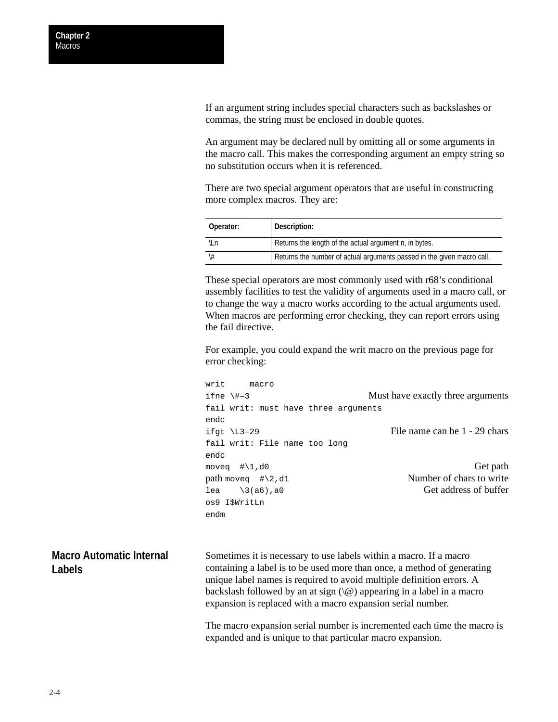<span id="page-35-0"></span>If an argument string includes special characters such as backslashes or commas, the string must be enclosed in double quotes.

An argument may be declared null by omitting all or some arguments in the macro call. This makes the corresponding argument an empty string so no substitution occurs when it is referenced.

There are two special argument operators that are useful in constructing more complex macros. They are:

| Operator: | Description:                                                           |
|-----------|------------------------------------------------------------------------|
| ۱Ln       | Returns the length of the actual argument n, in bytes.                 |
|           | Returns the number of actual arguments passed in the given macro call. |

These special operators are most commonly used with r68's conditional assembly facilities to test the validity of arguments used in a macro call, or to change the way a macro works according to the actual arguments used. When macros are performing error checking, they can report errors using the fail directive.

For example, you could expand the writ macro on the previous page for error checking:

```
writ macro
ifne \#–3 Must have exactly three arguments
fail writ: must have three arguments
endc
ifgt \text{Li}3-29 File name can be 1 - 29 chars
fail writ: File name too long
endc
moveq \# \setminus 1, d0 Get path
path move \# \2, d1 Number of chars to write
lea \setminus 3(a6), a0 Get address of buffer
os9 I$WritLn
endm
```
Sometimes it is necessary to use labels within a macro. If a macro containing a label is to be used more than once, a method of generating unique label names is required to avoid multiple definition errors. A backslash followed by an at sign  $(\mathcal{Q})$  appearing in a label in a macro expansion is replaced with a macro expansion serial number. **Macro Automatic Internal Labels**

> The macro expansion serial number is incremented each time the macro is expanded and is unique to that particular macro expansion.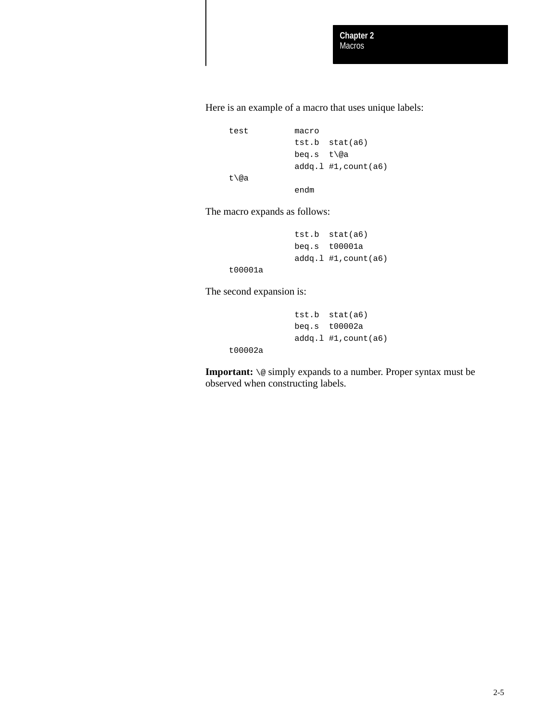Here is an example of a macro that uses unique labels:

```
test macro
           tst.b stat(a6)
           beq.s t\@a
           addq.l #1,count(a6)
```
endm

The macro expands as follows:

```
tst.b stat(a6)
beq.s t00001a 
addq.l #1,count(a6)
```
t00001a

t00002a

t\@a

The second expansion is:

```
tst.b stat(a6)
beq.s t00002a
addq.l #1,count(a6)
```
**Important:** \@ simply expands to a number. Proper syntax must be observed when constructing labels.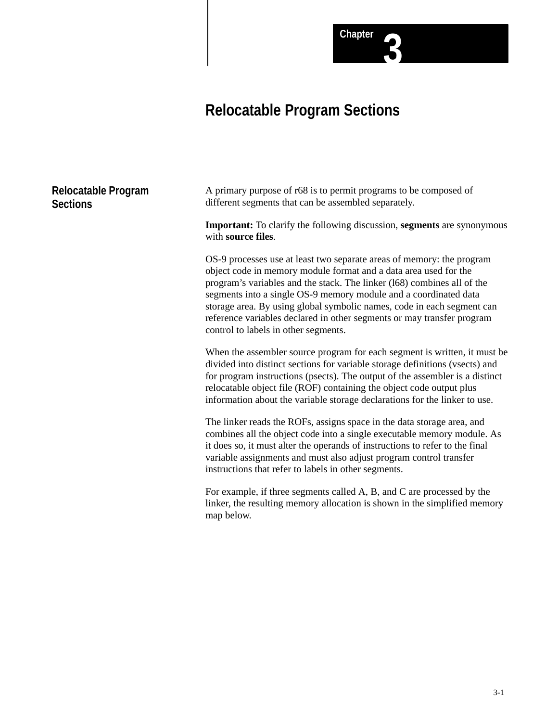# **Relocatable Program Sections**

# **Relocatable Program Sections**

A primary purpose of r68 is to permit programs to be composed of different segments that can be assembled separately.

**Important:** To clarify the following discussion, **segments** are synonymous with **source files**.

**Chapter 3**

OS-9 processes use at least two separate areas of memory: the program object code in memory module format and a data area used for the program's variables and the stack. The linker (l68) combines all of the segments into a single OS-9 memory module and a coordinated data storage area. By using global symbolic names, code in each segment can reference variables declared in other segments or may transfer program control to labels in other segments.

When the assembler source program for each segment is written, it must be divided into distinct sections for variable storage definitions (vsects) and for program instructions (psects). The output of the assembler is a distinct relocatable object file (ROF) containing the object code output plus information about the variable storage declarations for the linker to use.

The linker reads the ROFs, assigns space in the data storage area, and combines all the object code into a single executable memory module. As it does so, it must alter the operands of instructions to refer to the final variable assignments and must also adjust program control transfer instructions that refer to labels in other segments.

For example, if three segments called A, B, and C are processed by the linker, the resulting memory allocation is shown in the simplified memory map below.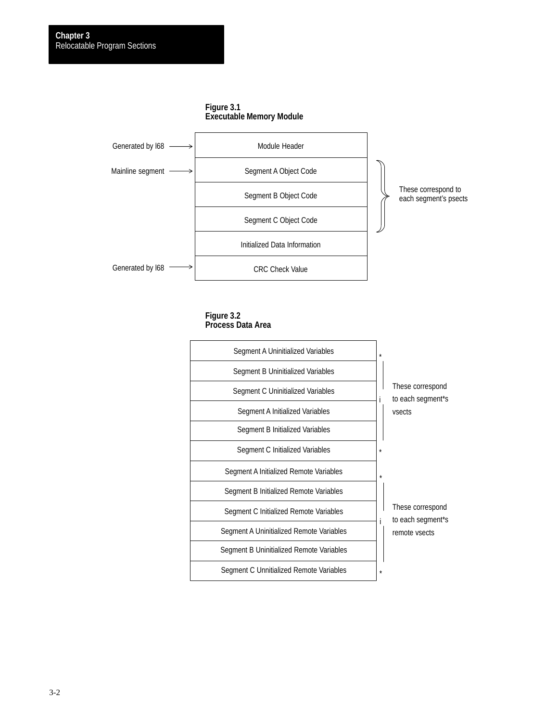Generated by l68



Segment B Object Code

Segment C Object Code

Initialized Data Information

CRC Check Value



**Figure 3.2 Process Data Area**



3-2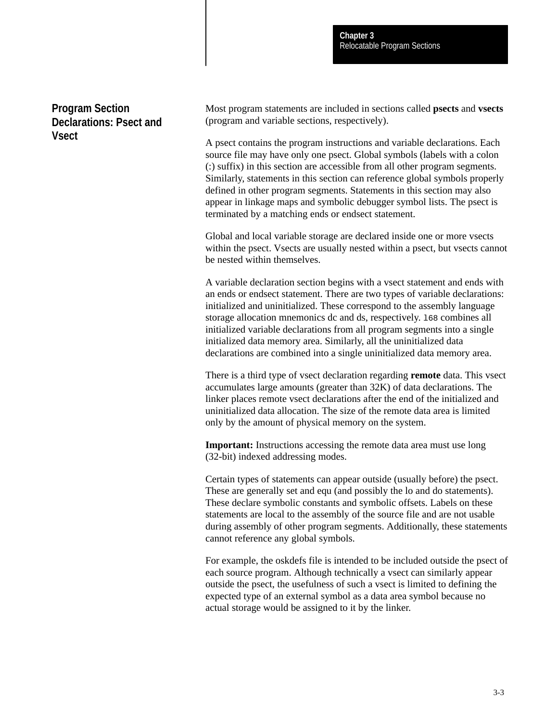# **Program Section Declarations: Psect and Vsect**

Most program statements are included in sections called **psects** and **vsects** (program and variable sections, respectively).

A psect contains the program instructions and variable declarations. Each source file may have only one psect. Global symbols (labels with a colon (:) suffix) in this section are accessible from all other program segments. Similarly, statements in this section can reference global symbols properly defined in other program segments. Statements in this section may also appear in linkage maps and symbolic debugger symbol lists. The psect is terminated by a matching ends or endsect statement.

Global and local variable storage are declared inside one or more vsects within the psect. Vsects are usually nested within a psect, but vsects cannot be nested within themselves.

A variable declaration section begins with a vsect statement and ends with an ends or endsect statement. There are two types of variable declarations: initialized and uninitialized. These correspond to the assembly language storage allocation mnemonics dc and ds, respectively. l68 combines all initialized variable declarations from all program segments into a single initialized data memory area. Similarly, all the uninitialized data declarations are combined into a single uninitialized data memory area.

There is a third type of vsect declaration regarding **remote** data. This vsect accumulates large amounts (greater than 32K) of data declarations. The linker places remote vsect declarations after the end of the initialized and uninitialized data allocation. The size of the remote data area is limited only by the amount of physical memory on the system.

**Important:** Instructions accessing the remote data area must use long (32-bit) indexed addressing modes.

Certain types of statements can appear outside (usually before) the psect. These are generally set and equ (and possibly the lo and do statements). These declare symbolic constants and symbolic offsets. Labels on these statements are local to the assembly of the source file and are not usable during assembly of other program segments. Additionally, these statements cannot reference any global symbols.

For example, the oskdefs file is intended to be included outside the psect of each source program. Although technically a vsect can similarly appear outside the psect, the usefulness of such a vsect is limited to defining the expected type of an external symbol as a data area symbol because no actual storage would be assigned to it by the linker.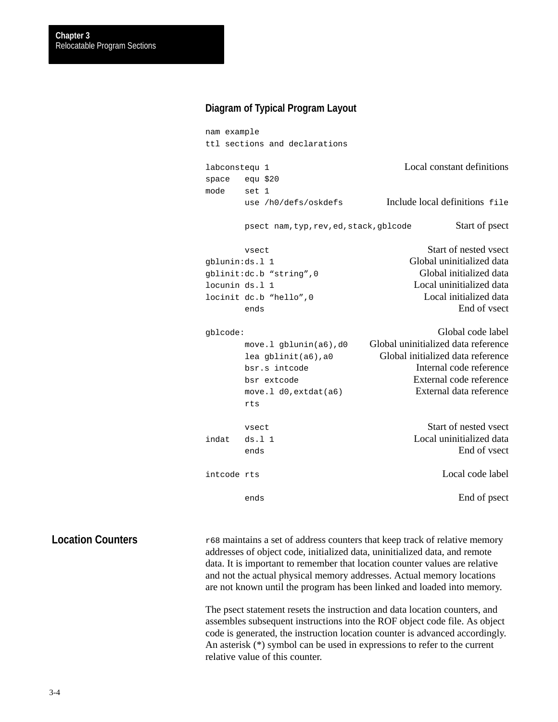# **Diagram of Typical Program Layout**

```
nam example
ttl sections and declarations
labconstequ 1 Local constant definitions
space equ $20
mode set 1
     use /h0/defs/oskdefs Include local definitions file
     psect nam,typ,rev,ed,stack,gblcode Start of psect
     vsect vsect Start of nested vsect
gblunin:ds.l 1 Global uninitialized data
gblinit:dc.b "string",0 Global initialized data
locunin ds.l 1 Local uninitialized data
locinit dc.b "hello",0 Local initialized data
     ends End of vsect
gblcode: Global code label
     move.l gblunin(a6),d0 Global uninitialized data reference
     lea gblinit(a6),a0 Global initialized data reference
     bsr.s intcode Internal code reference
     bsr extcode External code reference
     move.l d0,extdat(a6) External data reference
     rts
     vsect Start of nested vsect
indat ds.l 1 Local uninitialized data
     ends End of vsect
intcode rts Local code label
     ends End of psect
```
r68 maintains a set of address counters that keep track of relative memory addresses of object code, initialized data, uninitialized data, and remote data. It is important to remember that location counter values are relative and not the actual physical memory addresses. Actual memory locations are not known until the program has been linked and loaded into memory. **Location Counters**

> The psect statement resets the instruction and data location counters, and assembles subsequent instructions into the ROF object code file. As object code is generated, the instruction location counter is advanced accordingly. An asterisk (\*) symbol can be used in expressions to refer to the current relative value of this counter.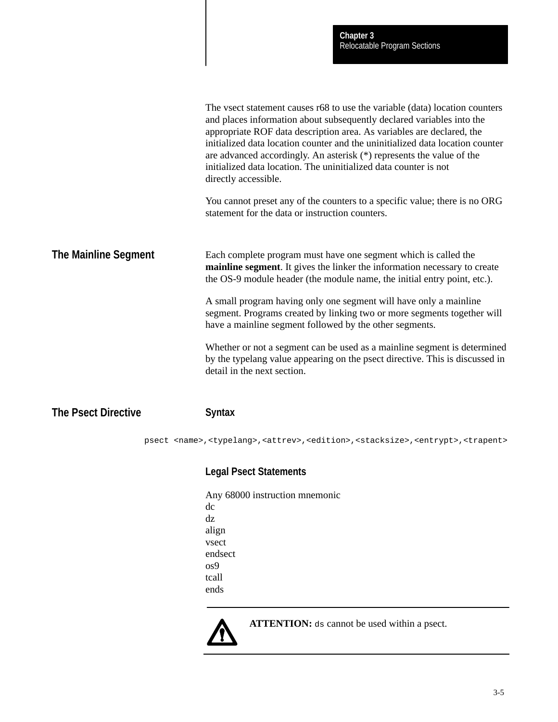|                            | The vsect statement causes r68 to use the variable (data) location counters<br>and places information about subsequently declared variables into the<br>appropriate ROF data description area. As variables are declared, the<br>initialized data location counter and the uninitialized data location counter<br>are advanced accordingly. An asterisk $(*)$ represents the value of the<br>initialized data location. The uninitialized data counter is not<br>directly accessible. |
|----------------------------|---------------------------------------------------------------------------------------------------------------------------------------------------------------------------------------------------------------------------------------------------------------------------------------------------------------------------------------------------------------------------------------------------------------------------------------------------------------------------------------|
|                            | You cannot preset any of the counters to a specific value; there is no ORG<br>statement for the data or instruction counters.                                                                                                                                                                                                                                                                                                                                                         |
| The Mainline Segment       | Each complete program must have one segment which is called the<br>mainline segment. It gives the linker the information necessary to create<br>the OS-9 module header (the module name, the initial entry point, etc.).                                                                                                                                                                                                                                                              |
|                            | A small program having only one segment will have only a mainline<br>segment. Programs created by linking two or more segments together will<br>have a mainline segment followed by the other segments.                                                                                                                                                                                                                                                                               |
|                            | Whether or not a segment can be used as a mainline segment is determined<br>by the typelang value appearing on the psect directive. This is discussed in<br>detail in the next section.                                                                                                                                                                                                                                                                                               |
| <b>The Psect Directive</b> | <b>Syntax</b>                                                                                                                                                                                                                                                                                                                                                                                                                                                                         |
|                            | psect <name>,<typelang>,<attrev>,<edition>,<stacksize>,<entrypt>,<trapent></trapent></entrypt></stacksize></edition></attrev></typelang></name>                                                                                                                                                                                                                                                                                                                                       |
|                            | <b>Legal Psect Statements</b>                                                                                                                                                                                                                                                                                                                                                                                                                                                         |
|                            | Any 68000 instruction mnemonic                                                                                                                                                                                                                                                                                                                                                                                                                                                        |
|                            | dc.                                                                                                                                                                                                                                                                                                                                                                                                                                                                                   |
|                            | dz<br>align                                                                                                                                                                                                                                                                                                                                                                                                                                                                           |
|                            | vsect                                                                                                                                                                                                                                                                                                                                                                                                                                                                                 |
|                            | endsect                                                                                                                                                                                                                                                                                                                                                                                                                                                                               |
|                            | os9                                                                                                                                                                                                                                                                                                                                                                                                                                                                                   |
|                            | tcall                                                                                                                                                                                                                                                                                                                                                                                                                                                                                 |
|                            | ends                                                                                                                                                                                                                                                                                                                                                                                                                                                                                  |
|                            |                                                                                                                                                                                                                                                                                                                                                                                                                                                                                       |



**ATTENTION:** ds cannot be used within a psect.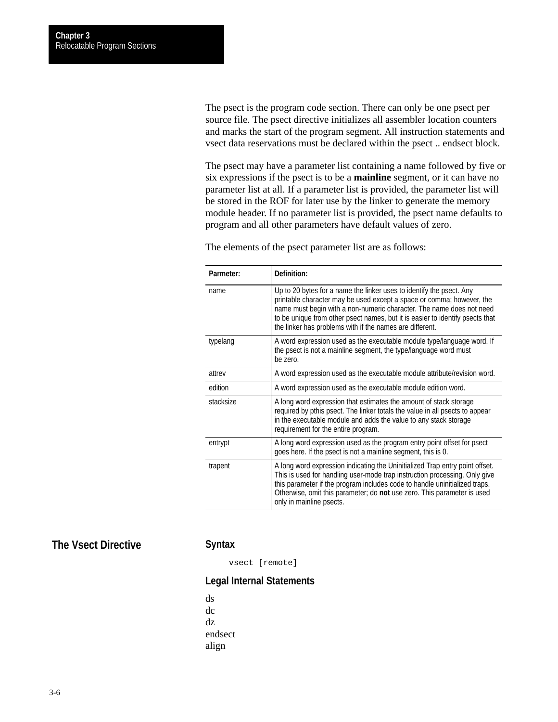The psect is the program code section. There can only be one psect per source file. The psect directive initializes all assembler location counters and marks the start of the program segment. All instruction statements and vsect data reservations must be declared within the psect .. endsect block.

The psect may have a parameter list containing a name followed by five or six expressions if the psect is to be a **mainline** segment, or it can have no parameter list at all. If a parameter list is provided, the parameter list will be stored in the ROF for later use by the linker to generate the memory module header. If no parameter list is provided, the psect name defaults to program and all other parameters have default values of zero.

The elements of the psect parameter list are as follows:

| Parmeter: | Definition:                                                                                                                                                                                                                                                                                                                                                        |
|-----------|--------------------------------------------------------------------------------------------------------------------------------------------------------------------------------------------------------------------------------------------------------------------------------------------------------------------------------------------------------------------|
| name      | Up to 20 bytes for a name the linker uses to identify the psect. Any<br>printable character may be used except a space or comma; however, the<br>name must begin with a non-numeric character. The name does not need<br>to be unique from other psect names, but it is easier to identify psects that<br>the linker has problems with if the names are different. |
| typelang  | A word expression used as the executable module type/language word. If<br>the psect is not a mainline segment, the type/language word must<br>be zero.                                                                                                                                                                                                             |
| attrev    | A word expression used as the executable module attribute/revision word.                                                                                                                                                                                                                                                                                           |
| edition   | A word expression used as the executable module edition word.                                                                                                                                                                                                                                                                                                      |
| stacksize | A long word expression that estimates the amount of stack storage<br>required by pthis psect. The linker totals the value in all psects to appear<br>in the executable module and adds the value to any stack storage<br>requirement for the entire program.                                                                                                       |
| entrypt   | A long word expression used as the program entry point offset for psect<br>goes here. If the psect is not a mainline segment, this is 0.                                                                                                                                                                                                                           |
| trapent   | A long word expression indicating the Uninitialized Trap entry point offset.<br>This is used for handling user-mode trap instruction processing. Only give<br>this parameter if the program includes code to handle uninitialized traps.<br>Otherwise, omit this parameter; do not use zero. This parameter is used<br>only in mainline psects.                    |

# **The Vsect Directive**

# **Syntax**

vsect [remote]

# **Legal Internal Statements**

ds dc dz endsect align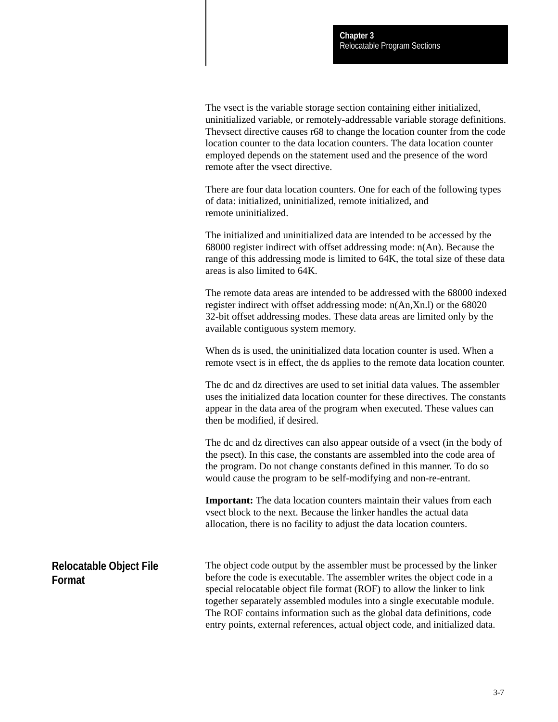The vsect is the variable storage section containing either initialized, uninitialized variable, or remotely-addressable variable storage definitions. Thevsect directive causes r68 to change the location counter from the code location counter to the data location counters. The data location counter employed depends on the statement used and the presence of the word remote after the vsect directive.

There are four data location counters. One for each of the following types of data: initialized, uninitialized, remote initialized, and remote uninitialized.

The initialized and uninitialized data are intended to be accessed by the 68000 register indirect with offset addressing mode: n(An). Because the range of this addressing mode is limited to 64K, the total size of these data areas is also limited to 64K.

The remote data areas are intended to be addressed with the 68000 indexed register indirect with offset addressing mode: n(An,Xn.l) or the 68020 32-bit offset addressing modes. These data areas are limited only by the available contiguous system memory.

When ds is used, the uninitialized data location counter is used. When a remote vsect is in effect, the ds applies to the remote data location counter.

The dc and dz directives are used to set initial data values. The assembler uses the initialized data location counter for these directives. The constants appear in the data area of the program when executed. These values can then be modified, if desired.

The dc and dz directives can also appear outside of a vsect (in the body of the psect). In this case, the constants are assembled into the code area of the program. Do not change constants defined in this manner. To do so would cause the program to be self-modifying and non-re-entrant.

**Important:** The data location counters maintain their values from each vsect block to the next. Because the linker handles the actual data allocation, there is no facility to adjust the data location counters.

The object code output by the assembler must be processed by the linker before the code is executable. The assembler writes the object code in a special relocatable object file format (ROF) to allow the linker to link together separately assembled modules into a single executable module. The ROF contains information such as the global data definitions, code entry points, external references, actual object code, and initialized data. **Relocatable Object File Format**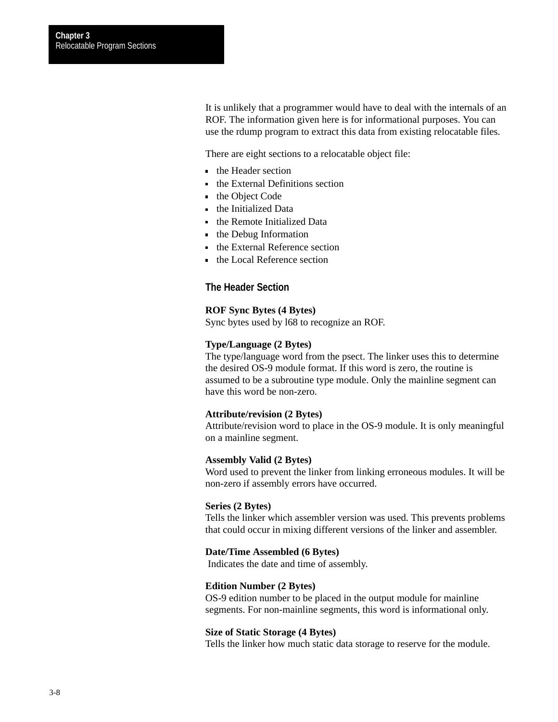It is unlikely that a programmer would have to deal with the internals of an ROF. The information given here is for informational purposes. You can use the rdump program to extract this data from existing relocatable files.

There are eight sections to a relocatable object file:

- the Header section
- the External Definitions section
- the Object Code
- the Initialized Data
- **the Remote Initialized Data**
- the Debug Information
- the External Reference section
- the Local Reference section

# **The Header Section**

#### **ROF Sync Bytes (4 Bytes)**

Sync bytes used by l68 to recognize an ROF.

## **Type/Language (2 Bytes)**

The type/language word from the psect. The linker uses this to determine the desired OS-9 module format. If this word is zero, the routine is assumed to be a subroutine type module. Only the mainline segment can have this word be non-zero.

#### **Attribute/revision (2 Bytes)**

Attribute/revision word to place in the OS-9 module. It is only meaningful on a mainline segment.

# **Assembly Valid (2 Bytes)**

Word used to prevent the linker from linking erroneous modules. It will be non-zero if assembly errors have occurred.

#### **Series (2 Bytes)**

Tells the linker which assembler version was used. This prevents problems that could occur in mixing different versions of the linker and assembler.

#### **Date/Time Assembled (6 Bytes)**

Indicates the date and time of assembly.

#### **Edition Number (2 Bytes)**

OS-9 edition number to be placed in the output module for mainline segments. For non-mainline segments, this word is informational only.

#### **Size of Static Storage (4 Bytes)**

Tells the linker how much static data storage to reserve for the module.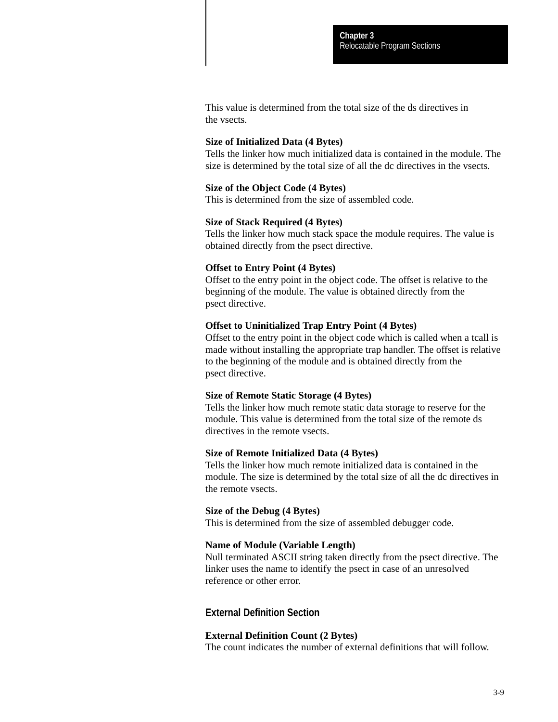This value is determined from the total size of the ds directives in the vsects.

#### **Size of Initialized Data (4 Bytes)**

Tells the linker how much initialized data is contained in the module. The size is determined by the total size of all the dc directives in the vsects.

#### **Size of the Object Code (4 Bytes)**

This is determined from the size of assembled code.

#### **Size of Stack Required (4 Bytes)**

Tells the linker how much stack space the module requires. The value is obtained directly from the psect directive.

#### **Offset to Entry Point (4 Bytes)**

Offset to the entry point in the object code. The offset is relative to the beginning of the module. The value is obtained directly from the psect directive.

#### **Offset to Uninitialized Trap Entry Point (4 Bytes)**

Offset to the entry point in the object code which is called when a tcall is made without installing the appropriate trap handler. The offset is relative to the beginning of the module and is obtained directly from the psect directive.

#### **Size of Remote Static Storage (4 Bytes)**

Tells the linker how much remote static data storage to reserve for the module. This value is determined from the total size of the remote ds directives in the remote vsects.

#### **Size of Remote Initialized Data (4 Bytes)**

Tells the linker how much remote initialized data is contained in the module. The size is determined by the total size of all the dc directives in the remote vsects.

#### **Size of the Debug (4 Bytes)**

This is determined from the size of assembled debugger code.

# **Name of Module (Variable Length)**

Null terminated ASCII string taken directly from the psect directive. The linker uses the name to identify the psect in case of an unresolved reference or other error.

# **External Definition Section**

#### **External Definition Count (2 Bytes)**

The count indicates the number of external definitions that will follow.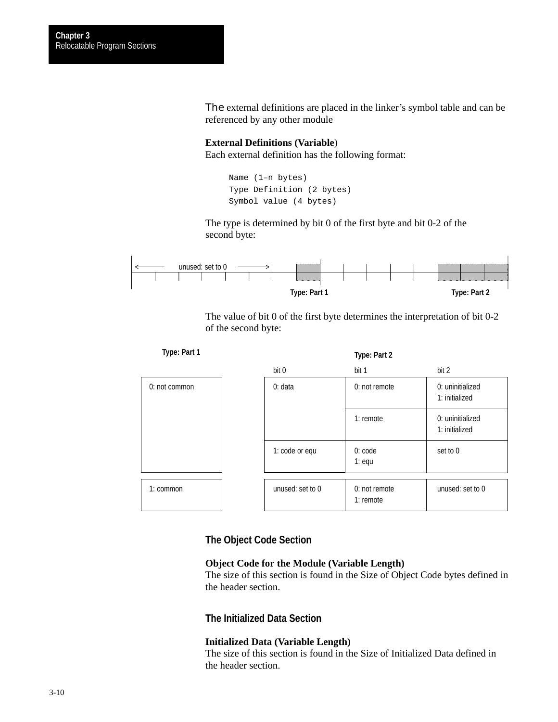The external definitions are placed in the linker's symbol table and can be referenced by any other module

# **External Definitions (Variable**) Each external definition has the following format:

```
Name (1–n bytes)
Type Definition (2 bytes)
Symbol value (4 bytes)
```
The type is determined by bit 0 of the first byte and bit 0-2 of the second byte:



The value of bit 0 of the first byte determines the interpretation of bit 0-2 of the second byte:

| Type: Part 1  |                  | Type: Part 2                   |                                    |
|---------------|------------------|--------------------------------|------------------------------------|
|               | bit 0            | bit 1                          | bit 2                              |
| 0: not common | 0: data          | 0: not remote                  | 0: uninitialized<br>1: initialized |
|               |                  | $1:$ remote                    | 0: uninitialized<br>1: initialized |
|               | 1: code or equ   | 0:code<br>$1:$ equ             | set to 0                           |
| 1: common     | unused: set to 0 | $0:$ not remote<br>$1:$ remote | unused: set to 0                   |

# **The Object Code Section**

## **Object Code for the Module (Variable Length)**

The size of this section is found in the Size of Object Code bytes defined in the header section.

# **The Initialized Data Section**

### **Initialized Data (Variable Length)**

The size of this section is found in the Size of Initialized Data defined in the header section.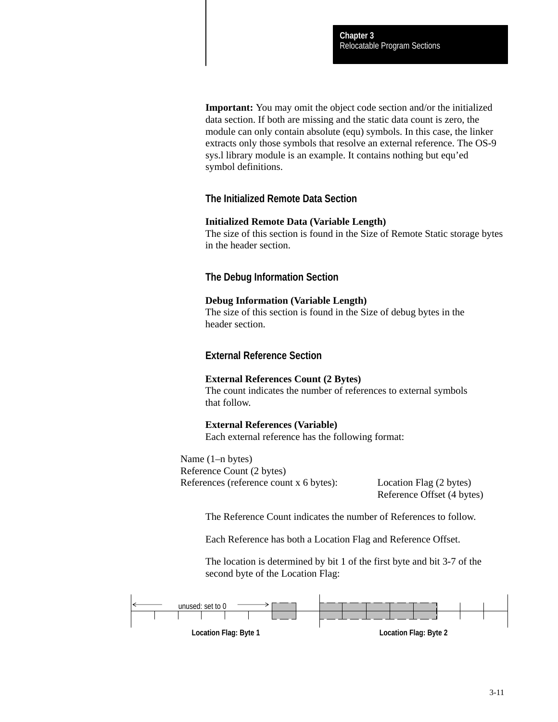**Important:** You may omit the object code section and/or the initialized data section. If both are missing and the static data count is zero, the module can only contain absolute (equ) symbols. In this case, the linker extracts only those symbols that resolve an external reference. The OS-9 sys.l library module is an example. It contains nothing but equ'ed symbol definitions.

# **The Initialized Remote Data Section**

#### **Initialized Remote Data (Variable Length)**

The size of this section is found in the Size of Remote Static storage bytes in the header section.

# **The Debug Information Section**

#### **Debug Information (Variable Length)**

The size of this section is found in the Size of debug bytes in the header section.

# **External Reference Section**

#### **External References Count (2 Bytes)**

The count indicates the number of references to external symbols that follow.

#### **External References (Variable)**

Each external reference has the following format:

Name (1–n bytes) Reference Count (2 bytes) References (reference count x 6 bytes): Location Flag (2 bytes)

Reference Offset (4 bytes)

The Reference Count indicates the number of References to follow.

Each Reference has both a Location Flag and Reference Offset.

The location is determined by bit 1 of the first byte and bit 3-7 of the second byte of the Location Flag:

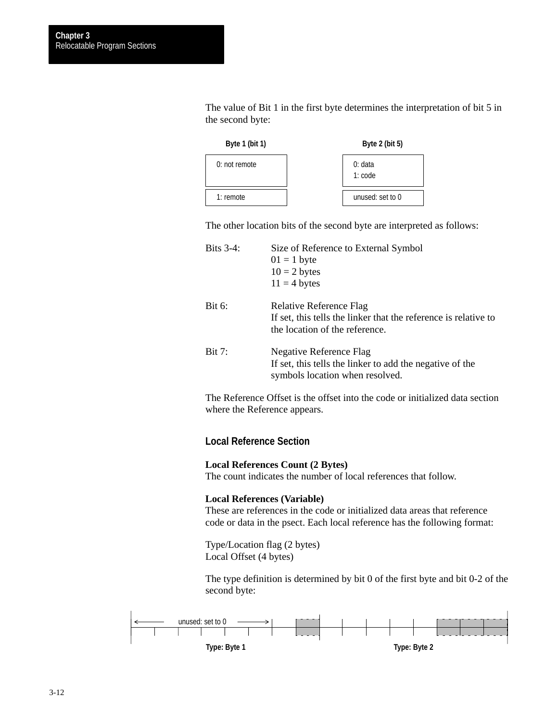The value of Bit 1 in the first byte determines the interpretation of bit 5 in the second byte:



The other location bits of the second byte are interpreted as follows:

| Size of Reference to External Symbol                            |
|-----------------------------------------------------------------|
| $01 = 1$ byte                                                   |
| $10 = 2$ bytes                                                  |
| $11 = 4$ bytes                                                  |
| <b>Relative Reference Flag</b>                                  |
| If set, this tells the linker that the reference is relative to |
| the location of the reference.                                  |
| Negative Reference Flag                                         |
| If set, this tells the linker to add the negative of the        |
| symbols location when resolved.                                 |
|                                                                 |

The Reference Offset is the offset into the code or initialized data section where the Reference appears.

# **Local Reference Section**

### **Local References Count (2 Bytes)**

The count indicates the number of local references that follow.

# **Local References (Variable)**

These are references in the code or initialized data areas that reference code or data in the psect. Each local reference has the following format:

Type/Location flag (2 bytes) Local Offset (4 bytes)

The type definition is determined by bit 0 of the first byte and bit 0-2 of the second byte:

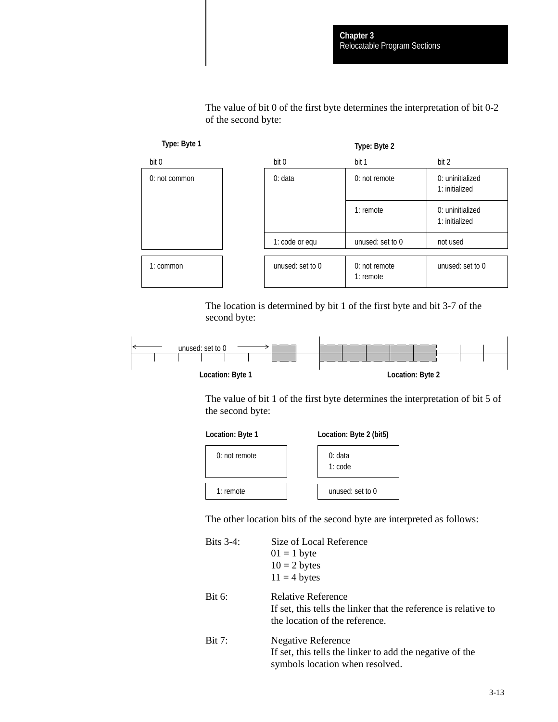The value of bit 0 of the first byte determines the interpretation of bit 0-2 of the second byte:



The location is determined by bit 1 of the first byte and bit 3-7 of the second byte:



The value of bit 1 of the first byte determines the interpretation of bit 5 of the second byte:



**Location: Byte 1 Location: Byte 2 (bit5)**



The other location bits of the second byte are interpreted as follows:

| Bits $3-4$ :  | Size of Local Reference                                         |
|---------------|-----------------------------------------------------------------|
|               | $01 = 1$ byte                                                   |
|               | $10 = 2$ bytes                                                  |
|               | $11 = 4$ bytes                                                  |
| Bit $6$ :     | Relative Reference                                              |
|               | If set, this tells the linker that the reference is relative to |
|               | the location of the reference.                                  |
| <b>Bit 7:</b> | <b>Negative Reference</b>                                       |
|               | If set, this tells the linker to add the negative of the        |
|               | symbols location when resolved.                                 |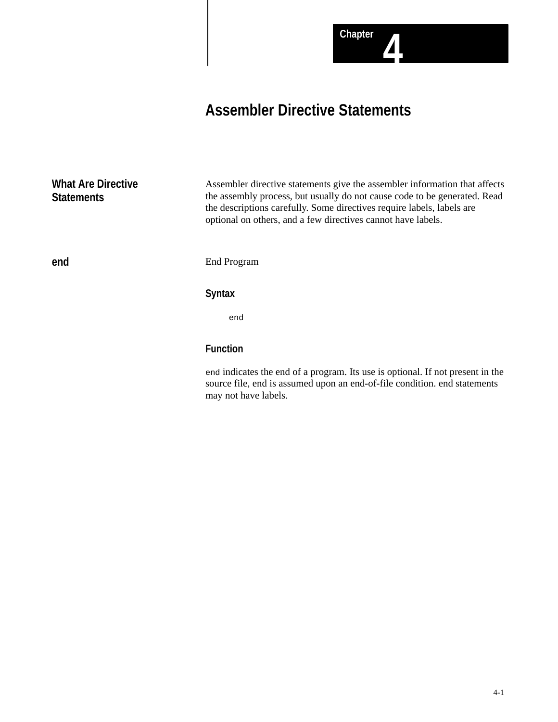# **Assembler Directive Statements**

**What Are Directive Statements**

Assembler directive statements give the assembler information that affects the assembly process, but usually do not cause code to be generated. Read the descriptions carefully. Some directives require labels, labels are optional on others, and a few directives cannot have labels.

**end**

End Program

# **Syntax**

end

# **Function**

end indicates the end of a program. Its use is optional. If not present in the source file, end is assumed upon an end-of-file condition. end statements may not have labels.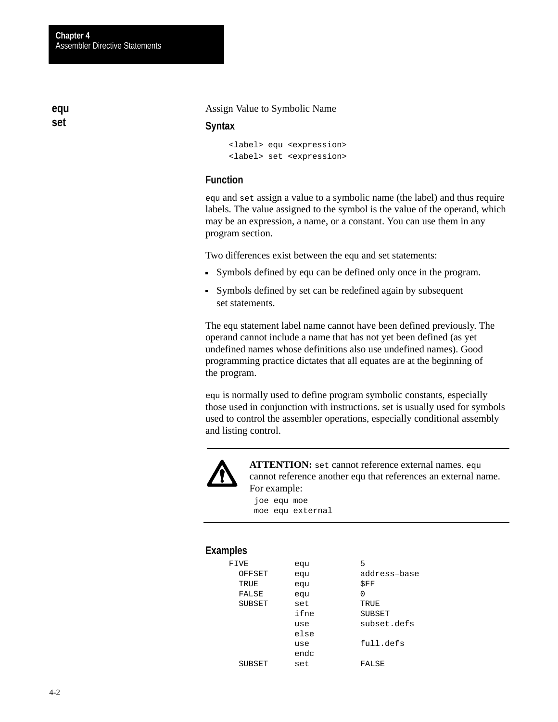Assign Value to Symbolic Name

### **Syntax**

<label> equ <expression> <label> set <expression>

# **Function**

equ and set assign a value to a symbolic name (the label) and thus require labels. The value assigned to the symbol is the value of the operand, which may be an expression, a name, or a constant. You can use them in any program section.

Two differences exist between the equ and set statements:

- Symbols defined by equ can be defined only once in the program.
- Symbols defined by set can be redefined again by subsequent set statements.

The equ statement label name cannot have been defined previously. The operand cannot include a name that has not yet been defined (as yet undefined names whose definitions also use undefined names). Good programming practice dictates that all equates are at the beginning of the program.

equ is normally used to define program symbolic constants, especially those used in conjunction with instructions. set is usually used for symbols used to control the assembler operations, especially conditional assembly and listing control.



**ATTENTION:** set cannot reference external names. equ cannot reference another equ that references an external name. For example:

joe equ moe moe equ external

## **Examples**

| FIVE   | equ  | 5            |
|--------|------|--------------|
| OFFSET | equ  | address-base |
| TRUE   | equ  | \$FF         |
| FALSE  | equ  | N            |
| SUBSET | set  | TRUE         |
|        | ifne | SUBSET       |
|        | use  | subset.defs  |
|        | else |              |
|        | use  | full.defs    |
|        | endc |              |
| SUBSET | set  | FALSE        |

**equ set**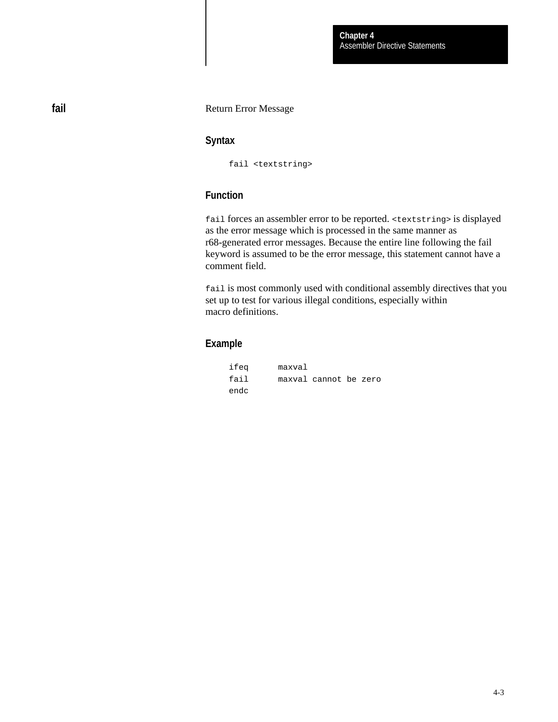### Return Error Message

# **Syntax**

fail <textstring>

# **Function**

fail forces an assembler error to be reported. <textstring> is displayed as the error message which is processed in the same manner as r68-generated error messages. Because the entire line following the fail keyword is assumed to be the error message, this statement cannot have a comment field.

fail is most commonly used with conditional assembly directives that you set up to test for various illegal conditions, especially within macro definitions.

# **Example**

| ifea | maxval |                       |  |
|------|--------|-----------------------|--|
| fail |        | maxval cannot be zero |  |
| endc |        |                       |  |

**fail**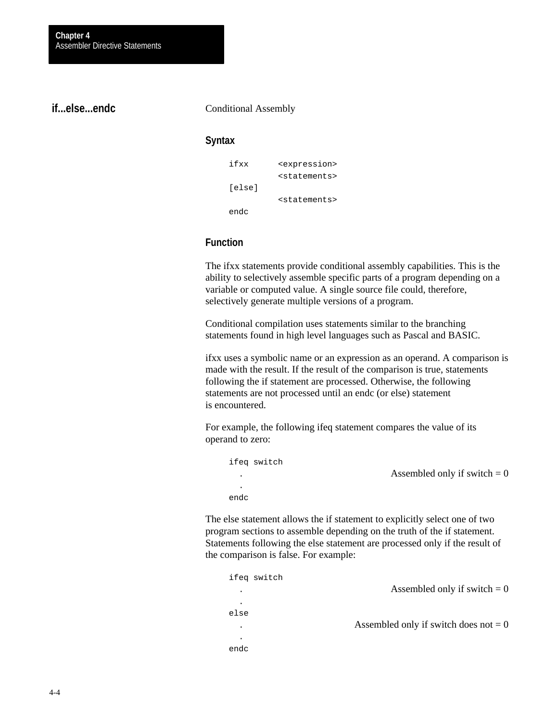# **if...else...endc**

#### Conditional Assembly

# **Syntax**

| ifxx   | <expression></expression> |
|--------|---------------------------|
|        | <statements></statements> |
| [else] |                           |
|        | <statements></statements> |
| endc   |                           |

# **Function**

The ifxx statements provide conditional assembly capabilities. This is the ability to selectively assemble specific parts of a program depending on a variable or computed value. A single source file could, therefore, selectively generate multiple versions of a program.

Conditional compilation uses statements similar to the branching statements found in high level languages such as Pascal and BASIC.

ifxx uses a symbolic name or an expression as an operand. A comparison is made with the result. If the result of the comparison is true, statements following the if statement are processed. Otherwise, the following statements are not processed until an endc (or else) statement is encountered.

For example, the following ifeq statement compares the value of its operand to zero:

| ifeq switch |                                |
|-------------|--------------------------------|
| ۰           | Assembled only if switch $= 0$ |
| ٠           |                                |
| endc        |                                |

The else statement allows the if statement to explicitly select one of two program sections to assemble depending on the truth of the if statement. Statements following the else statement are processed only if the result of the comparison is false. For example:

| ifeg switch |                                         |
|-------------|-----------------------------------------|
| ٠           | Assembled only if switch $= 0$          |
|             |                                         |
| else        |                                         |
| ۰           | Assembled only if switch does not $= 0$ |
| ۰           |                                         |
| endc        |                                         |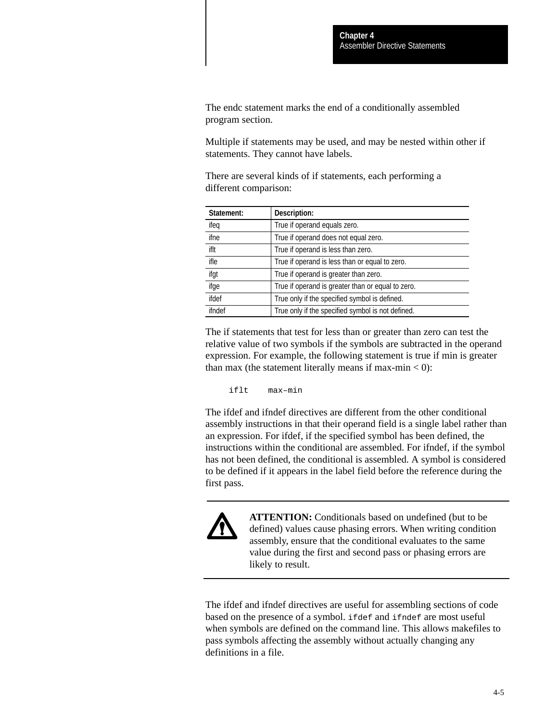The endc statement marks the end of a conditionally assembled program section.

Multiple if statements may be used, and may be nested within other if statements. They cannot have labels.

There are several kinds of if statements, each performing a different comparison:

| Statement: | Description:                                      |
|------------|---------------------------------------------------|
| ifeq       | True if operand equals zero.                      |
| ifne       | True if operand does not equal zero.              |
| iflt       | True if operand is less than zero.                |
| ifle       | True if operand is less than or equal to zero.    |
| ifgt       | True if operand is greater than zero.             |
| ifge       | True if operand is greater than or equal to zero. |
| ifdef      | True only if the specified symbol is defined.     |
| ifndef     | True only if the specified symbol is not defined. |

The if statements that test for less than or greater than zero can test the relative value of two symbols if the symbols are subtracted in the operand expression. For example, the following statement is true if min is greater than max (the statement literally means if max-min  $< 0$ ):

iflt max–min

The ifdef and ifndef directives are different from the other conditional assembly instructions in that their operand field is a single label rather than an expression. For ifdef, if the specified symbol has been defined, the instructions within the conditional are assembled. For ifndef, if the symbol has not been defined, the conditional is assembled. A symbol is considered to be defined if it appears in the label field before the reference during the first pass.



**ATTENTION:** Conditionals based on undefined (but to be defined) values cause phasing errors. When writing condition assembly, ensure that the conditional evaluates to the same value during the first and second pass or phasing errors are likely to result.

The ifdef and ifndef directives are useful for assembling sections of code based on the presence of a symbol. ifdef and ifndef are most useful when symbols are defined on the command line. This allows makefiles to pass symbols affecting the assembly without actually changing any definitions in a file.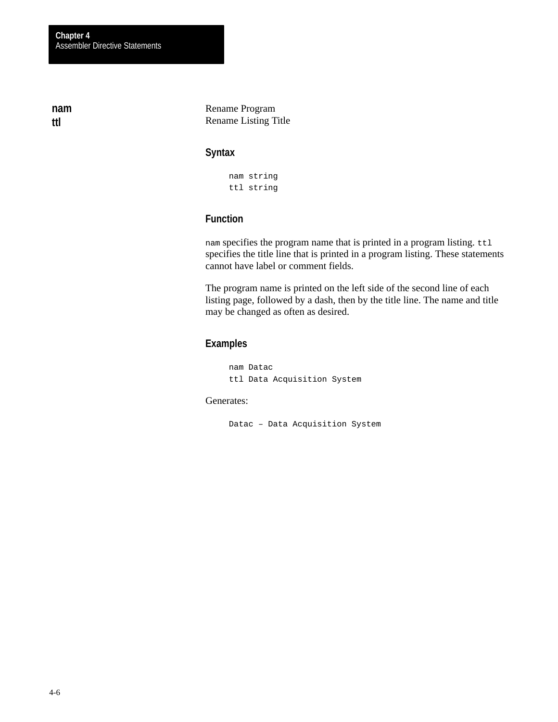**nam ttl**

Rename Program Rename Listing Title

# **Syntax**

nam string ttl string

# **Function**

nam specifies the program name that is printed in a program listing. ttl specifies the title line that is printed in a program listing. These statements cannot have label or comment fields.

The program name is printed on the left side of the second line of each listing page, followed by a dash, then by the title line. The name and title may be changed as often as desired.

# **Examples**

nam Datac ttl Data Acquisition System

# Generates:

Datac – Data Acquisition System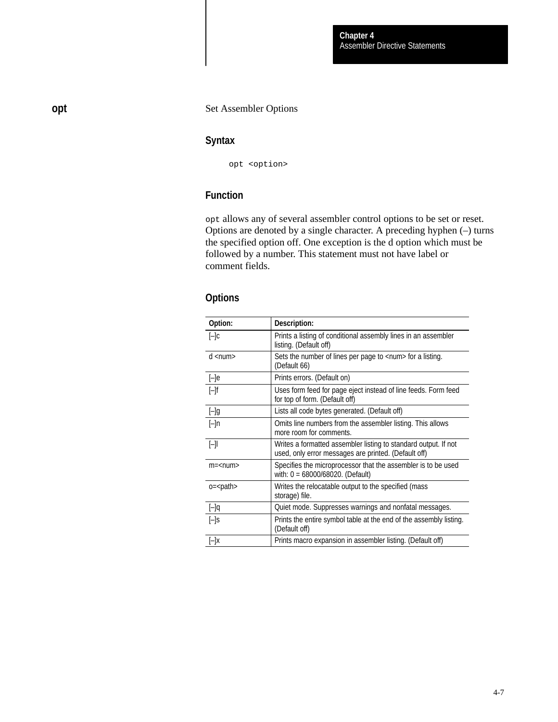# Set Assembler Options

# **Syntax**

opt <option>

# **Function**

opt allows any of several assembler control options to be set or reset. Options are denoted by a single character. A preceding hyphen (–) turns the specified option off. One exception is the d option which must be followed by a number. This statement must not have label or comment fields.

# **Options**

| Option:                       | Description:                                                                                                            |
|-------------------------------|-------------------------------------------------------------------------------------------------------------------------|
| $[-]c$                        | Prints a listing of conditional assembly lines in an assembler<br>listing. (Default off)                                |
| $d$ <num<math>&gt;</num<math> | Sets the number of lines per page to <num> for a listing.<br/>(Default 66)</num>                                        |
| $[-]e$                        | Prints errors. (Default on)                                                                                             |
| $[-]f$                        | Uses form feed for page eject instead of line feeds. Form feed<br>for top of form. (Default off)                        |
| $[-]g$                        | Lists all code bytes generated. (Default off)                                                                           |
| [–]n                          | Omits line numbers from the assembler listing. This allows<br>more room for comments.                                   |
| [-]I                          | Writes a formatted assembler listing to standard output. If not<br>used, only error messages are printed. (Default off) |
| $m =$ < num >                 | Specifies the microprocessor that the assembler is to be used<br>with: $0 = 68000/68020$ . (Default)                    |
| $o = path$                    | Writes the relocatable output to the specified (mass<br>storage) file.                                                  |
| $[-]q$                        | Quiet mode. Suppresses warnings and nonfatal messages.                                                                  |
| $[-]$ s                       | Prints the entire symbol table at the end of the assembly listing.<br>(Default off)                                     |
| [–]x                          | Prints macro expansion in assembler listing. (Default off)                                                              |

**opt**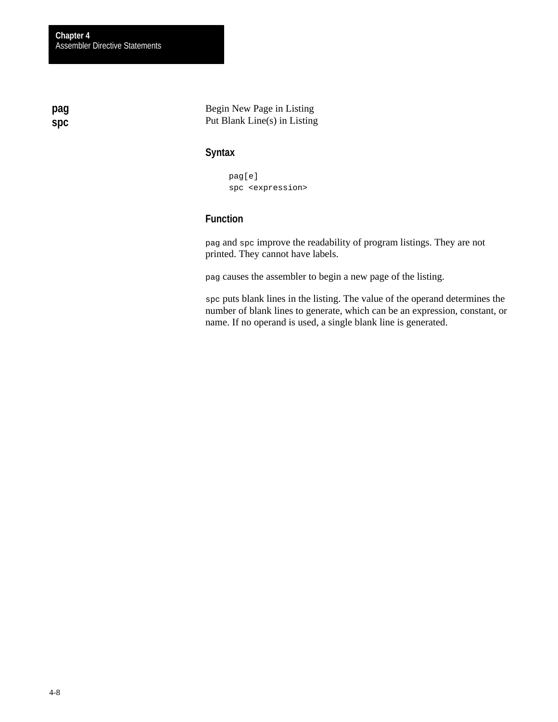**pag spc**

Begin New Page in Listing Put Blank Line(s) in Listing

# **Syntax**

pag[e] spc <expression>

# **Function**

pag and spc improve the readability of program listings. They are not printed. They cannot have labels.

pag causes the assembler to begin a new page of the listing.

spc puts blank lines in the listing. The value of the operand determines the number of blank lines to generate, which can be an expression, constant, or name. If no operand is used, a single blank line is generated.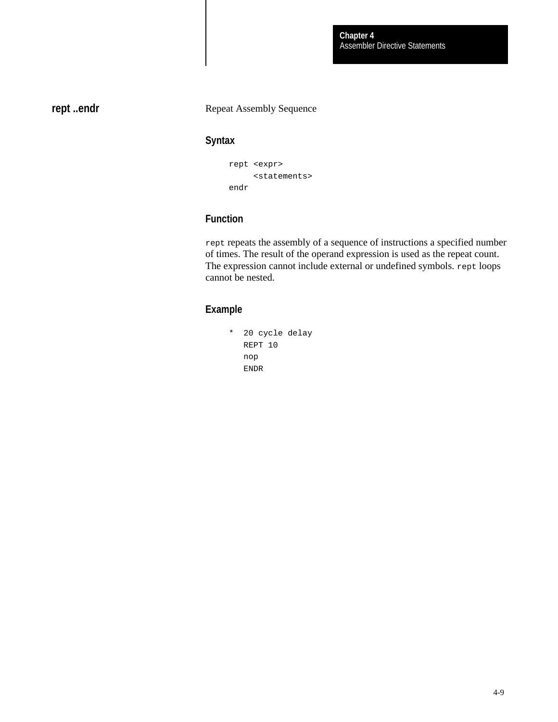**rept ..endr**

# Repeat Assembly Sequence

# **Syntax**

```
rept <expr>
      <statements>
endr
```
# **Function**

rept repeats the assembly of a sequence of instructions a specified number of times. The result of the operand expression is used as the repeat count. The expression cannot include external or undefined symbols. rept loops cannot be nested.

# **Example**

```
* 20 cycle delay
   REPT 10
    nop
    ENDR
```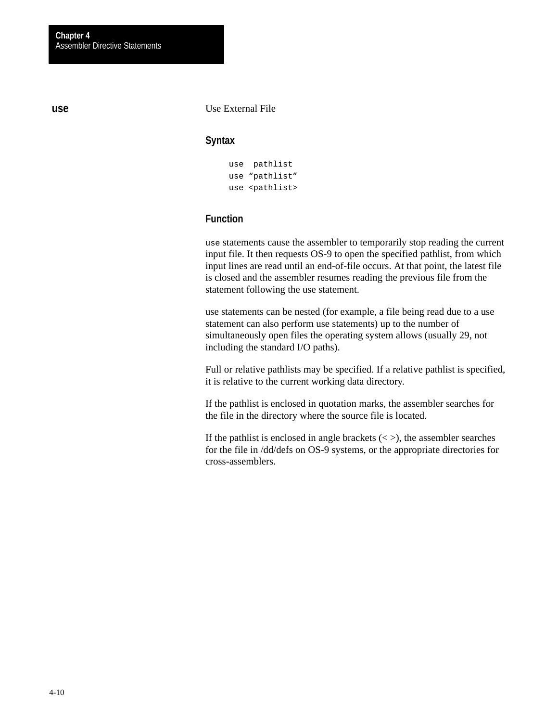**use**

# Use External File

# **Syntax**

```
use pathlist
use "pathlist"
use <pathlist>
```
# **Function**

use statements cause the assembler to temporarily stop reading the current input file. It then requests OS-9 to open the specified pathlist, from which input lines are read until an end-of-file occurs. At that point, the latest file is closed and the assembler resumes reading the previous file from the statement following the use statement.

use statements can be nested (for example, a file being read due to a use statement can also perform use statements) up to the number of simultaneously open files the operating system allows (usually 29, not including the standard I/O paths).

Full or relative pathlists may be specified. If a relative pathlist is specified, it is relative to the current working data directory.

If the pathlist is enclosed in quotation marks, the assembler searches for the file in the directory where the source file is located.

If the pathlist is enclosed in angle brackets  $\langle \langle \rangle$ , the assembler searches for the file in /dd/defs on OS-9 systems, or the appropriate directories for cross-assemblers.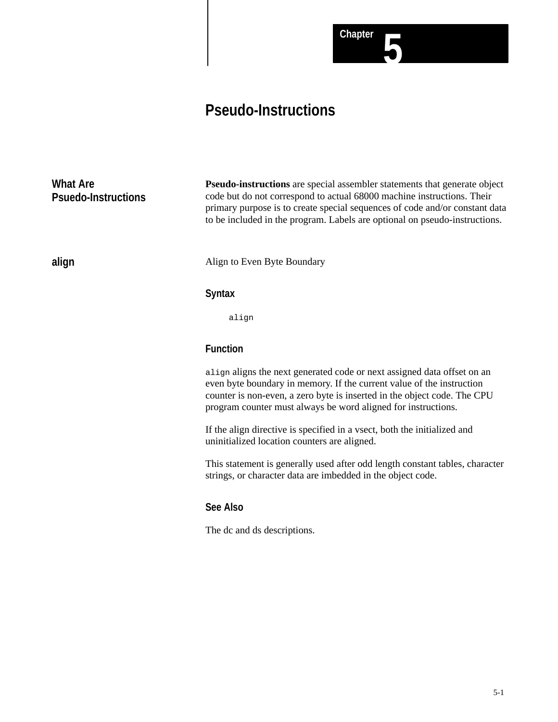# **Pseudo-Instructions**

| What Are<br><b>Psuedo-Instructions</b> | <b>Pseudo-instructions</b> are special assembler statements that generate object<br>code but do not correspond to actual 68000 machine instructions. Their<br>primary purpose is to create special sequences of code and/or constant data<br>to be included in the program. Labels are optional on pseudo-instructions. |
|----------------------------------------|-------------------------------------------------------------------------------------------------------------------------------------------------------------------------------------------------------------------------------------------------------------------------------------------------------------------------|
| align                                  | Align to Even Byte Boundary                                                                                                                                                                                                                                                                                             |
|                                        | <b>Syntax</b>                                                                                                                                                                                                                                                                                                           |
|                                        | align                                                                                                                                                                                                                                                                                                                   |
|                                        | <b>Function</b>                                                                                                                                                                                                                                                                                                         |
|                                        | align aligns the next generated code or next assigned data offset on an<br>even byte boundary in memory. If the current value of the instruction<br>counter is non-even, a zero byte is inserted in the object code. The CPU<br>program counter must always be word aligned for instructions.                           |
|                                        | If the align directive is specified in a vsect, both the initialized and<br>uninitialized location counters are aligned.                                                                                                                                                                                                |

This statement is generally used after odd length constant tables, character strings, or character data are imbedded in the object code.

**Chapter 5**

# **See Also**

The dc and ds descriptions.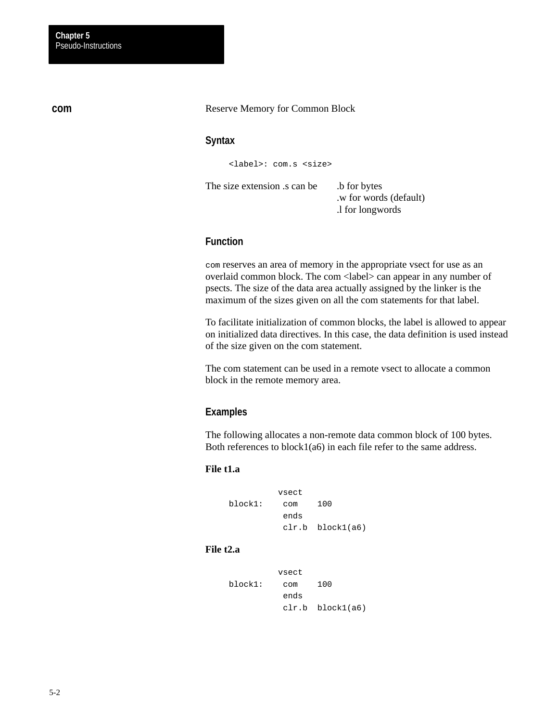Reserve Memory for Common Block

# **Syntax**

<label>: com.s <size>

The size extension .s can be .b for bytes

 .w for words (default) .l for longwords

# **Function**

com reserves an area of memory in the appropriate vsect for use as an overlaid common block. The com <label> can appear in any number of psects. The size of the data area actually assigned by the linker is the maximum of the sizes given on all the com statements for that label.

To facilitate initialization of common blocks, the label is allowed to appear on initialized data directives. In this case, the data definition is used instead of the size given on the com statement.

The com statement can be used in a remote vsect to allocate a common block in the remote memory area.

# **Examples**

The following allocates a non-remote data common block of 100 bytes. Both references to block1(a6) in each file refer to the same address.

## **File t1.a**

|         | vsect |                  |
|---------|-------|------------------|
| block1: | com   | 100              |
|         | ends  |                  |
|         |       | clr.b block1(a6) |

#### **File t2.a**

|         | vsect |                  |
|---------|-------|------------------|
| block1: | com   | 100              |
|         | ends  |                  |
|         |       | clr.b block1(a6) |

**com**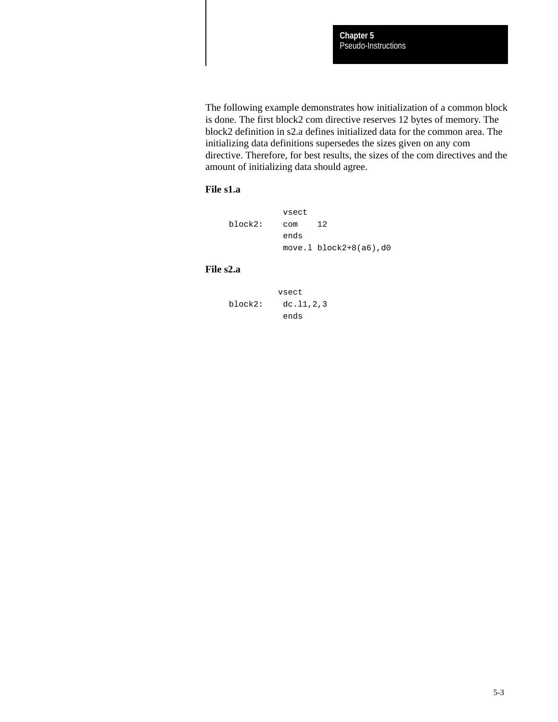The following example demonstrates how initialization of a common block is done. The first block2 com directive reserves 12 bytes of memory. The block2 definition in s2.a defines initialized data for the common area. The initializing data definitions supersedes the sizes given on any com directive. Therefore, for best results, the sizes of the com directives and the amount of initializing data should agree.

# **File s1.a**

|         | vsect |                            |
|---------|-------|----------------------------|
| block2: | COM   | 12                         |
|         | ends  |                            |
|         |       | $move.1 block2+8(a6)$ , d0 |

#### **File s2.a**

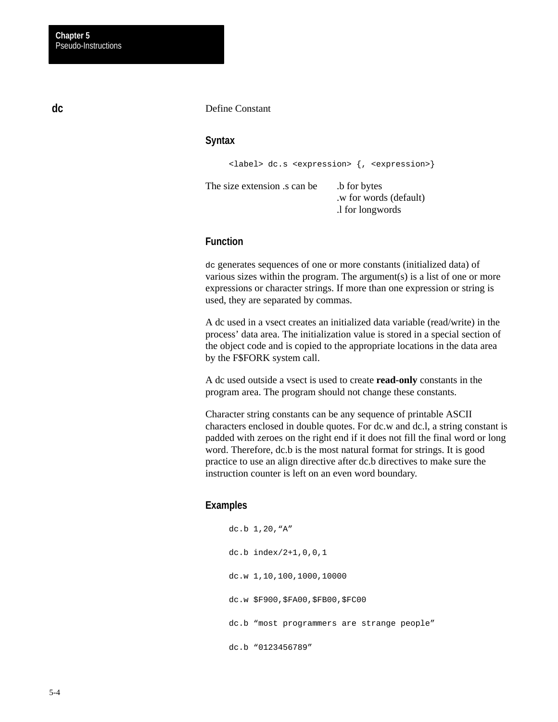#### Define Constant

## **Syntax**

<label> dc.s <expression> {, <expression>}

The size extension is can be .b for bytes .w for words (default) .l for longwords

# **Function**

dc generates sequences of one or more constants (initialized data) of various sizes within the program. The argument(s) is a list of one or more expressions or character strings. If more than one expression or string is used, they are separated by commas.

A dc used in a vsect creates an initialized data variable (read/write) in the process' data area. The initialization value is stored in a special section of the object code and is copied to the appropriate locations in the data area by the F\$FORK system call.

A dc used outside a vsect is used to create **read-only** constants in the program area. The program should not change these constants.

Character string constants can be any sequence of printable ASCII characters enclosed in double quotes. For dc.w and dc.l, a string constant is padded with zeroes on the right end if it does not fill the final word or long word. Therefore, dc.b is the most natural format for strings. It is good practice to use an align directive after dc.b directives to make sure the instruction counter is left on an even word boundary.

#### **Examples**

dc.b 1,20,"A" dc.b index/2+1,0,0,1 dc.w 1,10,100,1000,10000 dc.w \$F900,\$FA00,\$FB00,\$FC00 dc.b "most programmers are strange people" dc.b "0123456789"

**dc**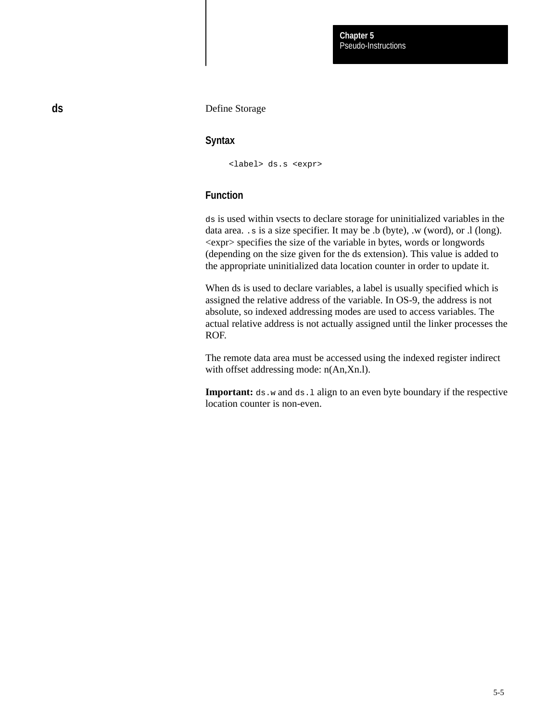#### Define Storage

# **Syntax**

<label> ds.s <expr>

# **Function**

ds is used within vsects to declare storage for uninitialized variables in the data area. .s is a size specifier. It may be .b (byte), .w (word), or .l (long). <expr> specifies the size of the variable in bytes, words or longwords (depending on the size given for the ds extension). This value is added to the appropriate uninitialized data location counter in order to update it.

When ds is used to declare variables, a label is usually specified which is assigned the relative address of the variable. In OS-9, the address is not absolute, so indexed addressing modes are used to access variables. The actual relative address is not actually assigned until the linker processes the ROF.

The remote data area must be accessed using the indexed register indirect with offset addressing mode:  $n(An,Xn.1)$ .

**Important:** ds.w and ds.1 align to an even byte boundary if the respective location counter is non-even.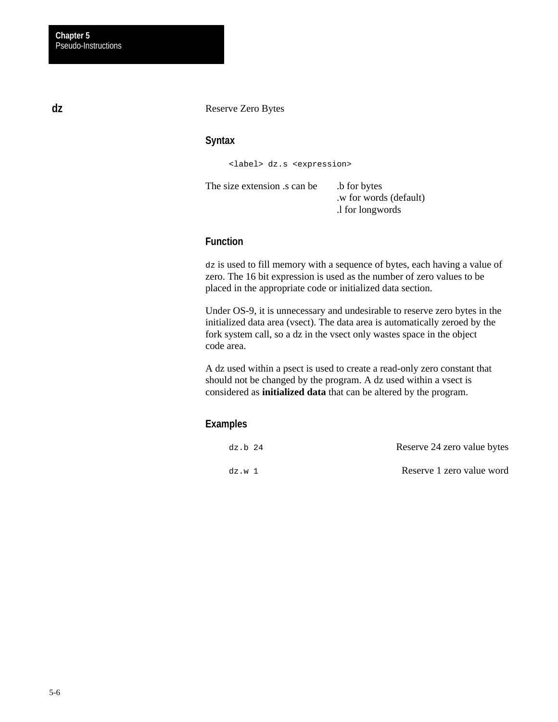#### Reserve Zero Bytes

# **Syntax**

<label> dz.s <expression>

The size extension .s can be .b for bytes

 .w for words (default) .l for longwords

# **Function**

dz is used to fill memory with a sequence of bytes, each having a value of zero. The 16 bit expression is used as the number of zero values to be placed in the appropriate code or initialized data section.

Under OS-9, it is unnecessary and undesirable to reserve zero bytes in the initialized data area (vsect). The data area is automatically zeroed by the fork system call, so a dz in the vsect only wastes space in the object code area.

A dz used within a psect is used to create a read-only zero constant that should not be changed by the program. A dz used within a vsect is considered as **initialized data** that can be altered by the program.

# **Examples**

| dz.b 24 | Reserve 24 zero value bytes |
|---------|-----------------------------|
| dz.w 1  | Reserve 1 zero value word   |

**dz**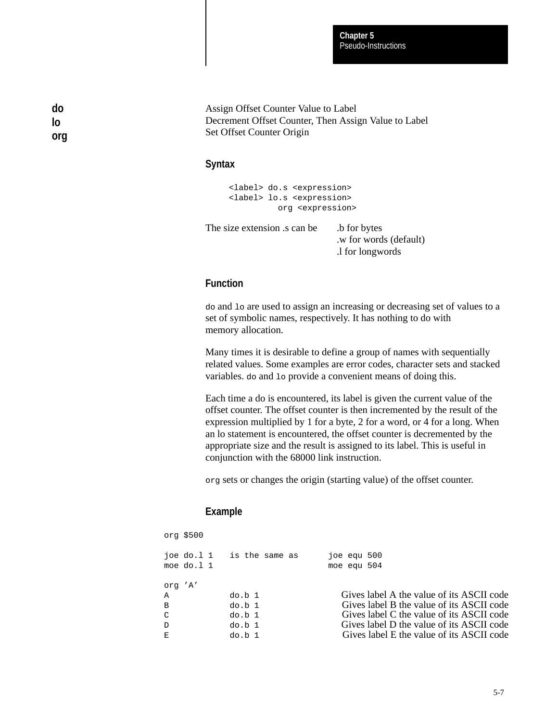Pseudo-Instructions **Chapter 5**

Assign Offset Counter Value to Label Decrement Offset Counter, Then Assign Value to Label Set Offset Counter Origin

# **Syntax**

**do lo org**

> <label> do.s <expression> <label> lo.s <expression> org <expression>

The size extension is can be .b for bytes .w for words (default) .l for longwords

# **Function**

do and lo are used to assign an increasing or decreasing set of values to a set of symbolic names, respectively. It has nothing to do with memory allocation.

Many times it is desirable to define a group of names with sequentially related values. Some examples are error codes, character sets and stacked variables. do and lo provide a convenient means of doing this.

Each time a do is encountered, its label is given the current value of the offset counter. The offset counter is then incremented by the result of the expression multiplied by 1 for a byte, 2 for a word, or 4 for a long. When an lo statement is encountered, the offset counter is decremented by the appropriate size and the result is assigned to its label. This is useful in conjunction with the 68000 link instruction.

org sets or changes the origin (starting value) of the offset counter.

# **Example**

| org \$500     |                               |                                           |
|---------------|-------------------------------|-------------------------------------------|
| moe do. $1$ 1 | $\frac{1}{10}$ is the same as | $10e$ equ $500$<br>moe equ 504            |
| org 'A'       |                               |                                           |
| Α             | do.b 1                        | Gives label A the value of its ASCII code |
| B             | do.b 1                        | Gives label B the value of its ASCII code |
| C             | do.b 1                        | Gives label C the value of its ASCII code |
| $\mathbf D$   | do.b 1                        | Gives label D the value of its ASCII code |
| Е             | do.b 1                        | Gives label E the value of its ASCII code |
|               |                               |                                           |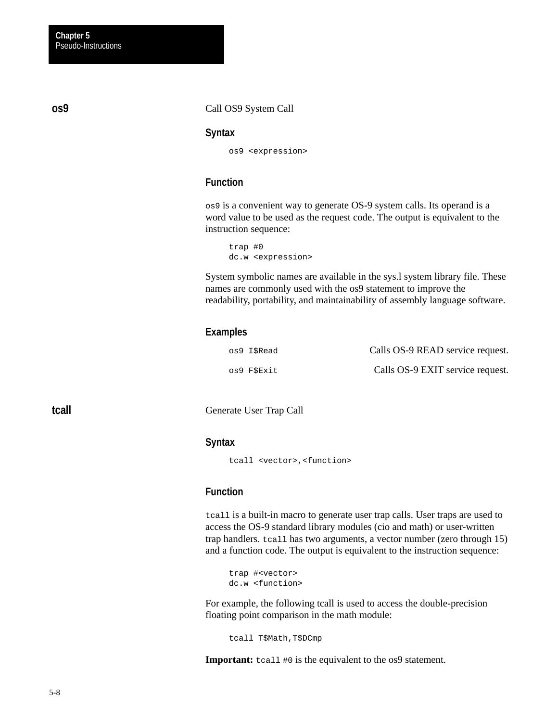**os9**

**tcall**

#### Call OS9 System Call

#### **Syntax**

os9 <expression>

# **Function**

os9 is a convenient way to generate OS-9 system calls. Its operand is a word value to be used as the request code. The output is equivalent to the instruction sequence:

trap #0 dc.w <expression>

System symbolic names are available in the sys.l system library file. These names are commonly used with the os9 statement to improve the readability, portability, and maintainability of assembly language software.

### **Examples**

| os9 I\$Read | Calls OS-9 READ service request. |
|-------------|----------------------------------|
| os9 F\$Exit | Calls OS-9 EXIT service request. |

Generate User Trap Call

### **Syntax**

tcall <vector>,<function>

# **Function**

tcall is a built-in macro to generate user trap calls. User traps are used to access the OS-9 standard library modules (cio and math) or user-written trap handlers. tcall has two arguments, a vector number (zero through 15) and a function code. The output is equivalent to the instruction sequence:

```
trap #<vector>
dc.w <function>
```
For example, the following tcall is used to access the double-precision floating point comparison in the math module:

tcall T\$Math,T\$DCmp

**Important:** tcall #0 is the equivalent to the os9 statement.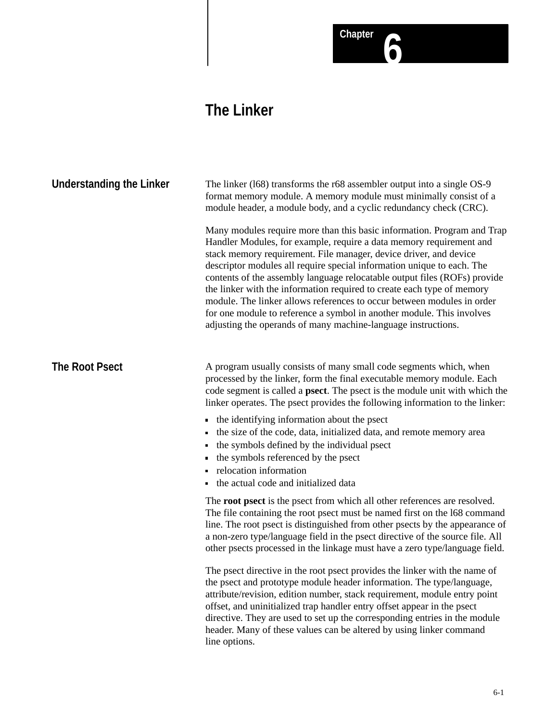# Chapter **6**

# **The Linker**

| <b>Understanding the Linker</b> | The linker (168) transforms the r68 assembler output into a single OS-9<br>format memory module. A memory module must minimally consist of a<br>module header, a module body, and a cyclic redundancy check (CRC).                                                                                                                                                                                                                                                                                                                                                                                                                                                       |
|---------------------------------|--------------------------------------------------------------------------------------------------------------------------------------------------------------------------------------------------------------------------------------------------------------------------------------------------------------------------------------------------------------------------------------------------------------------------------------------------------------------------------------------------------------------------------------------------------------------------------------------------------------------------------------------------------------------------|
|                                 | Many modules require more than this basic information. Program and Trap<br>Handler Modules, for example, require a data memory requirement and<br>stack memory requirement. File manager, device driver, and device<br>descriptor modules all require special information unique to each. The<br>contents of the assembly language relocatable output files (ROFs) provide<br>the linker with the information required to create each type of memory<br>module. The linker allows references to occur between modules in order<br>for one module to reference a symbol in another module. This involves<br>adjusting the operands of many machine-language instructions. |
| <b>The Root Psect</b>           | A program usually consists of many small code segments which, when<br>processed by the linker, form the final executable memory module. Each<br>code segment is called a <b>psect</b> . The psect is the module unit with which the<br>linker operates. The psect provides the following information to the linker:                                                                                                                                                                                                                                                                                                                                                      |
|                                 | the identifying information about the psect<br>the size of the code, data, initialized data, and remote memory area<br>the symbols defined by the individual psect<br>the symbols referenced by the psect<br>relocation information<br>the actual code and initialized data                                                                                                                                                                                                                                                                                                                                                                                              |
|                                 | The root psect is the psect from which all other references are resolved.<br>The file containing the root psect must be named first on the 168 command<br>line. The root psect is distinguished from other psects by the appearance of<br>a non-zero type/language field in the psect directive of the source file. All<br>other psects processed in the linkage must have a zero type/language field.                                                                                                                                                                                                                                                                   |
|                                 | The psect directive in the root psect provides the linker with the name of<br>the psect and prototype module header information. The type/language,<br>attribute/revision, edition number, stack requirement, module entry point<br>offset, and uninitialized trap handler entry offset appear in the psect<br>directive. They are used to set up the corresponding entries in the module<br>header. Many of these values can be altered by using linker command<br>line options.                                                                                                                                                                                        |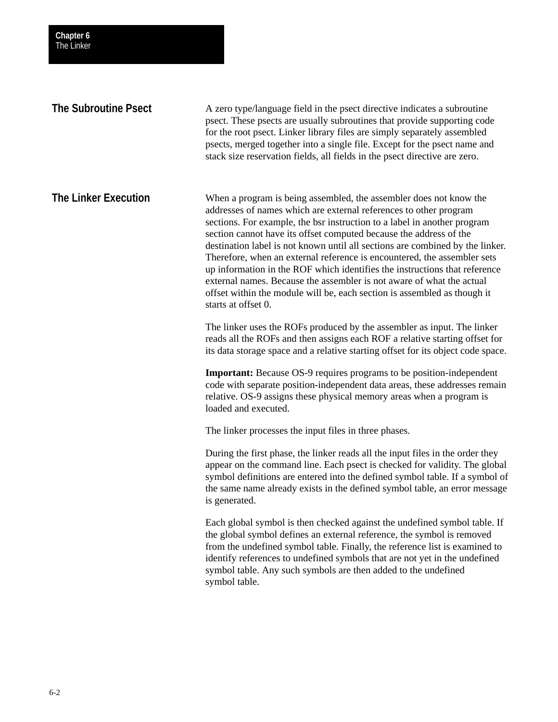| The Linker                  |                                                                                                                                                                                                                                                                                                                                                                                                                                                                                                                                                                                                                                                                                                                  |
|-----------------------------|------------------------------------------------------------------------------------------------------------------------------------------------------------------------------------------------------------------------------------------------------------------------------------------------------------------------------------------------------------------------------------------------------------------------------------------------------------------------------------------------------------------------------------------------------------------------------------------------------------------------------------------------------------------------------------------------------------------|
| <b>The Subroutine Psect</b> | A zero type/language field in the psect directive indicates a subroutine<br>psect. These psects are usually subroutines that provide supporting code<br>for the root psect. Linker library files are simply separately assembled<br>psects, merged together into a single file. Except for the psect name and<br>stack size reservation fields, all fields in the psect directive are zero.                                                                                                                                                                                                                                                                                                                      |
| <b>The Linker Execution</b> | When a program is being assembled, the assembler does not know the<br>addresses of names which are external references to other program<br>sections. For example, the bsr instruction to a label in another program<br>section cannot have its offset computed because the address of the<br>destination label is not known until all sections are combined by the linker.<br>Therefore, when an external reference is encountered, the assembler sets<br>up information in the ROF which identifies the instructions that reference<br>external names. Because the assembler is not aware of what the actual<br>offset within the module will be, each section is assembled as though it<br>starts at offset 0. |
|                             | The linker uses the ROFs produced by the assembler as input. The linker<br>reads all the ROFs and then assigns each ROF a relative starting offset for<br>its data storage space and a relative starting offset for its object code space.                                                                                                                                                                                                                                                                                                                                                                                                                                                                       |
|                             | <b>Important:</b> Because OS-9 requires programs to be position-independent<br>code with separate position-independent data areas, these addresses remain<br>relative. OS-9 assigns these physical memory areas when a program is<br>loaded and executed.                                                                                                                                                                                                                                                                                                                                                                                                                                                        |
|                             | The linker processes the input files in three phases.                                                                                                                                                                                                                                                                                                                                                                                                                                                                                                                                                                                                                                                            |
|                             | During the first phase, the linker reads all the input files in the order they<br>appear on the command line. Each psect is checked for validity. The global<br>symbol definitions are entered into the defined symbol table. If a symbol of<br>the same name already exists in the defined symbol table, an error message<br>is generated.                                                                                                                                                                                                                                                                                                                                                                      |
|                             | Each global symbol is then checked against the undefined symbol table. If<br>the global symbol defines an external reference, the symbol is removed<br>from the undefined symbol table. Finally, the reference list is examined to<br>identify references to undefined symbols that are not yet in the undefined<br>symbol table. Any such symbols are then added to the undefined<br>symbol table.                                                                                                                                                                                                                                                                                                              |
|                             |                                                                                                                                                                                                                                                                                                                                                                                                                                                                                                                                                                                                                                                                                                                  |

**Chapter 6**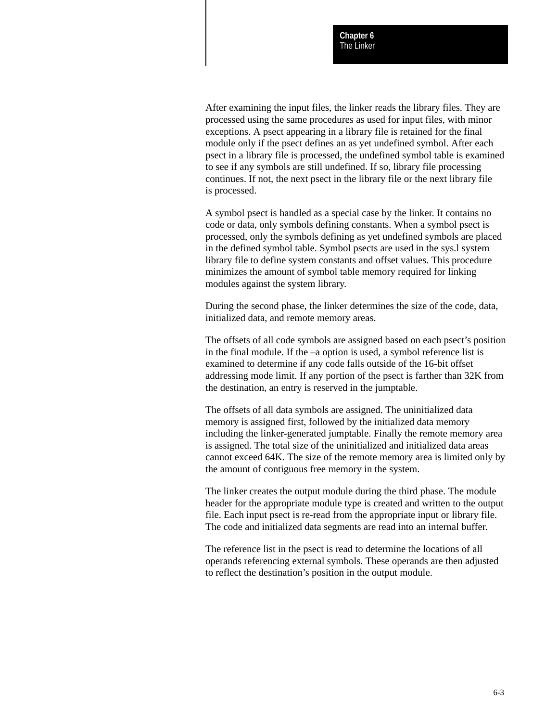After examining the input files, the linker reads the library files. They are processed using the same procedures as used for input files, with minor exceptions. A psect appearing in a library file is retained for the final module only if the psect defines an as yet undefined symbol. After each psect in a library file is processed, the undefined symbol table is examined to see if any symbols are still undefined. If so, library file processing continues. If not, the next psect in the library file or the next library file is processed.

A symbol psect is handled as a special case by the linker. It contains no code or data, only symbols defining constants. When a symbol psect is processed, only the symbols defining as yet undefined symbols are placed in the defined symbol table. Symbol psects are used in the sys.l system library file to define system constants and offset values. This procedure minimizes the amount of symbol table memory required for linking modules against the system library.

During the second phase, the linker determines the size of the code, data, initialized data, and remote memory areas.

The offsets of all code symbols are assigned based on each psect's position in the final module. If the –a option is used, a symbol reference list is examined to determine if any code falls outside of the 16-bit offset addressing mode limit. If any portion of the psect is farther than 32K from the destination, an entry is reserved in the jumptable.

The offsets of all data symbols are assigned. The uninitialized data memory is assigned first, followed by the initialized data memory including the linker-generated jumptable. Finally the remote memory area is assigned. The total size of the uninitialized and initialized data areas cannot exceed 64K. The size of the remote memory area is limited only by the amount of contiguous free memory in the system.

The linker creates the output module during the third phase. The module header for the appropriate module type is created and written to the output file. Each input psect is re-read from the appropriate input or library file. The code and initialized data segments are read into an internal buffer.

The reference list in the psect is read to determine the locations of all operands referencing external symbols. These operands are then adjusted to reflect the destination's position in the output module.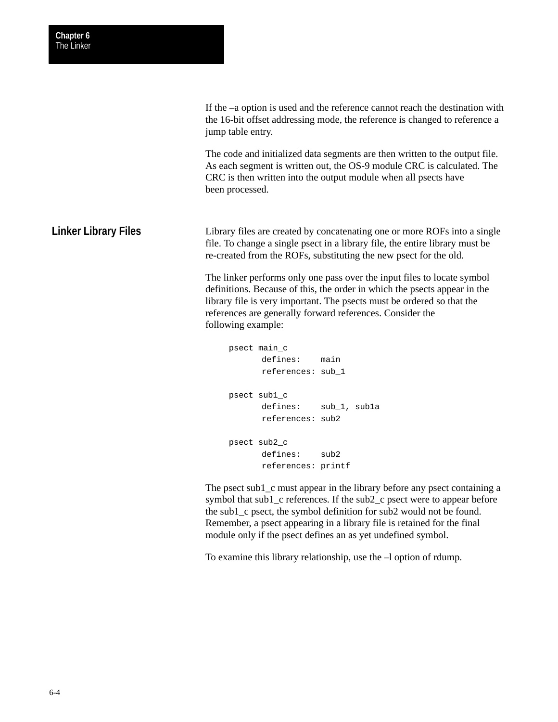If the –a option is used and the reference cannot reach the destination with the 16-bit offset addressing mode, the reference is changed to reference a jump table entry.

The code and initialized data segments are then written to the output file. As each segment is written out, the OS-9 module CRC is calculated. The CRC is then written into the output module when all psects have been processed.

Library files are created by concatenating one or more ROFs into a single file. To change a single psect in a library file, the entire library must be re-created from the ROFs, substituting the new psect for the old. **Linker Library Files**

> The linker performs only one pass over the input files to locate symbol definitions. Because of this, the order in which the psects appear in the library file is very important. The psects must be ordered so that the references are generally forward references. Consider the following example:

```
psect main_c
      defines: main
      references: sub_1
psect sub1_c
      defines: sub_1, sub1a
      references: sub2
psect sub2_c
      defines: sub2
      references: printf
```
The psect sub1 c must appear in the library before any psect containing a symbol that sub1\_c references. If the sub2\_c psect were to appear before the sub1\_c psect, the symbol definition for sub2 would not be found. Remember, a psect appearing in a library file is retained for the final module only if the psect defines an as yet undefined symbol.

To examine this library relationship, use the –l option of rdump.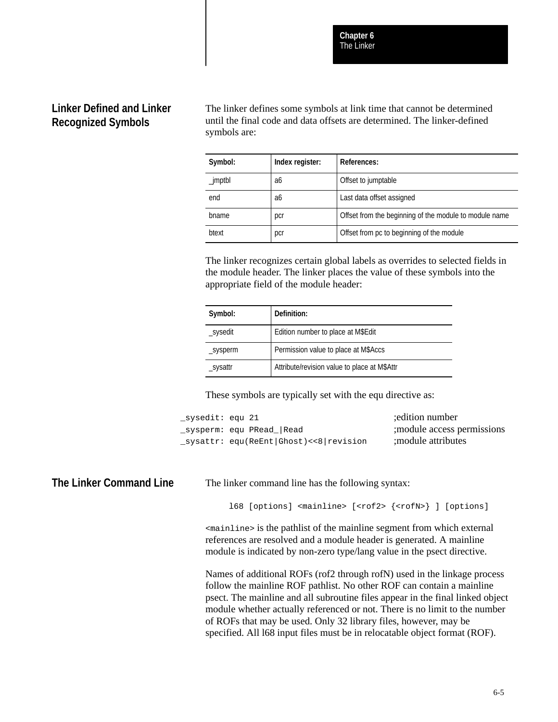## **Linker Defined and Linker Recognized Symbols**

The linker defines some symbols at link time that cannot be determined until the final code and data offsets are determined. The linker-defined symbols are:

| Symbol:    | Index register: | References:                                            |
|------------|-----------------|--------------------------------------------------------|
| $_j$ mptbl | a6              | Offset to jumptable                                    |
| end        | a6              | Last data offset assigned                              |
| bname      | pcr             | Offset from the beginning of the module to module name |
| btext      | pcr             | Offset from pc to beginning of the module              |

The linker recognizes certain global labels as overrides to selected fields in the module header. The linker places the value of these symbols into the appropriate field of the module header:

| Symbol:  | Definition:                                  |
|----------|----------------------------------------------|
| _sysedit | Edition number to place at M\$Edit           |
| _sysperm | Permission value to place at M\$Accs         |
| _sysattr | Attribute/revision value to place at M\$Attr |

These symbols are typically set with the equ directive as:

| _sysedit: equ 21 |                                                                                                                                                                                                                                                                                                                                                                                                                                                       | edition number;             |
|------------------|-------------------------------------------------------------------------------------------------------------------------------------------------------------------------------------------------------------------------------------------------------------------------------------------------------------------------------------------------------------------------------------------------------------------------------------------------------|-----------------------------|
|                  | _sysperm: equ PRead_ Read                                                                                                                                                                                                                                                                                                                                                                                                                             | ; module access permissions |
|                  | $\rule{0.15\textwidth}{0.03\textwidth} \begin{minipage}{0.03\textwidth} \centering \label{fig:2} \textbf{S} \textbf{V} \textbf{S} \textbf{d} \textbf{t} \textbf{r}: \textbf{eq} \textbf{u} \textbf{(ReEnt)} \textbf{d} \textbf{S} \textbf{d} \textbf{t} \textbf{c} \textbf{s} \textbf{d} \textbf{r} \textbf{e} \textbf{v} \textbf{i} \textbf{s} \textbf{i} \textbf{o} \textbf{n} \textbf{d} \textbf{r} \textbf{d} \textbf{t} \textbf{c} \textbf{r} \$ | ; module attributes         |

### **The Linker Command Line**

The linker command line has the following syntax:

l68 [options] <mainline> [<rof2> {<rofN>} ] [options]

<mainline> is the pathlist of the mainline segment from which external references are resolved and a module header is generated. A mainline module is indicated by non-zero type/lang value in the psect directive.

Names of additional ROFs (rof2 through rofN) used in the linkage process follow the mainline ROF pathlist. No other ROF can contain a mainline psect. The mainline and all subroutine files appear in the final linked object module whether actually referenced or not. There is no limit to the number of ROFs that may be used. Only 32 library files, however, may be specified. All l68 input files must be in relocatable object format (ROF).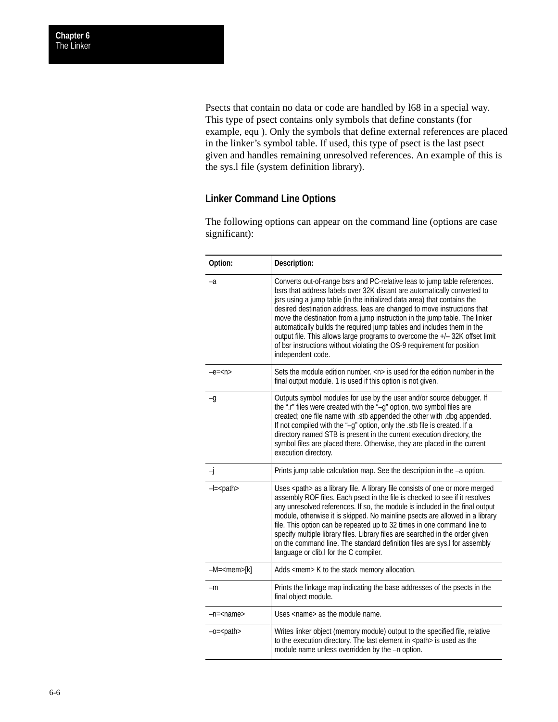Psects that contain no data or code are handled by l68 in a special way. This type of psect contains only symbols that define constants (for example, equ ). Only the symbols that define external references are placed in the linker's symbol table. If used, this type of psect is the last psect given and handles remaining unresolved references. An example of this is the sys.l file (system definition library).

## **Linker Command Line Options**

The following options can appear on the command line (options are case significant):

| Option:             | Description:                                                                                                                                                                                                                                                                                                                                                                                                                                                                                                                                                                                                                                         |
|---------------------|------------------------------------------------------------------------------------------------------------------------------------------------------------------------------------------------------------------------------------------------------------------------------------------------------------------------------------------------------------------------------------------------------------------------------------------------------------------------------------------------------------------------------------------------------------------------------------------------------------------------------------------------------|
| $-a$                | Converts out-of-range bsrs and PC-relative leas to jump table references.<br>bsrs that address labels over 32K distant are automatically converted to<br>jsrs using a jump table (in the initialized data area) that contains the<br>desired destination address. leas are changed to move instructions that<br>move the destination from a jump instruction in the jump table. The linker<br>automatically builds the required jump tables and includes them in the<br>output file. This allows large programs to overcome the +/- 32K offset limit<br>of bsr instructions without violating the OS-9 requirement for position<br>independent code. |
| $-e=$               | Sets the module edition number. $\langle n \rangle$ is used for the edition number in the<br>final output module. 1 is used if this option is not given.                                                                                                                                                                                                                                                                                                                                                                                                                                                                                             |
| -g                  | Outputs symbol modules for use by the user and/or source debugger. If<br>the ".r" files were created with the "-g" option, two symbol files are<br>created; one file name with .stb appended the other with .dbg appended.<br>If not compiled with the "-q" option, only the .stb file is created. If a<br>directory named STB is present in the current execution directory, the<br>symbol files are placed there. Otherwise, they are placed in the current<br>execution directory.                                                                                                                                                                |
| -j                  | Prints jump table calculation map. See the description in the -a option.                                                                                                                                                                                                                                                                                                                                                                                                                                                                                                                                                                             |
| $-l =$ $<$ path $>$ | Uses <path> as a library file. A library file consists of one or more merged<br/>assembly ROF files. Each psect in the file is checked to see if it resolves<br/>any unresolved references. If so, the module is included in the final output<br/>module, otherwise it is skipped. No mainline psects are allowed in a library<br/>file. This option can be repeated up to 32 times in one command line to<br/>specify multiple library files. Library files are searched in the order given<br/>on the command line. The standard definition files are sys.I for assembly<br/>language or clib.I for the C compiler.</path>                         |
| $-M = mem[k]$       | Adds <mem> K to the stack memory allocation.</mem>                                                                                                                                                                                                                                                                                                                                                                                                                                                                                                                                                                                                   |
| -m                  | Prints the linkage map indicating the base addresses of the psects in the<br>final object module.                                                                                                                                                                                                                                                                                                                                                                                                                                                                                                                                                    |
| -n= <name></name>   | Uses <name> as the module name.</name>                                                                                                                                                                                                                                                                                                                                                                                                                                                                                                                                                                                                               |
| $-c = path$         | Writes linker object (memory module) output to the specified file, relative<br>to the execution directory. The last element in <path> is used as the<br/>module name unless overridden by the -n option.</path>                                                                                                                                                                                                                                                                                                                                                                                                                                      |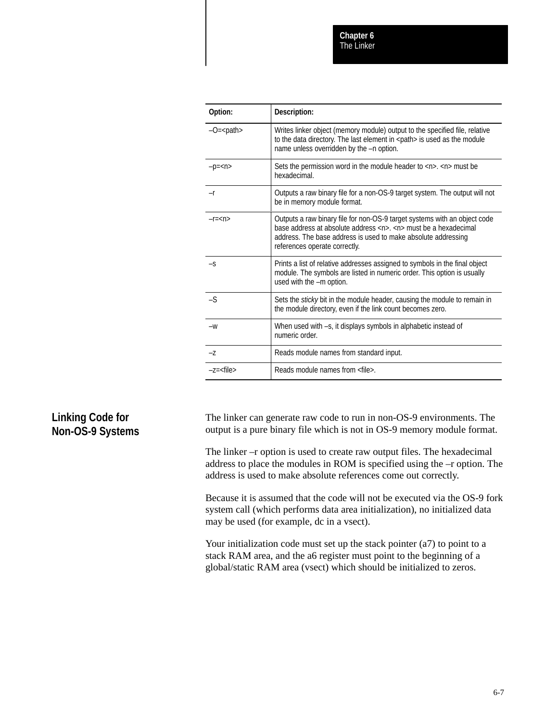| Option:        | Description:                                                                                                                                                                                                                                                                    |
|----------------|---------------------------------------------------------------------------------------------------------------------------------------------------------------------------------------------------------------------------------------------------------------------------------|
| $-O=path>$     | Writes linker object (memory module) output to the specified file, relative<br>to the data directory. The last element in <path> is used as the module<br/>name unless overridden by the -n option.</path>                                                                      |
| $-p=$          | Sets the permission word in the module header to $\langle n \rangle$ . $\langle n \rangle$ must be<br>hexadecimal.                                                                                                                                                              |
| $-r$           | Outputs a raw binary file for a non-OS-9 target system. The output will not<br>be in memory module format.                                                                                                                                                                      |
| $-r = < n >$   | Outputs a raw binary file for non-OS-9 target systems with an object code<br>base address at absolute address $\langle n \rangle$ , $\langle n \rangle$ must be a hexadecimal<br>address. The base address is used to make absolute addressing<br>references operate correctly. |
| $-S$           | Prints a list of relative addresses assigned to symbols in the final object<br>module. The symbols are listed in numeric order. This option is usually<br>used with the -m option.                                                                                              |
| $-S$           | Sets the sticky bit in the module header, causing the module to remain in<br>the module directory, even if the link count becomes zero.                                                                                                                                         |
| $-W$           | When used with -s, it displays symbols in alphabetic instead of<br>numeric order.                                                                                                                                                                                               |
| -Z             | Reads module names from standard input.                                                                                                                                                                                                                                         |
| $-z = <$ file> | Reads module names from <file>.</file>                                                                                                                                                                                                                                          |

## **Linking Code for Non-OS-9 Systems**

The linker can generate raw code to run in non-OS-9 environments. The output is a pure binary file which is not in OS-9 memory module format.

The linker –r option is used to create raw output files. The hexadecimal address to place the modules in ROM is specified using the –r option. The address is used to make absolute references come out correctly.

Because it is assumed that the code will not be executed via the OS-9 fork system call (which performs data area initialization), no initialized data may be used (for example, dc in a vsect).

Your initialization code must set up the stack pointer (a7) to point to a stack RAM area, and the a6 register must point to the beginning of a global/static RAM area (vsect) which should be initialized to zeros.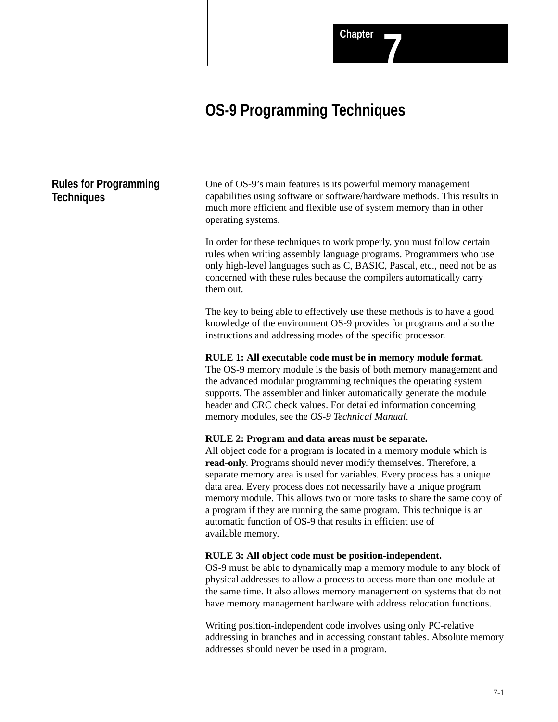# **OS-9 Programming Techniques**

## **Rules for Programming Techniques**

One of OS-9's main features is its powerful memory management capabilities using software or software/hardware methods. This results in much more efficient and flexible use of system memory than in other operating systems.

In order for these techniques to work properly, you must follow certain rules when writing assembly language programs. Programmers who use only high-level languages such as C, BASIC, Pascal, etc., need not be as concerned with these rules because the compilers automatically carry them out.

The key to being able to effectively use these methods is to have a good knowledge of the environment OS-9 provides for programs and also the instructions and addressing modes of the specific processor.

#### **RULE 1: All executable code must be in memory module format.**

The OS-9 memory module is the basis of both memory management and the advanced modular programming techniques the operating system supports. The assembler and linker automatically generate the module header and CRC check values. For detailed information concerning memory modules, see the *OS-9 Technical Manual*.

#### **RULE 2: Program and data areas must be separate.**

All object code for a program is located in a memory module which is **read-only**. Programs should never modify themselves. Therefore, a separate memory area is used for variables. Every process has a unique data area. Every process does not necessarily have a unique program memory module. This allows two or more tasks to share the same copy of a program if they are running the same program. This technique is an automatic function of OS-9 that results in efficient use of available memory.

#### **RULE 3: All object code must be position-independent.**

OS-9 must be able to dynamically map a memory module to any block of physical addresses to allow a process to access more than one module at the same time. It also allows memory management on systems that do not have memory management hardware with address relocation functions.

Writing position-independent code involves using only PC-relative addressing in branches and in accessing constant tables. Absolute memory addresses should never be used in a program.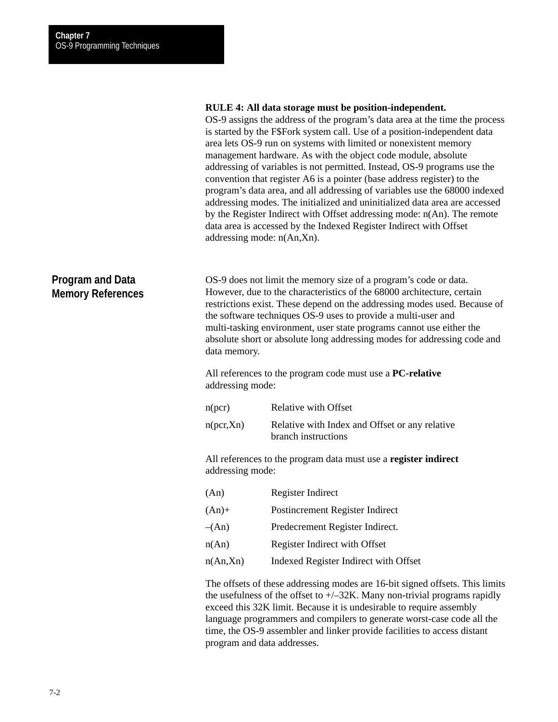#### **RULE 4: All data storage must be position-independent.**

OS-9 assigns the address of the program's data area at the time the process is started by the F\$Fork system call. Use of a position-independent data area lets OS-9 run on systems with limited or nonexistent memory management hardware. As with the object code module, absolute addressing of variables is not permitted. Instead, OS-9 programs use the convention that register A6 is a pointer (base address register) to the program's data area, and all addressing of variables use the 68000 indexed addressing modes. The initialized and uninitialized data area are accessed by the Register Indirect with Offset addressing mode: n(An). The remote data area is accessed by the Indexed Register Indirect with Offset addressing mode: n(An,Xn).

### **Program and Data Memory References**

OS-9 does not limit the memory size of a program's code or data. However, due to the characteristics of the 68000 architecture, certain restrictions exist. These depend on the addressing modes used. Because of the software techniques OS-9 uses to provide a multi-user and multi-tasking environment, user state programs cannot use either the absolute short or absolute long addressing modes for addressing code and data memory.

All references to the program code must use a **PC-relative** addressing mode:

| n(pcr)    | Relative with Offset                                                  |
|-----------|-----------------------------------------------------------------------|
| n(pcr,Xn) | Relative with Index and Offset or any relative<br>branch instructions |

All references to the program data must use a **register indirect** addressing mode:

| (An)     | Register Indirect                     |
|----------|---------------------------------------|
| $(An)+$  | Postincrement Register Indirect       |
| $-(An)$  | Predecrement Register Indirect.       |
| n(An)    | Register Indirect with Offset         |
| n(An,Xn) | Indexed Register Indirect with Offset |

The offsets of these addressing modes are 16-bit signed offsets. This limits the usefulness of the offset to  $+/-32K$ . Many non-trivial programs rapidly exceed this 32K limit. Because it is undesirable to require assembly language programmers and compilers to generate worst-case code all the time, the OS-9 assembler and linker provide facilities to access distant program and data addresses.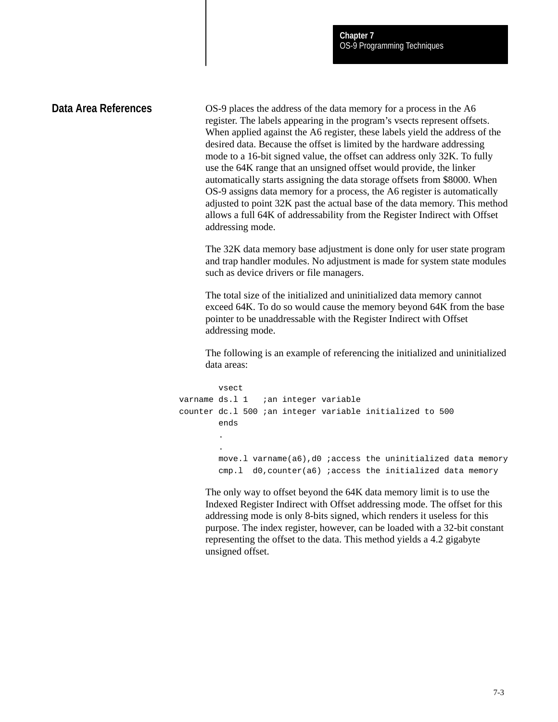### **Data Area References**

OS-9 places the address of the data memory for a process in the A6 register. The labels appearing in the program's vsects represent offsets. When applied against the A6 register, these labels yield the address of the desired data. Because the offset is limited by the hardware addressing mode to a 16-bit signed value, the offset can address only 32K. To fully use the 64K range that an unsigned offset would provide, the linker automatically starts assigning the data storage offsets from \$8000. When OS-9 assigns data memory for a process, the A6 register is automatically adjusted to point 32K past the actual base of the data memory. This method allows a full 64K of addressability from the Register Indirect with Offset addressing mode.

The 32K data memory base adjustment is done only for user state program and trap handler modules. No adjustment is made for system state modules such as device drivers or file managers.

The total size of the initialized and uninitialized data memory cannot exceed 64K. To do so would cause the memory beyond 64K from the base pointer to be unaddressable with the Register Indirect with Offset addressing mode.

The following is an example of referencing the initialized and uninitialized data areas:

```
vsect
varname ds.1 1 ian integer variable
counter dc.l 500 ;an integer variable initialized to 500
        ends
        .
        .
        move.l varname(a6),d0 ;access the uninitialized data memory
        cmp.l d0,counter(a6) ;access the initialized data memory
```
The only way to offset beyond the 64K data memory limit is to use the Indexed Register Indirect with Offset addressing mode. The offset for this addressing mode is only 8-bits signed, which renders it useless for this purpose. The index register, however, can be loaded with a 32-bit constant representing the offset to the data. This method yields a 4.2 gigabyte unsigned offset.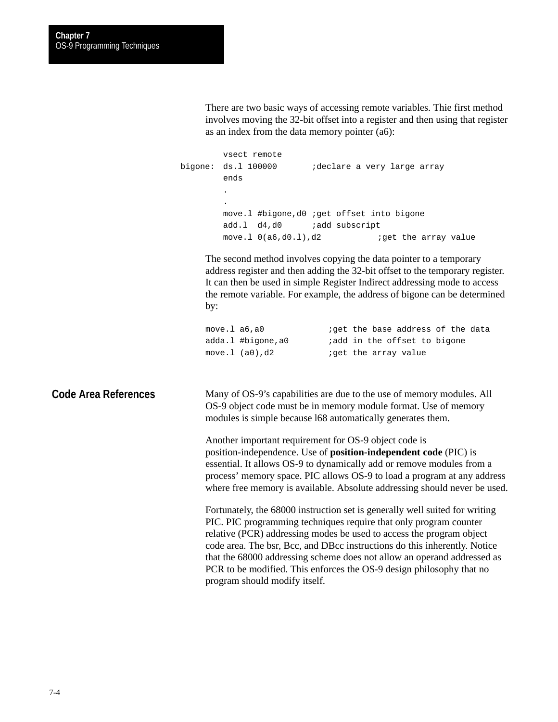There are two basic ways of accessing remote variables. Thie first method involves moving the 32-bit offset into a register and then using that register as an index from the data memory pointer (a6):

vsect remote bigone: ds.l 100000 ;declare a very large array ends . . move.l #bigone,d0 ;get offset into bigone add.l d4,d0 *i*add subscript move.1  $0(a6, d0.1)$ , d2 ; qet the array value

The second method involves copying the data pointer to a temporary address register and then adding the 32-bit offset to the temporary register. It can then be used in simple Register Indirect addressing mode to access the remote variable. For example, the address of bigone can be determined by:

| move.1 a6,a0      | <i>i</i> qet the base address of the data |
|-------------------|-------------------------------------------|
| adda.l #bigone,a0 | <i>i</i> add in the offset to bigone      |
| move. $l$ (a0),d2 | <i>i</i> qet the array value              |

**Code Area References**

Many of OS-9's capabilities are due to the use of memory modules. All OS-9 object code must be in memory module format. Use of memory modules is simple because l68 automatically generates them.

Another important requirement for OS-9 object code is position-independence. Use of **position-independent code** (PIC) is essential. It allows OS-9 to dynamically add or remove modules from a process' memory space. PIC allows OS-9 to load a program at any address where free memory is available. Absolute addressing should never be used.

Fortunately, the 68000 instruction set is generally well suited for writing PIC. PIC programming techniques require that only program counter relative (PCR) addressing modes be used to access the program object code area. The bsr, Bcc, and DBcc instructions do this inherently. Notice that the 68000 addressing scheme does not allow an operand addressed as PCR to be modified. This enforces the OS-9 design philosophy that no program should modify itself.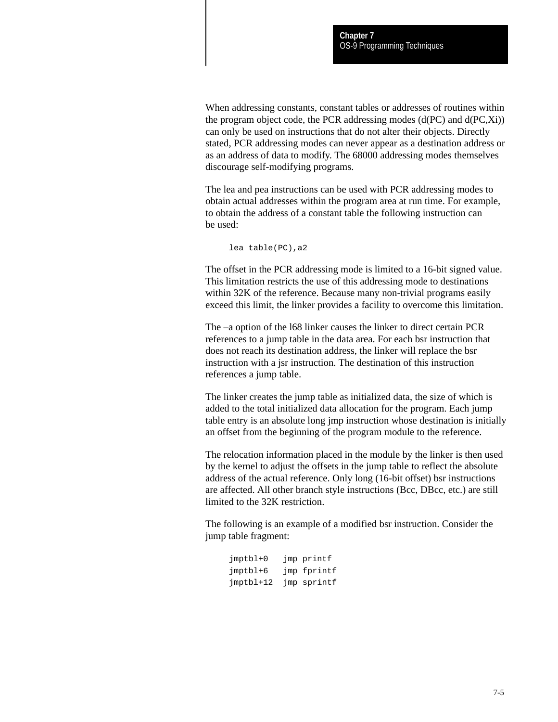When addressing constants, constant tables or addresses of routines within the program object code, the PCR addressing modes (d(PC) and d(PC,Xi)) can only be used on instructions that do not alter their objects. Directly stated, PCR addressing modes can never appear as a destination address or as an address of data to modify. The 68000 addressing modes themselves discourage self-modifying programs.

The lea and pea instructions can be used with PCR addressing modes to obtain actual addresses within the program area at run time. For example, to obtain the address of a constant table the following instruction can be used:

lea table(PC),a2

The offset in the PCR addressing mode is limited to a 16-bit signed value. This limitation restricts the use of this addressing mode to destinations within 32K of the reference. Because many non-trivial programs easily exceed this limit, the linker provides a facility to overcome this limitation.

The –a option of the l68 linker causes the linker to direct certain PCR references to a jump table in the data area. For each bsr instruction that does not reach its destination address, the linker will replace the bsr instruction with a jsr instruction. The destination of this instruction references a jump table.

The linker creates the jump table as initialized data, the size of which is added to the total initialized data allocation for the program. Each jump table entry is an absolute long jmp instruction whose destination is initially an offset from the beginning of the program module to the reference.

The relocation information placed in the module by the linker is then used by the kernel to adjust the offsets in the jump table to reflect the absolute address of the actual reference. Only long (16-bit offset) bsr instructions are affected. All other branch style instructions (Bcc, DBcc, etc.) are still limited to the 32K restriction.

The following is an example of a modified bsr instruction. Consider the jump table fragment:

| $jmptb1+0$  | jmp printf  |
|-------------|-------------|
| jmptbl+6    | jmp fprintf |
| $jmptb1+12$ | jmp sprintf |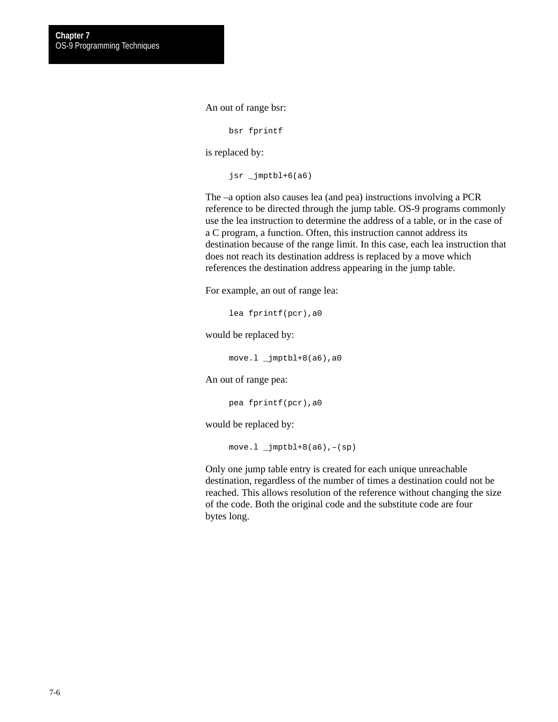An out of range bsr:

bsr fprintf

is replaced by:

jsr \_jmptbl+6(a6)

The –a option also causes lea (and pea) instructions involving a PCR reference to be directed through the jump table. OS-9 programs commonly use the lea instruction to determine the address of a table, or in the case of a C program, a function. Often, this instruction cannot address its destination because of the range limit. In this case, each lea instruction that does not reach its destination address is replaced by a move which references the destination address appearing in the jump table.

For example, an out of range lea:

lea fprintf(pcr),a0

would be replaced by:

move.l \_jmptbl+8(a6),a0

An out of range pea:

pea fprintf(pcr),a0

would be replaced by:

 $move.1 \quad \text{jmpth1+8(a6)}, -(sp)$ 

Only one jump table entry is created for each unique unreachable destination, regardless of the number of times a destination could not be reached. This allows resolution of the reference without changing the size of the code. Both the original code and the substitute code are four bytes long.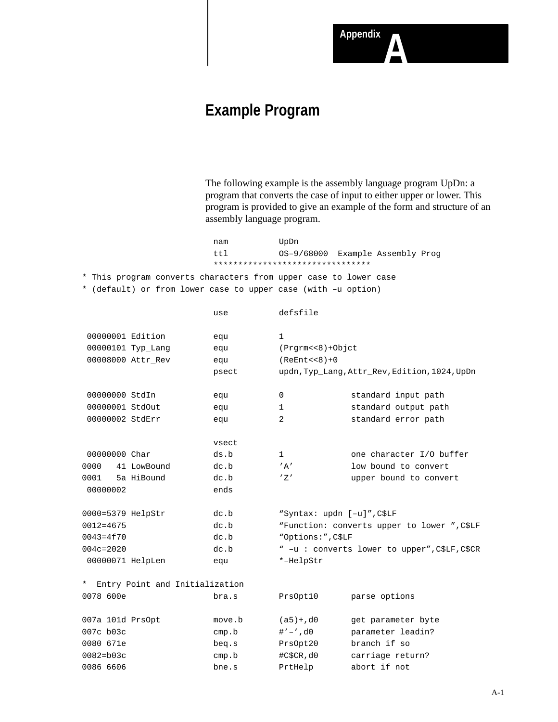# **Example Program**

The following example is the assembly language program UpDn: a program that converts the case of input to either upper or lower. This program is provided to give an example of the form and structure of an assembly language program.

**Appendix** 

nam UpDn ttl OS–9/68000 Example Assembly Prog \*\*\*\*\*\*\*\*\*\*\*\*\*\*\*\*\*\*\*\*\*\*\*\*\*\*\*\*\*\*\*\* \* This program converts characters from upper case to lower case \* (default) or from lower case to upper case (with –u option)

|                  |                                  | use    | defsfile                   |                                               |
|------------------|----------------------------------|--------|----------------------------|-----------------------------------------------|
|                  |                                  |        |                            |                                               |
|                  | 00000001 Edition                 | equ    | $\mathbf{1}$               |                                               |
|                  | 00000101 Typ_Lang                | equ    | $(Prqrm<<8)+Objct$         |                                               |
|                  | 00008000 Attr_Rev                | equ    | $(REnt << 8) + 0$          |                                               |
|                  |                                  | psect  |                            | updn, Typ_Lang, Attr_Rev, Edition, 1024, UpDn |
|                  |                                  |        |                            |                                               |
| 00000000 StdIn   |                                  | equ    | 0                          | standard input path                           |
|                  | 00000001 StdOut                  | equ    | 1                          | standard output path                          |
|                  | 00000002 StdErr                  | equ    | 2                          | standard error path                           |
|                  |                                  | vsect  |                            |                                               |
| 00000000 Char    |                                  | ds.b   | 1                          | one character I/O buffer                      |
| 0000             | 41 LowBound                      | dc.b   | ' A'                       | low bound to convert                          |
| 0001             | 5a HiBound                       | dc.b   | 'Z'                        | upper bound to convert                        |
| 00000002         |                                  | ends   |                            |                                               |
|                  |                                  |        |                            |                                               |
|                  | 0000=5379 HelpStr                | dc.b   | "Syntax: updn [-u]", C\$LF |                                               |
| $0012 = 4675$    |                                  | dc.b   |                            | "Function: converts upper to lower ", C\$LF   |
| $0043 = 4570$    |                                  | dc.b   | "Options:", C\$LF          |                                               |
| $004c = 2020$    |                                  | dc.b   |                            | " -u : converts lower to upper", C\$LF, C\$CR |
|                  | 00000071 HelpLen                 | equ    | *-HelpStr                  |                                               |
|                  |                                  |        |                            |                                               |
|                  |                                  |        |                            |                                               |
|                  |                                  |        |                            |                                               |
| 007a 101d PrsOpt |                                  | move.b | $(a5) + d0$                | get parameter byte                            |
| 007c b03c        |                                  | cmp.b  | $# ' - ', d0$              | parameter leadin?                             |
| 0080 671e        |                                  | beg.s  | PrsOpt20                   | branch if so                                  |
| $0082 = b03c$    |                                  | cmp.b  | #C\$CR,d0                  | carriage return?                              |
| 0086 6606        |                                  | bne.s  | PrtHelp                    | abort if not                                  |
| 0078 600e        | * Entry Point and Initialization | bra.s  | PrsOpt10                   | parse options                                 |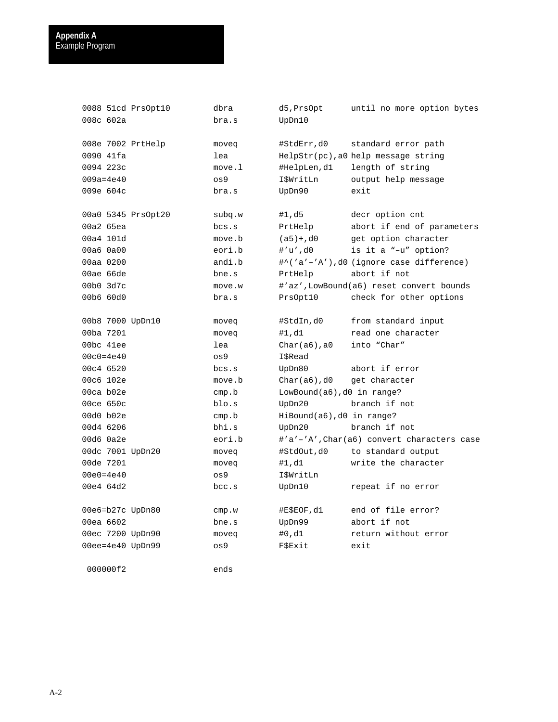| 0088 51cd PrsOpt10<br>008c 602a | dbra<br>bra.s   | d5,PrsOpt<br>UpDn10           | until no more option bytes                |
|---------------------------------|-----------------|-------------------------------|-------------------------------------------|
| 008e 7002 PrtHelp               | moveg           | #StdErr,d0                    | standard error path                       |
| 0090 41fa                       | lea             |                               | $HelpStr(pc)$ , a0 help message string    |
| 0094 223c                       | move.1          | #HelpLen,d1                   | length of string                          |
| $009a = 4e40$                   | OS <sub>9</sub> | I\$WritLn                     | output help message                       |
| 009e 604c                       | bra.s           | UpDn90                        | exit                                      |
| 00a0 5345 PrsOpt20              | subq.w          | #1,d5                         | decr option cnt                           |
| 00a2 65ea                       | bcs.s           | PrtHelp                       | abort if end of parameters                |
| 00a4 101d                       | move.b          | $(a5) + d0$                   | get option character                      |
| 00a6 0a00                       | eori.b          | #'u',d0                       | is it a "-u" option?                      |
| 00aa 0200                       | andi.b          |                               | #^('a'-'A'),d0 (ignore case difference)   |
| 00ae 66de                       | bne.s           | PrtHelp                       | abort if not                              |
| 00b0 3d7c                       | move.w          |                               | #'az',LowBound(a6) reset convert bounds   |
| 00b6 60d0                       | bra.s           | PrsOpt10                      | check for other options                   |
| 00b8 7000 UpDn10                | moveq           | #StdIn,d0                     | from standard input                       |
| 00ba 7201                       | moveg           | #1,d1                         | read one character                        |
| 00bc 41ee                       | lea             | $Char(a6)$ , a0               | into "Char"                               |
| $00c0 = 4e40$                   | 0s9             | I\$Read                       |                                           |
| 00c4 6520                       | bcs.s           | UpDn80                        | abort if error                            |
| 00c6 102e                       | move.b          | $Char(a6)$ , d0               | get character                             |
| 00ca b02e                       | cmp.b           | $LowBound(a6)$ , d0 in range? |                                           |
| 00ce 650c                       | blo.s           | UpDn20                        | branch if not                             |
| 00d0 b02e                       | cmp.b           | $HilBound(a6)$ , d0 in range? |                                           |
| 00d4 6206                       | bhi.s           | UpDn20                        | branch if not                             |
| 00d6 0a2e                       | eori.b          |                               | #'a'-'A',Char(a6) convert characters case |
| 00dc 7001 UpDn20                | moveq           | #StdOut,d0                    | to standard output                        |
| 00de 7201                       | moveq           | #1,d1                         | write the character                       |
| $00e0 = 4e40$                   | $\cos 9$        | I\$WritLn                     |                                           |
| 00e4 64d2                       | bcc.s           | UpDn10                        | repeat if no error                        |
| 00e6=b27c UpDn80                | cmp.w           | #E\$EOF, d1                   | end of file error?                        |
| 00ea 6602                       | bne.s           | UpDn99                        | abort if not                              |
| 00ec 7200 UpDn90                | moveq           | #0,d1                         | return without error                      |
| 00ee=4e40 UpDn99                | $\circ$ s9      | FSExit                        | exit                                      |

000000f2 ends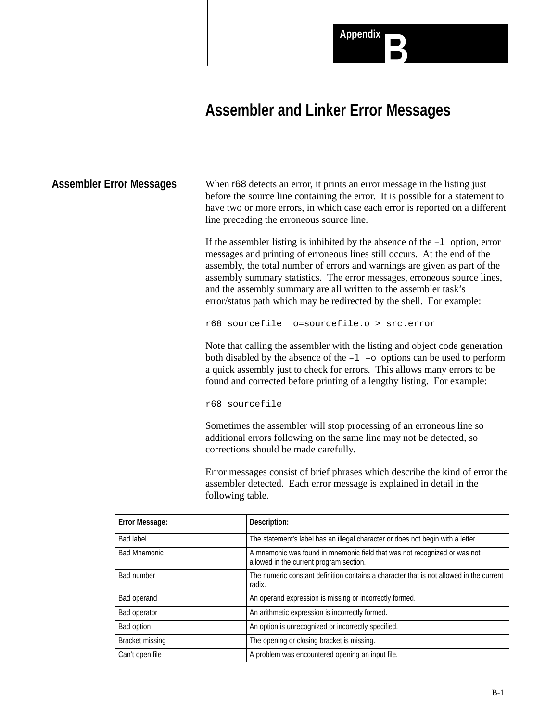

# **Assembler and Linker Error Messages**

When r68 detects an error, it prints an error message in the listing just before the source line containing the error. It is possible for a statement to have two or more errors, in which case each error is reported on a different line preceding the erroneous source line. **Assembler Error Messages**

> If the assembler listing is inhibited by the absence of the –l option, error messages and printing of erroneous lines still occurs. At the end of the assembly, the total number of errors and warnings are given as part of the assembly summary statistics. The error messages, erroneous source lines, and the assembly summary are all written to the assembler task's error/status path which may be redirected by the shell. For example:

r68 sourcefile o=sourcefile.o > src.error

Note that calling the assembler with the listing and object code generation both disabled by the absence of the  $-1$  –o options can be used to perform a quick assembly just to check for errors. This allows many errors to be found and corrected before printing of a lengthy listing. For example:

r68 sourcefile

Sometimes the assembler will stop processing of an erroneous line so additional errors following on the same line may not be detected, so corrections should be made carefully.

Error messages consist of brief phrases which describe the kind of error the assembler detected. Each error message is explained in detail in the following table.

| <b>Error Message:</b>  | Description:                                                                                                         |
|------------------------|----------------------------------------------------------------------------------------------------------------------|
| <b>Bad label</b>       | The statement's label has an illegal character or does not begin with a letter.                                      |
| <b>Bad Mnemonic</b>    | A mnemonic was found in mnemonic field that was not recognized or was not<br>allowed in the current program section. |
| <b>Bad number</b>      | The numeric constant definition contains a character that is not allowed in the current<br>radix.                    |
| Bad operand            | An operand expression is missing or incorrectly formed.                                                              |
| Bad operator           | An arithmetic expression is incorrectly formed.                                                                      |
| Bad option             | An option is unrecognized or incorrectly specified.                                                                  |
| <b>Bracket missing</b> | The opening or closing bracket is missing.                                                                           |
| Can't open file        | A problem was encountered opening an input file.                                                                     |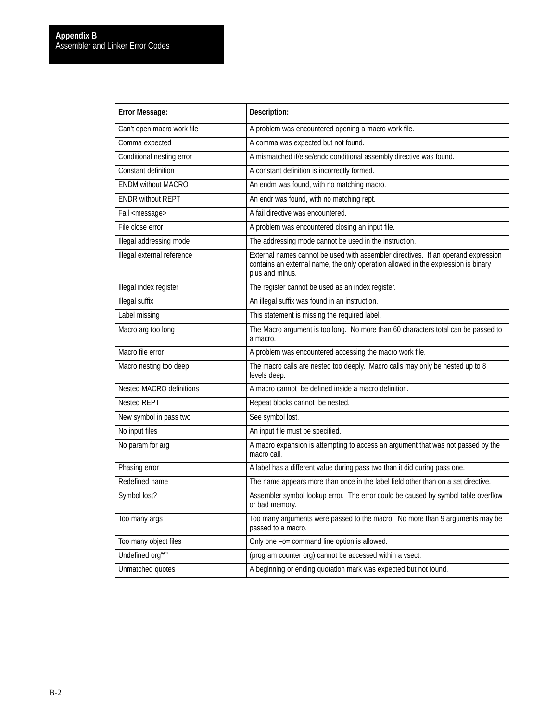| <b>Error Message:</b>      | Description:                                                                                                                                                                              |
|----------------------------|-------------------------------------------------------------------------------------------------------------------------------------------------------------------------------------------|
| Can't open macro work file | A problem was encountered opening a macro work file.                                                                                                                                      |
| Comma expected             | A comma was expected but not found.                                                                                                                                                       |
| Conditional nesting error  | A mismatched if/else/endc conditional assembly directive was found.                                                                                                                       |
| Constant definition        | A constant definition is incorrectly formed.                                                                                                                                              |
| <b>ENDM without MACRO</b>  | An endm was found, with no matching macro.                                                                                                                                                |
| <b>ENDR without REPT</b>   | An endr was found, with no matching rept.                                                                                                                                                 |
| Fail <message></message>   | A fail directive was encountered.                                                                                                                                                         |
| File close error           | A problem was encountered closing an input file.                                                                                                                                          |
| Illegal addressing mode    | The addressing mode cannot be used in the instruction.                                                                                                                                    |
| Illegal external reference | External names cannot be used with assembler directives. If an operand expression<br>contains an external name, the only operation allowed in the expression is binary<br>plus and minus. |
| Illegal index register     | The register cannot be used as an index register.                                                                                                                                         |
| <b>Illegal suffix</b>      | An illegal suffix was found in an instruction.                                                                                                                                            |
| Label missing              | This statement is missing the required label.                                                                                                                                             |
| Macro arg too long         | The Macro argument is too long. No more than 60 characters total can be passed to<br>a macro.                                                                                             |
| Macro file error           | A problem was encountered accessing the macro work file.                                                                                                                                  |
| Macro nesting too deep     | The macro calls are nested too deeply. Macro calls may only be nested up to 8<br>levels deep.                                                                                             |
| Nested MACRO definitions   | A macro cannot be defined inside a macro definition.                                                                                                                                      |
| <b>Nested REPT</b>         | Repeat blocks cannot be nested.                                                                                                                                                           |
| New symbol in pass two     | See symbol lost.                                                                                                                                                                          |
| No input files             | An input file must be specified.                                                                                                                                                          |
| No param for arg           | A macro expansion is attempting to access an argument that was not passed by the<br>macro call.                                                                                           |
| Phasing error              | A label has a different value during pass two than it did during pass one.                                                                                                                |
| Redefined name             | The name appears more than once in the label field other than on a set directive.                                                                                                         |
| Symbol lost?               | Assembler symbol lookup error. The error could be caused by symbol table overflow<br>or bad memory.                                                                                       |
| Too many args              | Too many arguments were passed to the macro. No more than 9 arguments may be<br>passed to a macro.                                                                                        |
| Too many object files      | Only one -o= command line option is allowed.                                                                                                                                              |
| Undefined org"*"           | (program counter org) cannot be accessed within a vsect.                                                                                                                                  |
| Unmatched quotes           | A beginning or ending quotation mark was expected but not found.                                                                                                                          |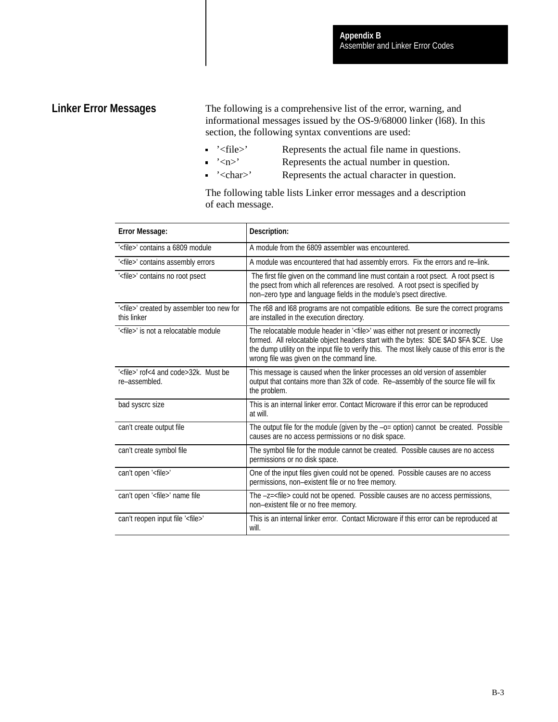## **Linker Error Messages**

The following is a comprehensive list of the error, warning, and informational messages issued by the OS-9/68000 linker (l68). In this section, the following syntax conventions are used:

- '<file>' Represents the actual file name in questions.
- $\leq$   $\geq$   $\leq$   $\leq$   $\leq$   $\leq$   $\leq$   $\leq$   $\leq$   $\leq$   $\leq$   $\leq$   $\leq$   $\leq$   $\leq$   $\leq$   $\leq$   $\leq$   $\leq$   $\leq$   $\leq$   $\leq$   $\leq$   $\leq$   $\leq$   $\leq$   $\leq$   $\leq$   $\leq$   $\leq$   $\leq$   $\leq$   $\leq$   $\leq$   $\leq$   $\leq$   $\leq$
- '<char>' Represents the actual character in question.

The following table lists Linker error messages and a description of each message.

| <b>Error Message:</b>                                                | Description:                                                                                                                                                                                                                                                                                                                      |
|----------------------------------------------------------------------|-----------------------------------------------------------------------------------------------------------------------------------------------------------------------------------------------------------------------------------------------------------------------------------------------------------------------------------|
| ' <file>' contains a 6809 module</file>                              | A module from the 6809 assembler was encountered.                                                                                                                                                                                                                                                                                 |
| ' <file>' contains assembly errors</file>                            | A module was encountered that had assembly errors. Fix the errors and re-link.                                                                                                                                                                                                                                                    |
| ' <file>' contains no root psect</file>                              | The first file given on the command line must contain a root psect. A root psect is<br>the psect from which all references are resolved. A root psect is specified by<br>non-zero type and language fields in the module's psect directive.                                                                                       |
| ' <file>' created by assembler too new for<br/>this linker</file>    | The r68 and I68 programs are not compatible editions. Be sure the correct programs<br>are installed in the execution directory.                                                                                                                                                                                                   |
| ' <file>' is not a relocatable module</file>                         | The relocatable module header in ' <file>' was either not present or incorrectly<br/>formed. All relocatable object headers start with the bytes: \$DE \$AD \$FA \$CE. Use<br/>the dump utility on the input file to verify this. The most likely cause of this error is the<br/>wrong file was given on the command line.</file> |
| ' <file>' rof&lt;4 and code&gt;32k. Must be<br/>re-assembled.</file> | This message is caused when the linker processes an old version of assembler<br>output that contains more than 32k of code. Re-assembly of the source file will fix<br>the problem.                                                                                                                                               |
| bad syscrc size                                                      | This is an internal linker error. Contact Microware if this error can be reproduced<br>at will.                                                                                                                                                                                                                                   |
| can't create output file                                             | The output file for the module (given by the -o= option) cannot be created. Possible<br>causes are no access permissions or no disk space.                                                                                                                                                                                        |
| can't create symbol file                                             | The symbol file for the module cannot be created. Possible causes are no access<br>permissions or no disk space.                                                                                                                                                                                                                  |
| can't open ' <file>'</file>                                          | One of the input files given could not be opened. Possible causes are no access<br>permissions, non-existent file or no free memory.                                                                                                                                                                                              |
| can't open ' <file>' name file</file>                                | The -z= <file> could not be opened. Possible causes are no access permissions,<br/>non-existent file or no free memory.</file>                                                                                                                                                                                                    |
| can't reopen input file ' <file>'</file>                             | This is an internal linker error. Contact Microware if this error can be reproduced at<br>will.                                                                                                                                                                                                                                   |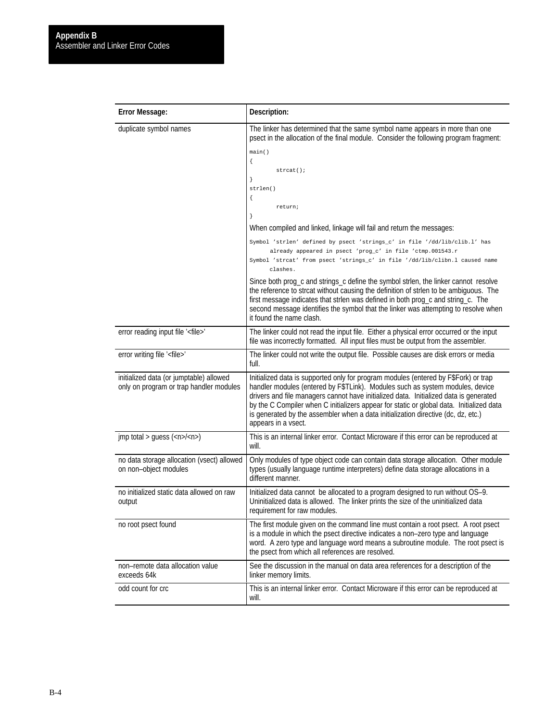| <b>Error Message:</b>                                                                  | Description:                                                                                                                                                                                                                                                                                                                                                                                                                                                                                                                                                                                                                                                                                                                              |
|----------------------------------------------------------------------------------------|-------------------------------------------------------------------------------------------------------------------------------------------------------------------------------------------------------------------------------------------------------------------------------------------------------------------------------------------------------------------------------------------------------------------------------------------------------------------------------------------------------------------------------------------------------------------------------------------------------------------------------------------------------------------------------------------------------------------------------------------|
| duplicate symbol names                                                                 | The linker has determined that the same symbol name appears in more than one<br>psect in the allocation of the final module. Consider the following program fragment:<br>main()<br>$\{$<br>strcat()<br>$\}$<br>strlen()<br>€<br>return;<br>}<br>When compiled and linked, linkage will fail and return the messages:<br>Symbol 'strlen' defined by psect 'strings_c' in file '/dd/lib/clib.l' has<br>already appeared in psect 'prog_c' in file 'ctmp.001543.r<br>Symbol 'strcat' from psect 'strings_c' in file '/dd/lib/clibn.l caused name<br>clashes.<br>Since both prog_c and strings_c define the symbol strlen, the linker cannot resolve<br>the reference to strcat without causing the definition of strlen to be ambiguous. The |
|                                                                                        | first message indicates that strlen was defined in both prog_c and string_c. The<br>second message identifies the symbol that the linker was attempting to resolve when<br>it found the name clash.                                                                                                                                                                                                                                                                                                                                                                                                                                                                                                                                       |
| error reading input file ' <file>'</file>                                              | The linker could not read the input file. Either a physical error occurred or the input<br>file was incorrectly formatted. All input files must be output from the assembler.                                                                                                                                                                                                                                                                                                                                                                                                                                                                                                                                                             |
| error writing file ' <file>'</file>                                                    | The linker could not write the output file. Possible causes are disk errors or media<br>full.                                                                                                                                                                                                                                                                                                                                                                                                                                                                                                                                                                                                                                             |
| initialized data (or jumptable) allowed<br>only on program or trap handler modules     | Initialized data is supported only for program modules (entered by F\$Fork) or trap<br>handler modules (entered by F\$TLink). Modules such as system modules, device<br>drivers and file managers cannot have initialized data. Initialized data is generated<br>by the C Compiler when C initializers appear for static or global data. Initialized data<br>is generated by the assembler when a data initialization directive (dc, dz, etc.)<br>appears in a vsect.                                                                                                                                                                                                                                                                     |
| $\mathsf{imp}\ \mathsf{total} > \mathsf{guess}\ (\langle n \rangle \langle n \rangle)$ | This is an internal linker error. Contact Microware if this error can be reproduced at<br>will.                                                                                                                                                                                                                                                                                                                                                                                                                                                                                                                                                                                                                                           |
| no data storage allocation (vsect) allowed<br>on non-object modules                    | Only modules of type object code can contain data storage allocation. Other module<br>types (usually language runtime interpreters) define data storage allocations in a<br>different manner.                                                                                                                                                                                                                                                                                                                                                                                                                                                                                                                                             |
| no initialized static data allowed on raw<br>output                                    | Initialized data cannot be allocated to a program designed to run without OS-9.<br>Uninitialized data is allowed. The linker prints the size of the uninitialized data<br>requirement for raw modules.                                                                                                                                                                                                                                                                                                                                                                                                                                                                                                                                    |
| no root psect found                                                                    | The first module given on the command line must contain a root psect. A root psect<br>is a module in which the psect directive indicates a non-zero type and language<br>word. A zero type and language word means a subroutine module. The root psect is<br>the psect from which all references are resolved.                                                                                                                                                                                                                                                                                                                                                                                                                            |
| non-remote data allocation value<br>exceeds 64k                                        | See the discussion in the manual on data area references for a description of the<br>linker memory limits.                                                                                                                                                                                                                                                                                                                                                                                                                                                                                                                                                                                                                                |
| odd count for crc                                                                      | This is an internal linker error. Contact Microware if this error can be reproduced at<br>will.                                                                                                                                                                                                                                                                                                                                                                                                                                                                                                                                                                                                                                           |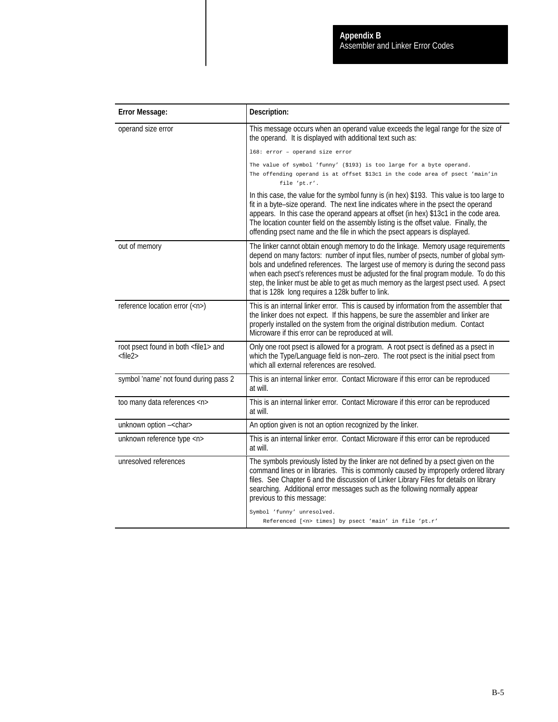| <b>Error Message:</b>                                            | Description:                                                                                                                                                                                                                                                                                                                                                                                                                                                                                                 |
|------------------------------------------------------------------|--------------------------------------------------------------------------------------------------------------------------------------------------------------------------------------------------------------------------------------------------------------------------------------------------------------------------------------------------------------------------------------------------------------------------------------------------------------------------------------------------------------|
| operand size error                                               | This message occurs when an operand value exceeds the legal range for the size of<br>the operand. It is displayed with additional text such as:                                                                                                                                                                                                                                                                                                                                                              |
|                                                                  | 168: error - operand size error                                                                                                                                                                                                                                                                                                                                                                                                                                                                              |
|                                                                  | The value of symbol 'funny' (\$193) is too large for a byte operand.                                                                                                                                                                                                                                                                                                                                                                                                                                         |
|                                                                  | The offending operand is at offset \$13c1 in the code area of psect 'main'in<br>file 'pt.r'.                                                                                                                                                                                                                                                                                                                                                                                                                 |
|                                                                  | In this case, the value for the symbol funny is (in hex) \$193. This value is too large to<br>fit in a byte-size operand. The next line indicates where in the psect the operand<br>appears. In this case the operand appears at offset (in hex) \$13c1 in the code area.<br>The location counter field on the assembly listing is the offset value. Finally, the<br>offending psect name and the file in which the psect appears is displayed.                                                              |
| out of memory                                                    | The linker cannot obtain enough memory to do the linkage. Memory usage requirements<br>depend on many factors: number of input files, number of psects, number of global sym-<br>bols and undefined references. The largest use of memory is during the second pass<br>when each psect's references must be adjusted for the final program module. To do this<br>step, the linker must be able to get as much memory as the largest psect used. A psect<br>that is 128k long requires a 128k buffer to link. |
| reference location error ( <n>)</n>                              | This is an internal linker error. This is caused by information from the assembler that<br>the linker does not expect. If this happens, be sure the assembler and linker are<br>properly installed on the system from the original distribution medium. Contact<br>Microware if this error can be reproduced at will.                                                                                                                                                                                        |
| root psect found in both <file1> and<br/><file2></file2></file1> | Only one root psect is allowed for a program. A root psect is defined as a psect in<br>which the Type/Language field is non-zero. The root psect is the initial psect from<br>which all external references are resolved.                                                                                                                                                                                                                                                                                    |
| symbol 'name' not found during pass 2                            | This is an internal linker error. Contact Microware if this error can be reproduced<br>at will.                                                                                                                                                                                                                                                                                                                                                                                                              |
| too many data references <n></n>                                 | This is an internal linker error. Contact Microware if this error can be reproduced<br>at will.                                                                                                                                                                                                                                                                                                                                                                                                              |
| unknown option -< char>                                          | An option given is not an option recognized by the linker.                                                                                                                                                                                                                                                                                                                                                                                                                                                   |
| unknown reference type <n></n>                                   | This is an internal linker error. Contact Microware if this error can be reproduced<br>at will.                                                                                                                                                                                                                                                                                                                                                                                                              |
| unresolved references                                            | The symbols previously listed by the linker are not defined by a psect given on the<br>command lines or in libraries. This is commonly caused by improperly ordered library<br>files. See Chapter 6 and the discussion of Linker Library Files for details on library<br>searching. Additional error messages such as the following normally appear<br>previous to this message:                                                                                                                             |
|                                                                  | Symbol 'funny' unresolved.<br>Referenced [ <n> times] by psect 'main' in file 'pt.r'</n>                                                                                                                                                                                                                                                                                                                                                                                                                     |